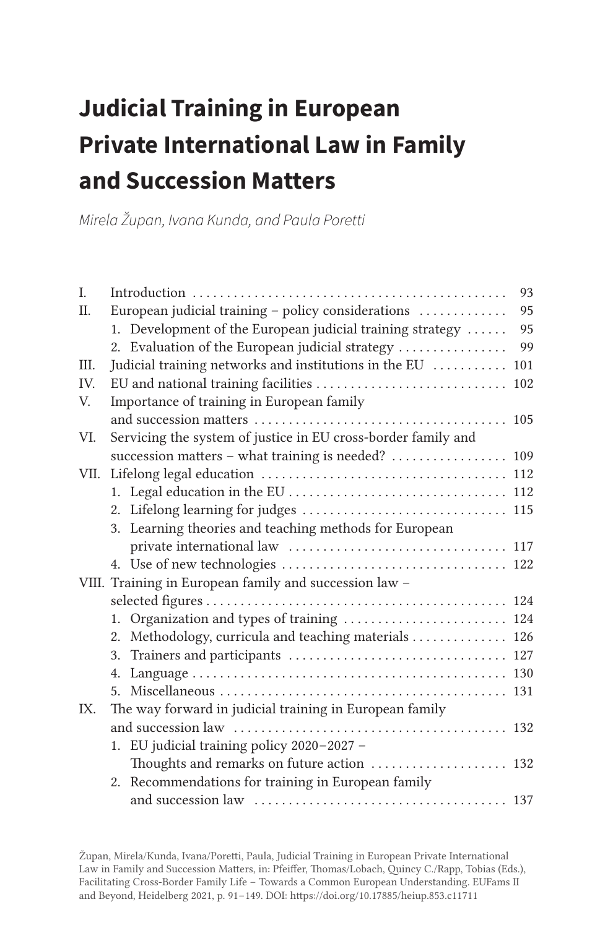# **Judicial Training in European Private International Law in Family and Succession Matters**

Mirela Župan, Ivana Kunda, and Paula Poretti

| I.      |                                                               | 93  |
|---------|---------------------------------------------------------------|-----|
| $\Pi$ . | European judicial training - policy considerations            | 95  |
|         | 1. Development of the European judicial training strategy     | 95  |
|         | 2. Evaluation of the European judicial strategy               | 99  |
| Ш.      | Judicial training networks and institutions in the EU         | 101 |
| IV.     | EU and national training facilities  102                      |     |
| V.      | Importance of training in European family                     |     |
|         |                                                               |     |
| VI.     | Servicing the system of justice in EU cross-border family and |     |
|         | succession matters - what training is needed?  109            |     |
| VII.    |                                                               |     |
|         |                                                               |     |
|         | 2. Lifelong learning for judges  115                          |     |
|         | 3. Learning theories and teaching methods for European        |     |
|         |                                                               |     |
|         |                                                               |     |
|         | VIII. Training in European family and succession law -        |     |
|         |                                                               |     |
|         | 1. Organization and types of training  124                    |     |
|         | Methodology, curricula and teaching materials 126<br>2.       |     |
|         |                                                               |     |
|         |                                                               |     |
|         |                                                               |     |
| IX.     | The way forward in judicial training in European family       |     |
|         |                                                               |     |
|         | 1. EU judicial training policy 2020-2027 -                    |     |
|         | Thoughts and remarks on future action  132                    |     |
|         | 2. Recommendations for training in European family            |     |
|         |                                                               |     |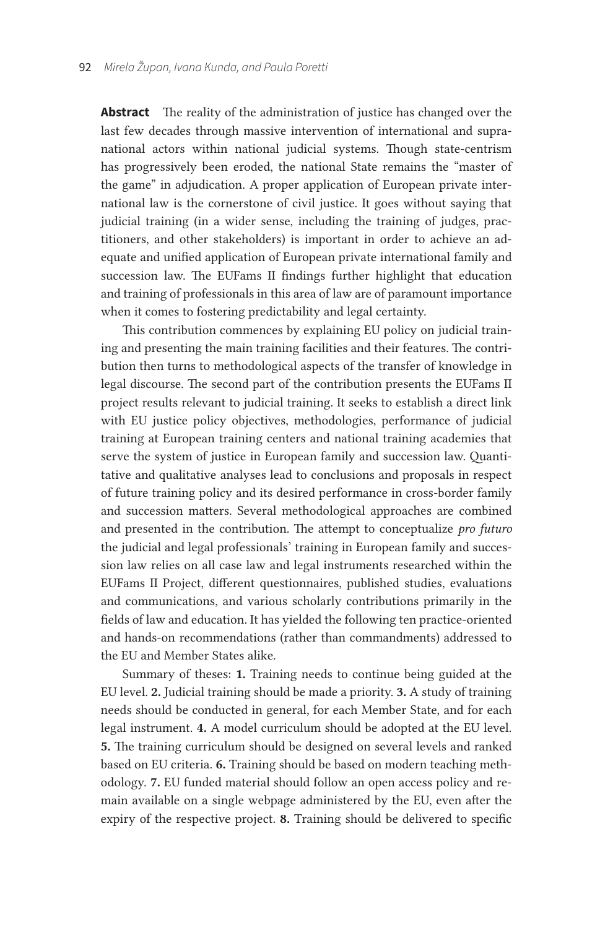**Abstract** The reality of the administration of justice has changed over the last few decades through massive intervention of international and supranational actors within national judicial systems. Though state-centrism has progressively been eroded, the national State remains the "master of the game" in adjudication. A proper application of European private international law is the cornerstone of civil justice. It goes without saying that judicial training (in a wider sense, including the training of judges, practitioners, and other stakeholders) is important in order to achieve an adequate and unified application of European private international family and succession law. The EUFams II findings further highlight that education and training of professionals in this area of law are of paramount importance when it comes to fostering predictability and legal certainty.

This contribution commences by explaining EU policy on judicial training and presenting the main training facilities and their features. The contribution then turns to methodological aspects of the transfer of knowledge in legal discourse. The second part of the contribution presents the EUFams II project results relevant to judicial training. It seeks to establish a direct link with EU justice policy objectives, methodologies, performance of judicial training at European training centers and national training academies that serve the system of justice in European family and succession law. Quantitative and qualitative analyses lead to conclusions and proposals in respect of future training policy and its desired performance in cross-border family and succession matters. Several methodological approaches are combined and presented in the contribution. The attempt to conceptualize *pro futuro* the judicial and legal professionals' training in European family and succession law relies on all case law and legal instruments researched within the EUFams II Project, different questionnaires, published studies, evaluations and communications, and various scholarly contributions primarily in the fields of law and education. It has yielded the following ten practice-oriented and hands-on recommendations (rather than commandments) addressed to the EU and Member States alike.

Summary of theses: 1. Training needs to continue being guided at the EU level. 2. Judicial training should be made a priority. 3. A study of training needs should be conducted in general, for each Member State, and for each legal instrument. 4. A model curriculum should be adopted at the EU level. 5. The training curriculum should be designed on several levels and ranked based on EU criteria. 6. Training should be based on modern teaching methodology. 7. EU funded material should follow an open access policy and remain available on a single webpage administered by the EU, even after the expiry of the respective project. 8. Training should be delivered to specific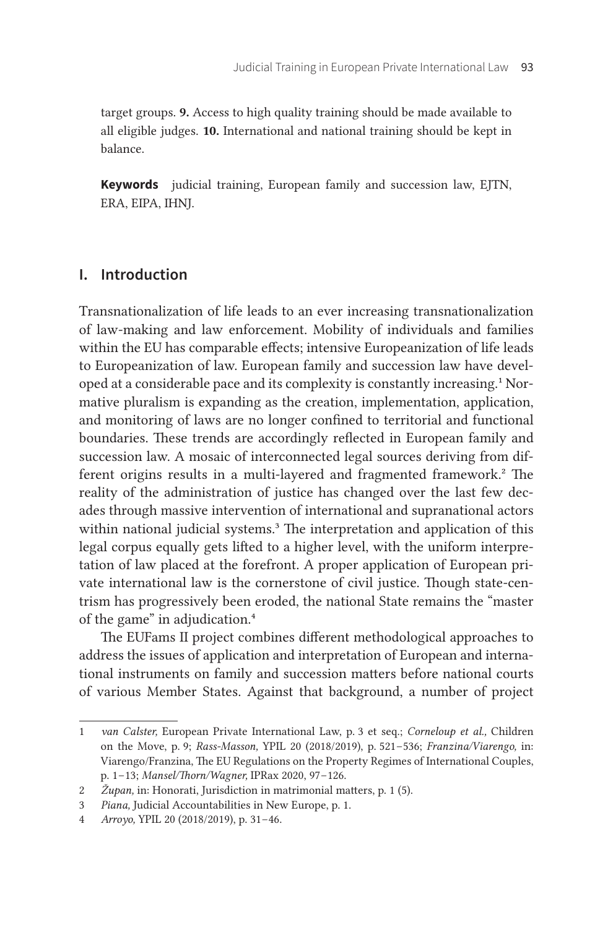target groups. 9. Access to high quality training should be made available to all eligible judges. 10. International and national training should be kept in balance.

**Keywords** judicial training, European family and succession law, EJTN, ERA, EIPA, IHNJ.

#### **I. Introduction**

Transnationalization of life leads to an ever increasing transnationalization of law-making and law enforcement. Mobility of individuals and families within the EU has comparable effects; intensive Europeanization of life leads to Europeanization of law. European family and succession law have developed at a considerable pace and its complexity is constantly increasing.1 Normative pluralism is expanding as the creation, implementation, application, and monitoring of laws are no longer confined to territorial and functional boundaries. These trends are accordingly reflected in European family and succession law. A mosaic of interconnected legal sources deriving from different origins results in a multi-layered and fragmented framework.<sup>2</sup> The reality of the administration of justice has changed over the last few decades through massive intervention of international and supranational actors within national judicial systems.<sup>3</sup> The interpretation and application of this legal corpus equally gets lifted to a higher level, with the uniform interpretation of law placed at the forefront. A proper application of European private international law is the cornerstone of civil justice. Though state-centrism has progressively been eroded, the national State remains the "master of the game" in adjudication.<sup>4</sup>

The EUFams II project combines different methodological approaches to address the issues of application and interpretation of European and international instruments on family and succession matters before national courts of various Member States. Against that background, a number of project

<sup>1</sup> *van Calster,* European Private International Law, p. 3 et seq.; *Corneloup et al.,* Children on the Move, p. 9; *Rass-Masson,* YPIL 20 (2018/2019), p. 521 – 536; *Franzina/Viarengo,* in: Viarengo/Franzina, The EU Regulations on the Property Regimes of International Couples, p. 1 – 13; *Mansel/Thorn/Wagner,* IPRax 2020, 97 – 126.

<sup>2</sup> *Župan,* in: Honorati, Jurisdiction in matrimonial matters, p. 1 (5).

<sup>3</sup> *Piana,* Judicial Accountabilities in New Europe, p. 1.

<sup>4</sup> *Arroyo,* YPIL 20 (2018/2019), p. 31 – 46.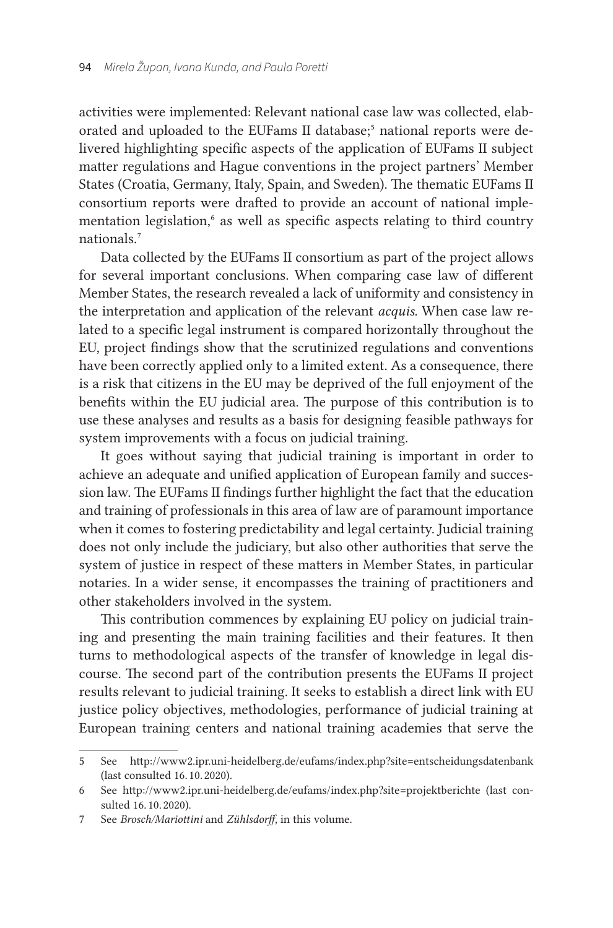activities were implemented: Relevant national case law was collected, elaborated and uploaded to the EUFams II database;<sup>5</sup> national reports were delivered highlighting specific aspects of the application of EUFams II subject matter regulations and Hague conventions in the project partners' Member States (Croatia, Germany, Italy, Spain, and Sweden). The thematic EUFams II consortium reports were drafted to provide an account of national implementation legislation,<sup>6</sup> as well as specific aspects relating to third country nationals.7

Data collected by the EUFams II consortium as part of the project allows for several important conclusions. When comparing case law of different Member States, the research revealed a lack of uniformity and consistency in the interpretation and application of the relevant *acquis.* When case law related to a specific legal instrument is compared horizontally throughout the EU, project findings show that the scrutinized regulations and conventions have been correctly applied only to a limited extent. As a consequence, there is a risk that citizens in the EU may be deprived of the full enjoyment of the benefits within the EU judicial area. The purpose of this contribution is to use these analyses and results as a basis for designing feasible pathways for system improvements with a focus on judicial training.

It goes without saying that judicial training is important in order to achieve an adequate and unified application of European family and succession law. The EUFams II findings further highlight the fact that the education and training of professionals in this area of law are of paramount importance when it comes to fostering predictability and legal certainty. Judicial training does not only include the judiciary, but also other authorities that serve the system of justice in respect of these matters in Member States, in particular notaries. In a wider sense, it encompasses the training of practitioners and other stakeholders involved in the system.

This contribution commences by explaining EU policy on judicial training and presenting the main training facilities and their features. It then turns to methodological aspects of the transfer of knowledge in legal discourse. The second part of the contribution presents the EUFams II project results relevant to judicial training. It seeks to establish a direct link with EU justice policy objectives, methodologies, performance of judicial training at European training centers and national training academies that serve the

<sup>5</sup> See http://www2.ipr.uni-heidelberg.de/eufams/index.php?site=entscheidungsdatenbank (last consulted 16. 10. 2020).

<sup>6</sup> See http://www2.ipr.uni-heidelberg.de/eufams/index.php?site=projektberichte (last consulted 16. 10. 2020).

<sup>7</sup> See *Brosch/Mariottini* and *Zühlsdorff,* in this volume.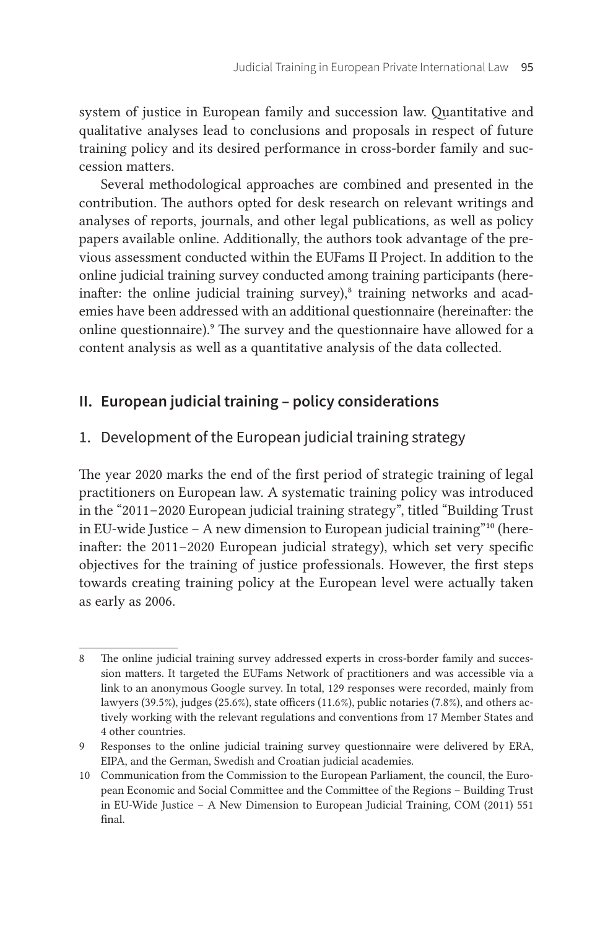system of justice in European family and succession law. Quantitative and qualitative analyses lead to conclusions and proposals in respect of future training policy and its desired performance in cross-border family and succession matters.

Several methodological approaches are combined and presented in the contribution. The authors opted for desk research on relevant writings and analyses of reports, journals, and other legal publications, as well as policy papers available online. Additionally, the authors took advantage of the previous assessment conducted within the EUFams II Project. In addition to the online judicial training survey conducted among training participants (hereinafter: the online judicial training survey), $\delta$  training networks and academies have been addressed with an additional questionnaire (hereinafter: the online questionnaire).<sup>9</sup> The survey and the questionnaire have allowed for a content analysis as well as a quantitative analysis of the data collected.

# **II. European judicial training – policy considerations**

# 1. Development of the European judicial training strategy

The year 2020 marks the end of the first period of strategic training of legal practitioners on European law. A systematic training policy was introduced in the "2011–2020 European judicial training strategy", titled "Building Trust" in EU-wide Justice – A new dimension to European judicial training"10 (hereinafter: the 2011–2020 European judicial strategy), which set very specific objectives for the training of justice professionals. However, the first steps towards creating training policy at the European level were actually taken as early as 2006.

<sup>8</sup> The online judicial training survey addressed experts in cross-border family and succession matters. It targeted the EUFams Network of practitioners and was accessible via a link to an anonymous Google survey. In total, 129 responses were recorded, mainly from lawyers (39.5 %), judges (25.6 %), state officers (11.6 %), public notaries (7.8 %), and others actively working with the relevant regulations and conventions from 17 Member States and 4 other countries.

<sup>9</sup> Responses to the online judicial training survey questionnaire were delivered by ERA, EIPA, and the German, Swedish and Croatian judicial academies.

<sup>10</sup> Communication from the Commission to the European Parliament, the council, the European Economic and Social Committee and the Committee of the Regions – Building Trust in EU-Wide Justice – A New Dimension to European Judicial Training, COM (2011) 551 final.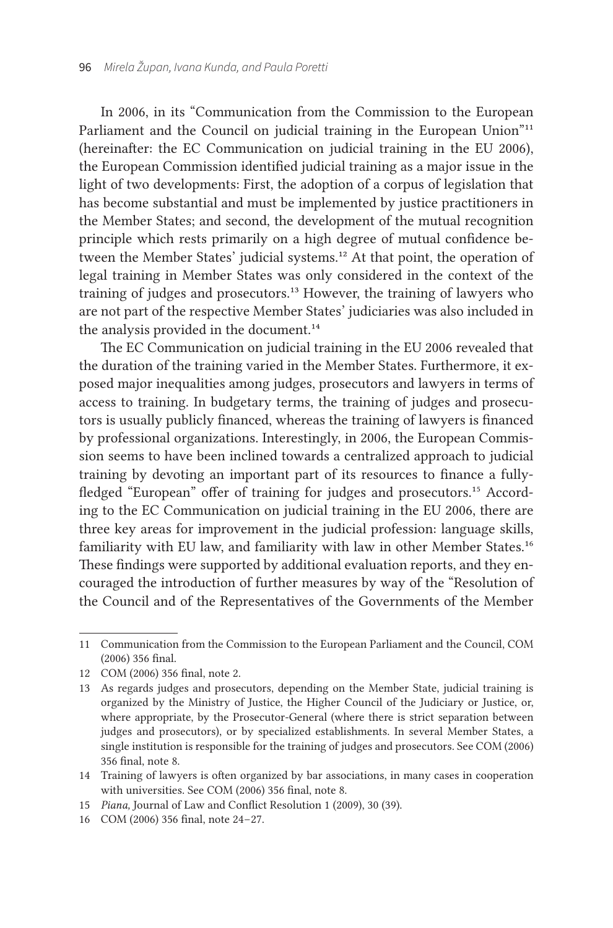In 2006, in its "Communication from the Commission to the European Parliament and the Council on judicial training in the European Union"<sup>11</sup> (hereinafter: the EC Communication on judicial training in the EU 2006), the European Commission identified judicial training as a major issue in the light of two developments: First, the adoption of a corpus of legislation that has become substantial and must be implemented by justice practitioners in the Member States; and second, the development of the mutual recognition principle which rests primarily on a high degree of mutual confidence between the Member States' judicial systems.<sup>12</sup> At that point, the operation of legal training in Member States was only considered in the context of the training of judges and prosecutors.<sup>13</sup> However, the training of lawyers who are not part of the respective Member States' judiciaries was also included in the analysis provided in the document.<sup>14</sup>

The EC Communication on judicial training in the EU 2006 revealed that the duration of the training varied in the Member States. Furthermore, it exposed major inequalities among judges, prosecutors and lawyers in terms of access to training. In budgetary terms, the training of judges and prosecutors is usually publicly financed, whereas the training of lawyers is financed by professional organizations. Interestingly, in 2006, the European Commission seems to have been inclined towards a centralized approach to judicial training by devoting an important part of its resources to finance a fullyfledged "European" offer of training for judges and prosecutors.<sup>15</sup> According to the EC Communication on judicial training in the EU 2006, there are three key areas for improvement in the judicial profession: language skills, familiarity with EU law, and familiarity with law in other Member States.<sup>16</sup> These findings were supported by additional evaluation reports, and they encouraged the introduction of further measures by way of the "Resolution of the Council and of the Representatives of the Governments of the Member

15 *Piana,* Journal of Law and Conflict Resolution 1 (2009), 30 (39).

<sup>11</sup> Communication from the Commission to the European Parliament and the Council, COM (2006) 356 final.

<sup>12</sup> COM (2006) 356 final, note 2.

<sup>13</sup> As regards judges and prosecutors, depending on the Member State, judicial training is organized by the Ministry of Justice, the Higher Council of the Judiciary or Justice, or, where appropriate, by the Prosecutor-General (where there is strict separation between judges and prosecutors), or by specialized establishments. In several Member States, a single institution is responsible for the training of judges and prosecutors. See COM (2006) 356 final, note 8.

<sup>14</sup> Training of lawyers is often organized by bar associations, in many cases in cooperation with universities. See COM (2006) 356 final, note 8.

<sup>16</sup> COM (2006) 356 final, note 24-27.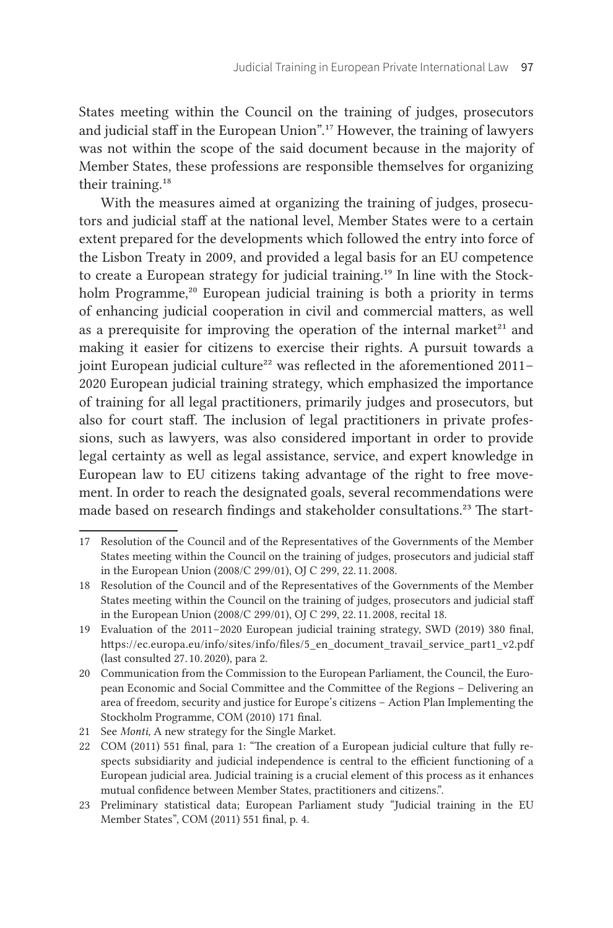States meeting within the Council on the training of judges, prosecutors and judicial staff in the European Union".17 However, the training of lawyers was not within the scope of the said document because in the majority of Member States, these professions are responsible themselves for organizing their training.<sup>18</sup>

With the measures aimed at organizing the training of judges, prosecutors and judicial staff at the national level, Member States were to a certain extent prepared for the developments which followed the entry into force of the Lisbon Treaty in 2009, and provided a legal basis for an EU competence to create a European strategy for judicial training.<sup>19</sup> In line with the Stockholm Programme,<sup>20</sup> European judicial training is both a priority in terms of enhancing judicial cooperation in civil and commercial matters, as well as a prerequisite for improving the operation of the internal market $21$  and making it easier for citizens to exercise their rights. A pursuit towards a joint European judicial culture<sup>22</sup> was reflected in the aforementioned 2011– 2020 European judicial training strategy, which emphasized the importance of training for all legal practitioners, primarily judges and prosecutors, but also for court staff. The inclusion of legal practitioners in private professions, such as lawyers, was also considered important in order to provide legal certainty as well as legal assistance, service, and expert knowledge in European law to EU citizens taking advantage of the right to free movement. In order to reach the designated goals, several recommendations were made based on research findings and stakeholder consultations.<sup>23</sup> The start-

<sup>17</sup> Resolution of the Council and of the Representatives of the Governments of the Member States meeting within the Council on the training of judges, prosecutors and judicial staff in the European Union (2008/C 299/01), OJ C 299, 22. 11. 2008.

<sup>18</sup> Resolution of the Council and of the Representatives of the Governments of the Member States meeting within the Council on the training of judges, prosecutors and judicial staff in the European Union (2008/C 299/01), OJ C 299, 22. 11. 2008, recital 18.

<sup>19</sup> Evaluation of the 2011 – 2020 European judicial training strategy, SWD (2019) 380 final, https://ec.europa.eu/info/sites/info/files/5\_en\_document\_travail\_service\_part1\_v2.pdf (last consulted 27. 10. 2020), para 2.

<sup>20</sup> Communication from the Commission to the European Parliament, the Council, the European Economic and Social Committee and the Committee of the Regions – Delivering an area of freedom, security and justice for Europe's citizens – Action Plan Implementing the Stockholm Programme, COM (2010) 171 final.

<sup>21</sup> See *Monti,* A new strategy for the Single Market.

<sup>22</sup> COM (2011) 551 final, para 1: "The creation of a European judicial culture that fully respects subsidiarity and judicial independence is central to the efficient functioning of a European judicial area. Judicial training is a crucial element of this process as it enhances mutual confidence between Member States, practitioners and citizens.".

<sup>23</sup> Preliminary statistical data; European Parliament study "Judicial training in the EU Member States", COM (2011) 551 final, p. 4.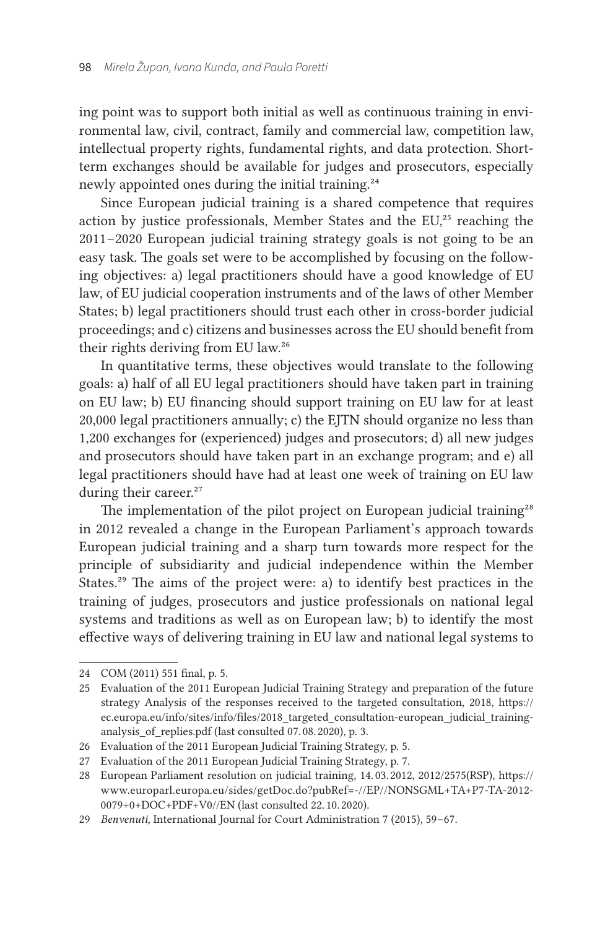ing point was to support both initial as well as continuous training in environmental law, civil, contract, family and commercial law, competition law, intellectual property rights, fundamental rights, and data protection. Shortterm exchanges should be available for judges and prosecutors, especially newly appointed ones during the initial training.24

Since European judicial training is a shared competence that requires action by justice professionals, Member States and the EU,<sup>25</sup> reaching the 2011 – 2020 European judicial training strategy goals is not going to be an easy task. The goals set were to be accomplished by focusing on the following objectives: a) legal practitioners should have a good knowledge of EU law, of EU judicial cooperation instruments and of the laws of other Member States; b) legal practitioners should trust each other in cross-border judicial proceedings; and c) citizens and businesses across the EU should benefit from their rights deriving from EU law.26

In quantitative terms, these objectives would translate to the following goals: a) half of all EU legal practitioners should have taken part in training on EU law; b) EU financing should support training on EU law for at least 20,000 legal practitioners annually; c) the EJTN should organize no less than 1,200 exchanges for (experienced) judges and prosecutors; d) all new judges and prosecutors should have taken part in an exchange program; and e) all legal practitioners should have had at least one week of training on EU law during their career.<sup>27</sup>

The implementation of the pilot project on European judicial training<sup>28</sup> in 2012 revealed a change in the European Parliament's approach towards European judicial training and a sharp turn towards more respect for the principle of subsidiarity and judicial independence within the Member States.29 The aims of the project were: a) to identify best practices in the training of judges, prosecutors and justice professionals on national legal systems and traditions as well as on European law; b) to identify the most effective ways of delivering training in EU law and national legal systems to

<sup>24</sup> COM (2011) 551 final, p. 5.

<sup>25</sup> Evaluation of the 2011 European Judicial Training Strategy and preparation of the future strategy Analysis of the responses received to the targeted consultation, 2018, [https://](https://ec.europa.eu/info/sites/info/files/2018_targeted_consultation-european_judicial_training-analysis_of_replies.pdf) [ec.europa.eu/info/sites/info/files/2018\\_targeted\\_consultation-european\\_judicial\\_training](https://ec.europa.eu/info/sites/info/files/2018_targeted_consultation-european_judicial_training-analysis_of_replies.pdf)analysis of replies.pdf (last consulted 07.08.2020), p. 3.

<sup>26</sup> Evaluation of the 2011 European Judicial Training Strategy, p. 5.

<sup>27</sup> Evaluation of the 2011 European Judicial Training Strategy, p. 7.

<sup>28</sup> European Parliament resolution on judicial training, 14. 03. 2012, 2012/2575(RSP), [https://](https://www.europarl.europa.eu/sides/getDoc.do?pubRef=-//EP//NONSGML+TA+P7-TA-2012-0079+0+DOC+PDF+V0//EN) [www.europarl.europa.eu/sides/getDoc.do?pubRef=-//EP//NONSGML+TA+P7-TA-2012-](https://www.europarl.europa.eu/sides/getDoc.do?pubRef=-//EP//NONSGML+TA+P7-TA-2012-0079+0+DOC+PDF+V0//EN) [0079+0+DOC+PDF+V0//EN](https://www.europarl.europa.eu/sides/getDoc.do?pubRef=-//EP//NONSGML+TA+P7-TA-2012-0079+0+DOC+PDF+V0//EN) (last consulted 22. 10. 2020).

<sup>29</sup> *Benvenuti*, International Journal for Court Administration 7 (2015), 59-67.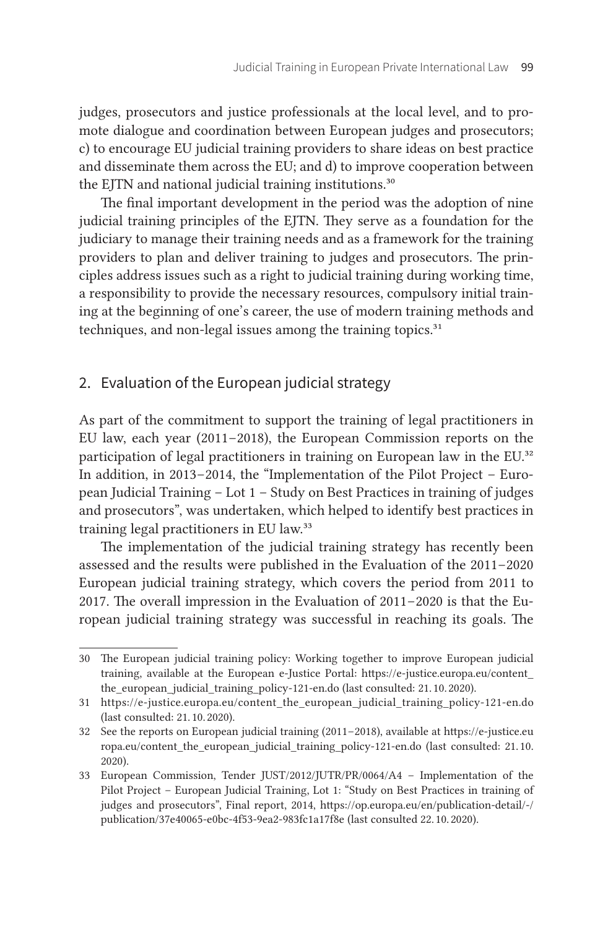judges, prosecutors and justice professionals at the local level, and to promote dialogue and coordination between European judges and prosecutors; c) to encourage EU judicial training providers to share ideas on best practice and disseminate them across the EU; and d) to improve cooperation between the EJTN and national judicial training institutions.<sup>30</sup>

The final important development in the period was the adoption of nine judicial training principles of the EJTN. They serve as a foundation for the judiciary to manage their training needs and as a framework for the training providers to plan and deliver training to judges and prosecutors. The principles address issues such as a right to judicial training during working time, a responsibility to provide the necessary resources, compulsory initial training at the beginning of one's career, the use of modern training methods and techniques, and non-legal issues among the training topics.<sup>31</sup>

#### 2. Evaluation of the European judicial strategy

As part of the commitment to support the training of legal practitioners in EU law, each year (2011–2018), the European Commission reports on the participation of legal practitioners in training on European law in the EU.<sup>32</sup> In addition, in 2013–2014, the "Implementation of the Pilot Project – European Judicial Training – Lot 1 – Study on Best Practices in training of judges and prosecutors", was undertaken, which helped to identify best practices in training legal practitioners in EU law.33

The implementation of the judicial training strategy has recently been assessed and the results were published in the Evaluation of the 2011–2020 European judicial training strategy, which covers the period from 2011 to 2017. The overall impression in the Evaluation of 2011–2020 is that the European judicial training strategy was successful in reaching its goals. The

<sup>30</sup> The European judicial training policy: Working together to improve European judicial training, available at the European e-Justice Portal: [https://e-justice.europa.eu/content\\_](https://e-justice.europa.eu/content_the_european_judicial_training_policy-121-en.do) [the\\_european\\_judicial\\_training\\_policy-121-en.do](https://e-justice.europa.eu/content_the_european_judicial_training_policy-121-en.do) (last consulted: 21. 10. 2020).

<sup>31</sup> https://e-justice.europa.eu/content\_the\_european\_judicial\_training\_policy-121-en.do (last consulted: 21. 10. 2020).

<sup>32</sup> See the reports on European judicial training (2011 – 2018), available at [https://e-justice.eu](https://e-justice.europa.eu/content_the_european_judicial_training_policy-121-en.do) [ropa.eu/content\\_the\\_european\\_judicial\\_training\\_policy-121-en.do](https://e-justice.europa.eu/content_the_european_judicial_training_policy-121-en.do) (last consulted: 21. 10.  2020).

<sup>33</sup> European Commission, Tender JUST/2012/JUTR/PR/0064/A4 – Implementation of the Pilot Project – European Judicial Training, Lot 1: "Study on Best Practices in training of judges and prosecutors", Final report, 2014, [https://op.europa.eu/en/publication-detail/-/](https://op.europa.eu/en/publication-detail/-/publication/37e40065-e0bc-4f53-9ea2-983fc1a17f8e) [publication/37e40065-e0bc-4f53-9ea2-983fc1a17f8e](https://op.europa.eu/en/publication-detail/-/publication/37e40065-e0bc-4f53-9ea2-983fc1a17f8e) (last consulted 22. 10. 2020).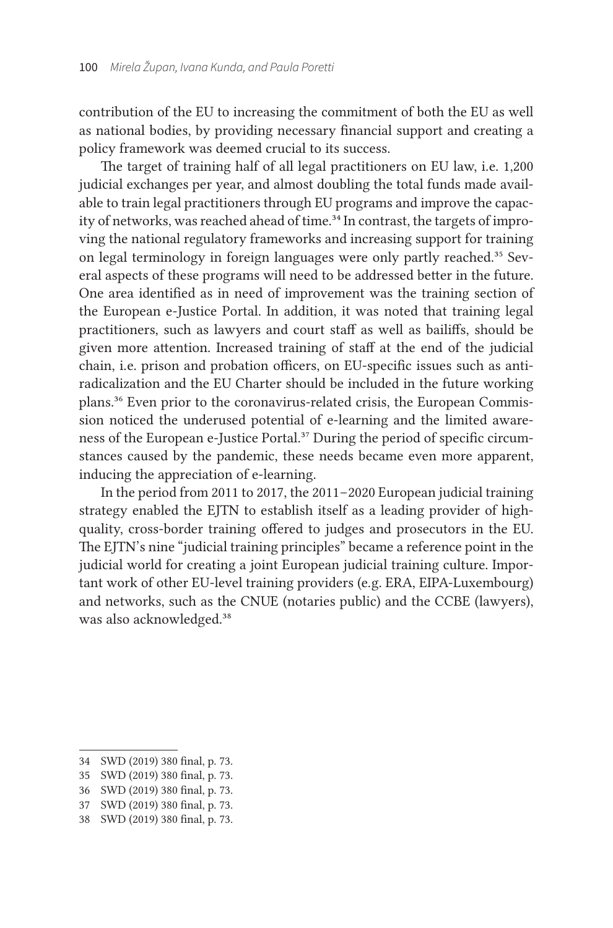contribution of the EU to increasing the commitment of both the EU as well as national bodies, by providing necessary financial support and creating a policy framework was deemed crucial to its success.

The target of training half of all legal practitioners on EU law, i.e. 1,200 judicial exchanges per year, and almost doubling the total funds made available to train legal practitioners through EU programs and improve the capacity of networks, was reached ahead of time.<sup>34</sup> In contrast, the targets of improving the national regulatory frameworks and increasing support for training on legal terminology in foreign languages were only partly reached.<sup>35</sup> Several aspects of these programs will need to be addressed better in the future. One area identified as in need of improvement was the training section of the European e-Justice Portal. In addition, it was noted that training legal practitioners, such as lawyers and court staff as well as bailiffs, should be given more attention. Increased training of staff at the end of the judicial chain, i. e. prison and probation officers, on EU-specific issues such as antiradicalization and the EU Charter should be included in the future working plans.36 Even prior to the coronavirus-related crisis, the European Commission noticed the underused potential of e-learning and the limited awareness of the European e-Justice Portal.37 During the period of specific circumstances caused by the pandemic, these needs became even more apparent, inducing the appreciation of e-learning.

In the period from 2011 to 2017, the 2011–2020 European judicial training strategy enabled the EJTN to establish itself as a leading provider of highquality, cross-border training offered to judges and prosecutors in the EU. The EJTN's nine "judicial training principles" became a reference point in the judicial world for creating a joint European judicial training culture. Important work of other EU-level training providers (e. g. ERA, EIPA-Luxembourg) and networks, such as the CNUE (notaries public) and the CCBE (lawyers), was also acknowledged.38

<sup>34</sup> SWD (2019) 380 final, p. 73.

<sup>35</sup> SWD (2019) 380 final, p. 73.

<sup>36</sup> SWD (2019) 380 final, p. 73.

<sup>37</sup> SWD (2019) 380 final, p. 73.

<sup>38</sup> SWD (2019) 380 final, p. 73.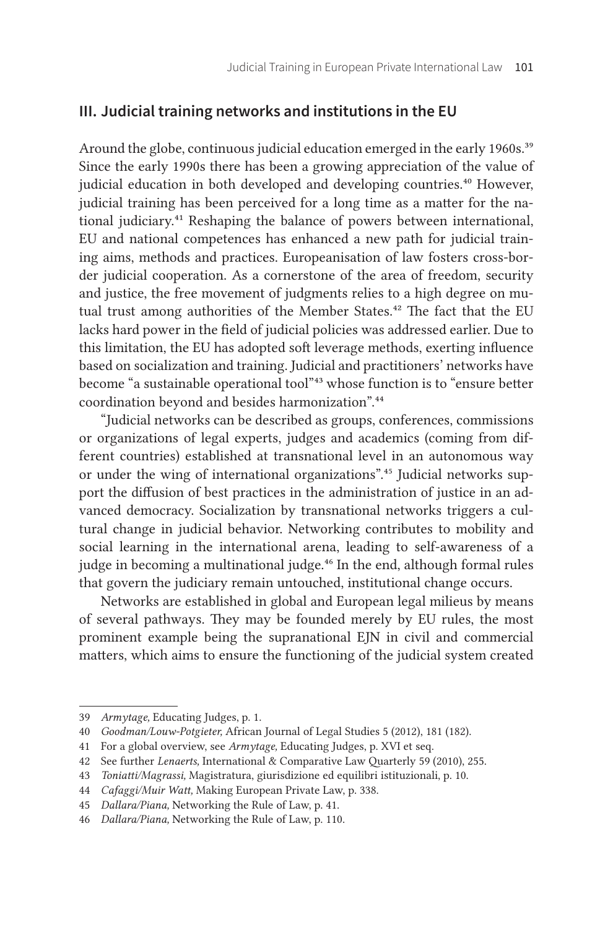## **III. Judicial training networks and institutions in the EU**

Around the globe, continuous judicial education emerged in the early 1960s.<sup>39</sup> Since the early 1990s there has been a growing appreciation of the value of judicial education in both developed and developing countries.<sup>40</sup> However, judicial training has been perceived for a long time as a matter for the national judiciary.<sup>41</sup> Reshaping the balance of powers between international, EU and national competences has enhanced a new path for judicial training aims, methods and practices. Europeanisation of law fosters cross-border judicial cooperation. As a cornerstone of the area of freedom, security and justice, the free movement of judgments relies to a high degree on mutual trust among authorities of the Member States.<sup>42</sup> The fact that the EU lacks hard power in the field of judicial policies was addressed earlier. Due to this limitation, the EU has adopted soft leverage methods, exerting influence based on socialization and training. Judicial and practitioners' networks have become "a sustainable operational tool"43 whose function is to "ensure better coordination beyond and besides harmonization".44

"Judicial networks can be described as groups, conferences, commissions or organizations of legal experts, judges and academics (coming from different countries) established at transnational level in an autonomous way or under the wing of international organizations".<sup>45</sup> Judicial networks support the diffusion of best practices in the administration of justice in an advanced democracy. Socialization by transnational networks triggers a cultural change in judicial behavior. Networking contributes to mobility and social learning in the international arena, leading to self-awareness of a judge in becoming a multinational judge.<sup>46</sup> In the end, although formal rules that govern the judiciary remain untouched, institutional change occurs.

Networks are established in global and European legal milieus by means of several pathways. They may be founded merely by EU rules, the most prominent example being the supranational EJN in civil and commercial matters, which aims to ensure the functioning of the judicial system created

44 *Cafaggi/Muir Watt,* Making European Private Law, p. 338.

<sup>39</sup> *Armytage*, Educating Judges, p. 1.

<sup>40</sup> *Goodman/Louw-Potgieter,* African Journal of Legal Studies 5 (2012), 181 (182).

<sup>41</sup> For a global overview, see *Armytage,* Educating Judges, p. XVI et seq.

<sup>42</sup> See further *Lenaerts,* International & Comparative Law Quarterly 59 (2010), 255.

<sup>43</sup> *Toniatti/Magrassi,* Magistratura, giurisdizione ed equilibri istituzionali, p. 10.

<sup>45</sup> *Dallara/Piana,* Networking the Rule of Law, p. 41.

<sup>46</sup> *Dallara/Piana,* Networking the Rule of Law, p. 110.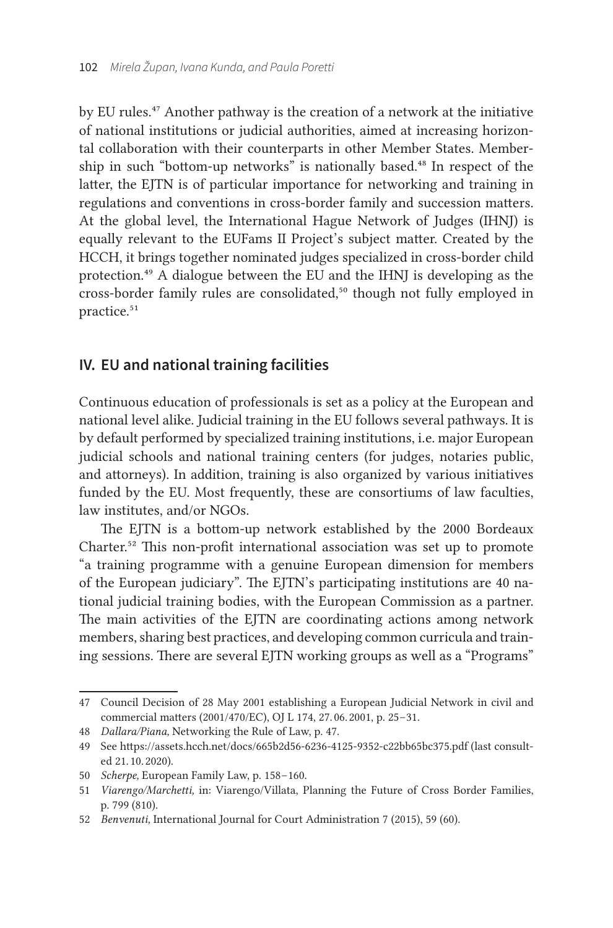by EU rules.<sup>47</sup> Another pathway is the creation of a network at the initiative of national institutions or judicial authorities, aimed at increasing horizontal collaboration with their counterparts in other Member States. Membership in such "bottom-up networks" is nationally based.<sup>48</sup> In respect of the latter, the EJTN is of particular importance for networking and training in regulations and conventions in cross-border family and succession matters. At the global level, the International Hague Network of Judges (IHNJ) is equally relevant to the EUFams II Project's subject matter. Created by the HCCH, it brings together nominated judges specialized in cross-border child protection.49 A dialogue between the EU and the IHNJ is developing as the cross-border family rules are consolidated,<sup>50</sup> though not fully employed in practice.<sup>51</sup>

## **IV. EU and national training facilities**

Continuous education of professionals is set as a policy at the European and national level alike. Judicial training in the EU follows several pathways. It is by default performed by specialized training institutions, i. e. major European judicial schools and national training centers (for judges, notaries public, and attorneys). In addition, training is also organized by various initiatives funded by the EU. Most frequently, these are consortiums of law faculties, law institutes, and/or NGOs.

The EJTN is a bottom-up network established by the 2000 Bordeaux Charter.52 This non-profit international association was set up to promote "a training programme with a genuine European dimension for members of the European judiciary". The EJTN's participating institutions are 40 national judicial training bodies, with the European Commission as a partner. The main activities of the EJTN are coordinating actions among network members, sharing best practices, and developing common curricula and training sessions. There are several EJTN working groups as well as a "Programs"

<sup>47</sup> Council Decision of 28 May 2001 establishing a European Judicial Network in civil and commercial matters (2001/470/EC), OJ L 174, 27. 06. 2001, p. 25 – 31.

<sup>48</sup> *Dallara/Piana,* Networking the Rule of Law, p. 47.

<sup>49</sup> See https://assets.hcch.net/docs/665b2d56-6236-4125-9352-c22bb65bc375.pdf (last consulted 21. 10. 2020).

<sup>50</sup> *Scherpe*, European Family Law, p. 158–160.

<sup>51</sup> *Viarengo/Marchetti,* in: Viarengo/Villata, Planning the Future of Cross Border Families, p. 799 (810).

<sup>52</sup> *Benvenuti,* International Journal for Court Administration 7 (2015), 59 (60).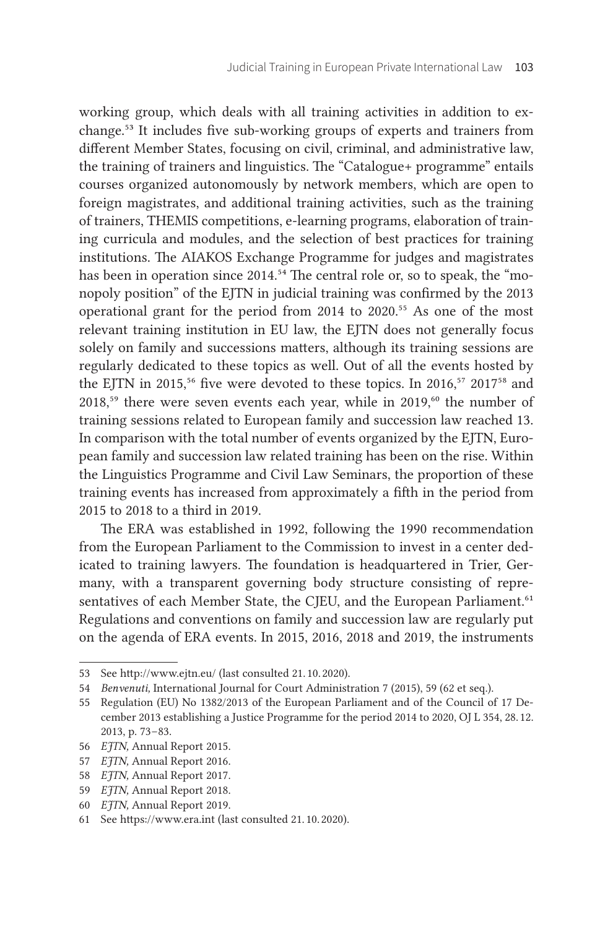working group, which deals with all training activities in addition to exchange.53 It includes five sub-working groups of experts and trainers from different Member States, focusing on civil, criminal, and administrative law, the training of trainers and linguistics. The "Catalogue+ programme" entails courses organized autonomously by network members, which are open to foreign magistrates, and additional training activities, such as the training of trainers, THEMIS competitions, e-learning programs, elaboration of training curricula and modules, and the selection of best practices for training institutions. The AIAKOS Exchange Programme for judges and magistrates has been in operation since 2014.<sup>54</sup> The central role or, so to speak, the "monopoly position" of the EJTN in judicial training was confirmed by the 2013 operational grant for the period from 2014 to 2020.<sup>55</sup> As one of the most relevant training institution in EU law, the EJTN does not generally focus solely on family and successions matters, although its training sessions are regularly dedicated to these topics as well. Out of all the events hosted by the EJTN in 2015,<sup>56</sup> five were devoted to these topics. In 2016,<sup>57</sup> 2017<sup>58</sup> and  $2018$ <sup>59</sup> there were seven events each year, while in 2019,<sup>60</sup> the number of training sessions related to European family and succession law reached 13. In comparison with the total number of events organized by the EJTN, European family and succession law related training has been on the rise. Within the Linguistics Programme and Civil Law Seminars, the proportion of these training events has increased from approximately a fifth in the period from 2015 to 2018 to a third in 2019.

The ERA was established in 1992, following the 1990 recommendation from the European Parliament to the Commission to invest in a center dedicated to training lawyers. The foundation is headquartered in Trier, Germany, with a transparent governing body structure consisting of representatives of each Member State, the CJEU, and the European Parliament.<sup>61</sup> Regulations and conventions on family and succession law are regularly put on the agenda of ERA events. In 2015, 2016, 2018 and 2019, the instruments

<sup>53</sup> See http://www.ejtn.eu/ (last consulted 21. 10. 2020).

<sup>54</sup> *Benvenuti,* International Journal for Court Administration 7 (2015), 59 (62 et seq.).

<sup>55</sup> Regulation (EU) No 1382/2013 of the European Parliament and of the Council of 17 December 2013 establishing a Justice Programme for the period 2014 to 2020, OJ L 354, 28. 12.  2013, p. 73-83.

<sup>56</sup> *EJTN,* Annual Report 2015.

<sup>57</sup> *EJTN,* Annual Report 2016.

<sup>58</sup> *EJTN,* Annual Report 2017.

<sup>59</sup> *EJTN,* Annual Report 2018.

<sup>60</sup> *EJTN,* Annual Report 2019.

<sup>61</sup> See https://www.era.int (last consulted 21. 10. 2020).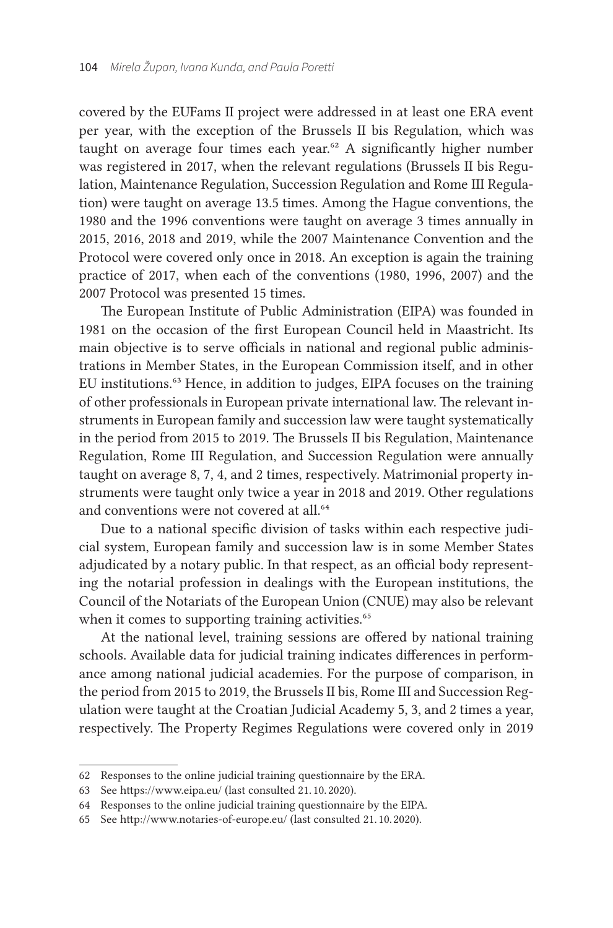covered by the EUFams II project were addressed in at least one ERA event per year, with the exception of the Brussels II bis Regulation, which was taught on average four times each year.<sup>62</sup> A significantly higher number was registered in 2017, when the relevant regulations (Brussels II bis Regulation, Maintenance Regulation, Succession Regulation and Rome III Regulation) were taught on average 13.5 times. Among the Hague conventions, the 1980 and the 1996 conventions were taught on average 3 times annually in 2015, 2016, 2018 and 2019, while the 2007 Maintenance Convention and the Protocol were covered only once in 2018. An exception is again the training practice of 2017, when each of the conventions (1980, 1996, 2007) and the 2007 Protocol was presented 15 times.

The European Institute of Public Administration (EIPA) was founded in 1981 on the occasion of the first European Council held in Maastricht. Its main objective is to serve officials in national and regional public administrations in Member States, in the European Commission itself, and in other EU institutions.63 Hence, in addition to judges, EIPA focuses on the training of other professionals in European private international law. The relevant instruments in European family and succession law were taught systematically in the period from 2015 to 2019. The Brussels II bis Regulation, Maintenance Regulation, Rome III Regulation, and Succession Regulation were annually taught on average 8, 7, 4, and 2 times, respectively. Matrimonial property instruments were taught only twice a year in 2018 and 2019. Other regulations and conventions were not covered at all.<sup>64</sup>

Due to a national specific division of tasks within each respective judicial system, European family and succession law is in some Member States adjudicated by a notary public. In that respect, as an official body representing the notarial profession in dealings with the European institutions, the Council of the Notariats of the European Union (CNUE) may also be relevant when it comes to supporting training activities.<sup>65</sup>

At the national level, training sessions are offered by national training schools. Available data for judicial training indicates differences in performance among national judicial academies. For the purpose of comparison, in the period from 2015 to 2019, the Brussels II bis, Rome III and Succession Regulation were taught at the Croatian Judicial Academy 5, 3, and 2 times a year, respectively. The Property Regimes Regulations were covered only in 2019

<sup>62</sup> Responses to the online judicial training questionnaire by the ERA.

<sup>63</sup> See https://www.eipa.eu/ (last consulted 21. 10. 2020).

<sup>64</sup> Responses to the online judicial training questionnaire by the EIPA.

<sup>65</sup> See http://www.notaries-of-europe.eu/ (last consulted 21. 10. 2020).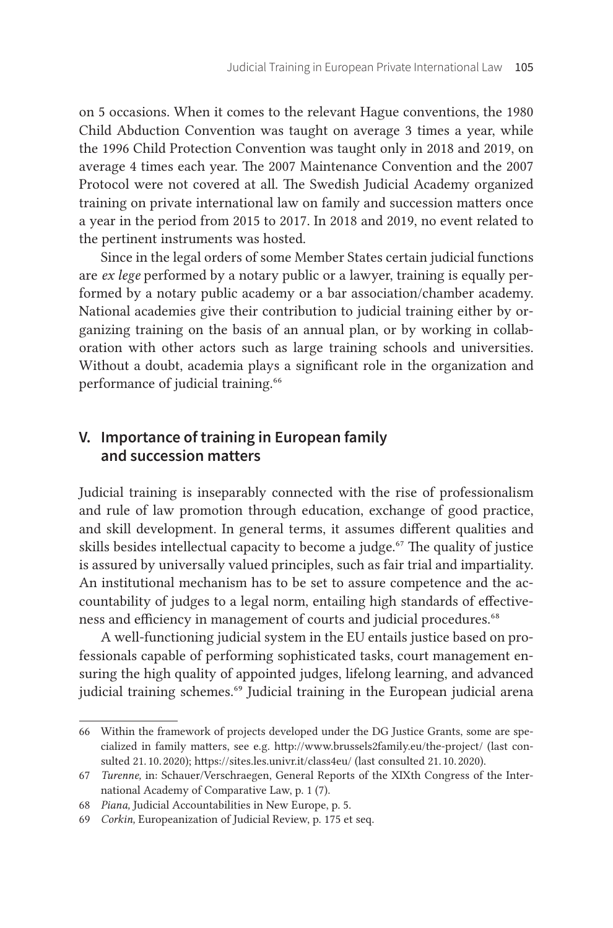on 5 occasions. When it comes to the relevant Hague conventions, the 1980 Child Abduction Convention was taught on average 3 times a year, while the 1996 Child Protection Convention was taught only in 2018 and 2019, on average 4 times each year. The 2007 Maintenance Convention and the 2007 Protocol were not covered at all. The Swedish Judicial Academy organized training on private international law on family and succession matters once a year in the period from 2015 to 2017. In 2018 and 2019, no event related to the pertinent instruments was hosted.

Since in the legal orders of some Member States certain judicial functions are *ex lege* performed by a notary public or a lawyer, training is equally performed by a notary public academy or a bar association/chamber academy. National academies give their contribution to judicial training either by organizing training on the basis of an annual plan, or by working in collaboration with other actors such as large training schools and universities. Without a doubt, academia plays a significant role in the organization and performance of judicial training.<sup>66</sup>

## **V. Importance of training in European family and succession matters**

Judicial training is inseparably connected with the rise of professionalism and rule of law promotion through education, exchange of good practice, and skill development. In general terms, it assumes different qualities and skills besides intellectual capacity to become a judge.<sup>67</sup> The quality of justice is assured by universally valued principles, such as fair trial and impartiality. An institutional mechanism has to be set to assure competence and the accountability of judges to a legal norm, entailing high standards of effectiveness and efficiency in management of courts and judicial procedures.<sup>68</sup>

A well-functioning judicial system in the EU entails justice based on professionals capable of performing sophisticated tasks, court management ensuring the high quality of appointed judges, lifelong learning, and advanced judicial training schemes.<sup>69</sup> Judicial training in the European judicial arena

<sup>66</sup> Within the framework of projects developed under the DG Justice Grants, some are specialized in family matters, see e. g. http://www.brussels2family.eu/the-project/ (last consulted 21. 10. 2020); https://sites.les.univr.it/class4eu/ (last consulted 21. 10. 2020).

<sup>67</sup> *Turenne,* in: Schauer/Verschraegen, General Reports of the XIXth Congress of the International Academy of Comparative Law, p. 1 (7).

<sup>68</sup> *Piana,* Judicial Accountabilities in New Europe, p. 5.

<sup>69</sup> *Corkin,* Europeanization of Judicial Review, p. 175 et seq.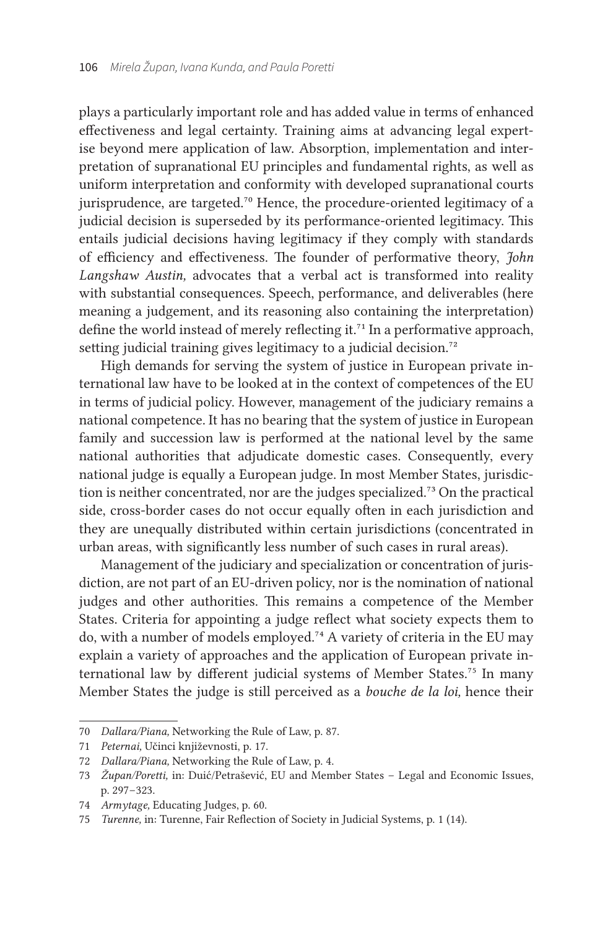plays a particularly important role and has added value in terms of enhanced effectiveness and legal certainty. Training aims at advancing legal expertise beyond mere application of law. Absorption, implementation and interpretation of supranational EU principles and fundamental rights, as well as uniform interpretation and conformity with developed supranational courts jurisprudence, are targeted.<sup>70</sup> Hence, the procedure-oriented legitimacy of a judicial decision is superseded by its performance-oriented legitimacy. This entails judicial decisions having legitimacy if they comply with standards of efficiency and effectiveness. The founder of performative theory, *John Langshaw Austin,* advocates that a verbal act is transformed into reality with substantial consequences. Speech, performance, and deliverables (here meaning a judgement, and its reasoning also containing the interpretation) define the world instead of merely reflecting it.<sup>71</sup> In a performative approach, setting judicial training gives legitimacy to a judicial decision.<sup>72</sup>

High demands for serving the system of justice in European private international law have to be looked at in the context of competences of the EU in terms of judicial policy. However, management of the judiciary remains a national competence. It has no bearing that the system of justice in European family and succession law is performed at the national level by the same national authorities that adjudicate domestic cases. Consequently, every national judge is equally a European judge. In most Member States, jurisdiction is neither concentrated, nor are the judges specialized.<sup>73</sup> On the practical side, cross-border cases do not occur equally often in each jurisdiction and they are unequally distributed within certain jurisdictions (concentrated in urban areas, with significantly less number of such cases in rural areas).

Management of the judiciary and specialization or concentration of jurisdiction, are not part of an EU-driven policy, nor is the nomination of national judges and other authorities. This remains a competence of the Member States. Criteria for appointing a judge reflect what society expects them to do, with a number of models employed.74 A variety of criteria in the EU may explain a variety of approaches and the application of European private international law by different judicial systems of Member States.75 In many Member States the judge is still perceived as a *bouche de la loi,* hence their

<sup>70</sup> *Dallara/Piana,* Networking the Rule of Law, p. 87.

<sup>71</sup> *Peternai,* Učinci književnosti, p. 17.

<sup>72</sup> *Dallara/Piana,* Networking the Rule of Law, p. 4.

<sup>73</sup> *Župan/Poretti,* in: Duić/Petrašević, EU and Member States – Legal and Economic Issues, p. 297-323.

<sup>74</sup> *Armytage,* Educating Judges, p. 60.

<sup>75</sup> *Turenne*, in: Turenne, Fair Reflection of Society in Judicial Systems, p. 1 (14).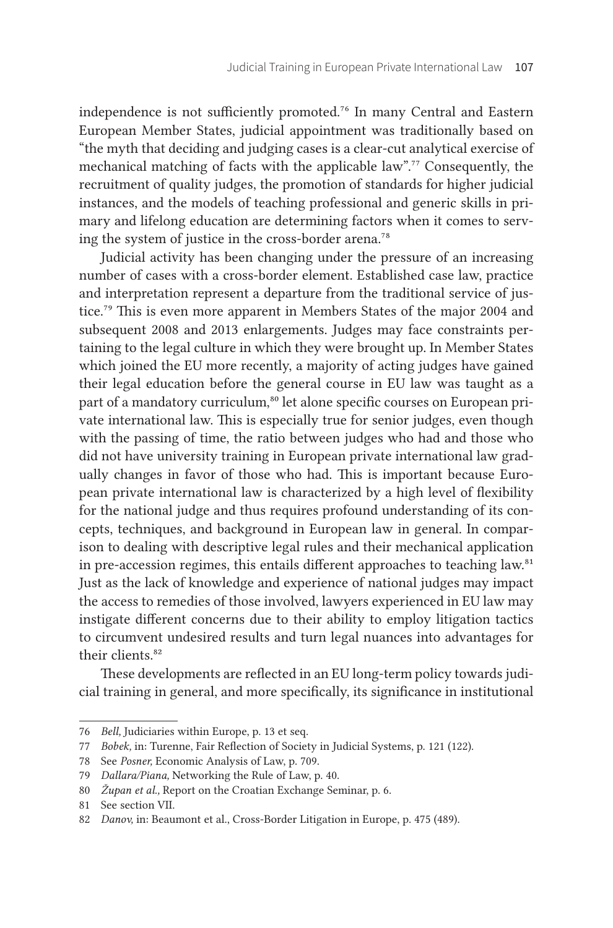independence is not sufficiently promoted.76 In many Central and Eastern European Member States, judicial appointment was traditionally based on "the myth that deciding and judging cases is a clear-cut analytical exercise of mechanical matching of facts with the applicable law".77 Consequently, the recruitment of quality judges, the promotion of standards for higher judicial instances, and the models of teaching professional and generic skills in primary and lifelong education are determining factors when it comes to serving the system of justice in the cross-border arena.<sup>78</sup>

Judicial activity has been changing under the pressure of an increasing number of cases with a cross-border element. Established case law, practice and interpretation represent a departure from the traditional service of justice.<sup>79</sup> This is even more apparent in Members States of the major 2004 and subsequent 2008 and 2013 enlargements. Judges may face constraints pertaining to the legal culture in which they were brought up. In Member States which joined the EU more recently, a majority of acting judges have gained their legal education before the general course in EU law was taught as a part of a mandatory curriculum,<sup>80</sup> let alone specific courses on European private international law. This is especially true for senior judges, even though with the passing of time, the ratio between judges who had and those who did not have university training in European private international law gradually changes in favor of those who had. This is important because European private international law is characterized by a high level of flexibility for the national judge and thus requires profound understanding of its concepts, techniques, and background in European law in general. In comparison to dealing with descriptive legal rules and their mechanical application in pre-accession regimes, this entails different approaches to teaching law.<sup>81</sup> Just as the lack of knowledge and experience of national judges may impact the access to remedies of those involved, lawyers experienced in EU law may instigate different concerns due to their ability to employ litigation tactics to circumvent undesired results and turn legal nuances into advantages for their clients.<sup>82</sup>

These developments are reflected in an EU long-term policy towards judicial training in general, and more specifically, its significance in institutional

<sup>76</sup> *Bell*, Judiciaries within Europe, p. 13 et seq.

<sup>77</sup> *Bobek*, in: Turenne, Fair Reflection of Society in Judicial Systems, p. 121 (122).

<sup>78</sup> See *Posner,* Economic Analysis of Law, p. 709.

<sup>79</sup> *Dallara/Piana*, Networking the Rule of Law, p. 40.

<sup>80</sup> *Župan et al.*, Report on the Croatian Exchange Seminar, p. 6.

<sup>81</sup> See section VII.

<sup>82</sup> *Danov*, in: Beaumont et al., Cross-Border Litigation in Europe, p. 475 (489).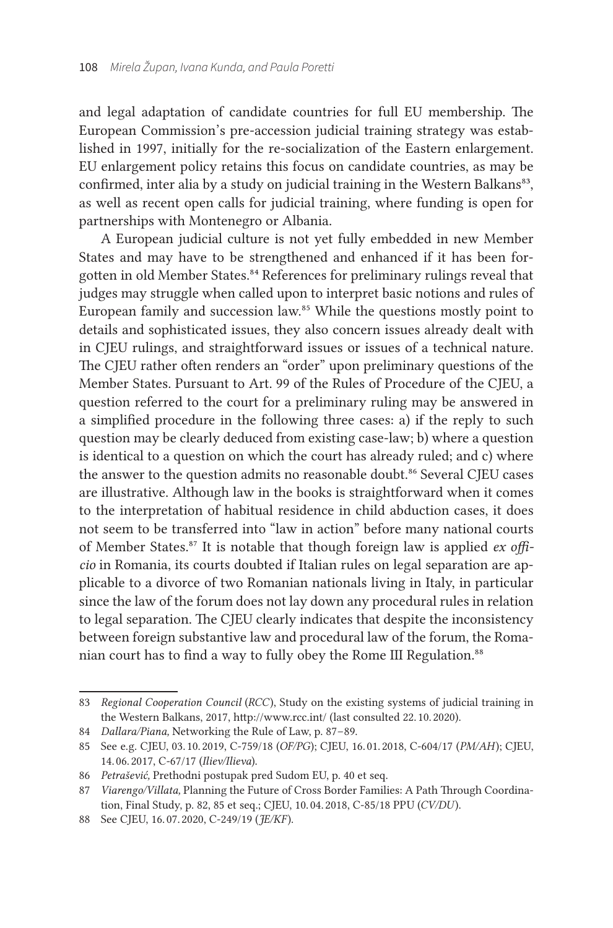and legal adaptation of candidate countries for full EU membership. The European Commission's pre-accession judicial training strategy was established in 1997, initially for the re-socialization of the Eastern enlargement. EU enlargement policy retains this focus on candidate countries, as may be confirmed, inter alia by a study on judicial training in the Western Balkans<sup>83</sup>, as well as recent open calls for judicial training, where funding is open for partnerships with Montenegro or Albania.

A European judicial culture is not yet fully embedded in new Member States and may have to be strengthened and enhanced if it has been forgotten in old Member States.84 References for preliminary rulings reveal that judges may struggle when called upon to interpret basic notions and rules of European family and succession law.85 While the questions mostly point to details and sophisticated issues, they also concern issues already dealt with in CJEU rulings, and straightforward issues or issues of a technical nature. The CJEU rather often renders an "order" upon preliminary questions of the Member States. Pursuant to Art. 99 of the Rules of Procedure of the CJEU, a question referred to the court for a preliminary ruling may be answered in a simplified procedure in the following three cases: a) if the reply to such question may be clearly deduced from existing case-law; b) where a question is identical to a question on which the court has already ruled; and c) where the answer to the question admits no reasonable doubt.<sup>86</sup> Several CJEU cases are illustrative. Although law in the books is straightforward when it comes to the interpretation of habitual residence in child abduction cases, it does not seem to be transferred into "law in action" before many national courts of Member States.87 It is notable that though foreign law is applied *ex officio* in Romania, its courts doubted if Italian rules on legal separation are applicable to a divorce of two Romanian nationals living in Italy, in particular since the law of the forum does not lay down any procedural rules in relation to legal separation. The CJEU clearly indicates that despite the inconsistency between foreign substantive law and procedural law of the forum, the Romanian court has to find a way to fully obey the Rome III Regulation.<sup>88</sup>

<sup>83</sup> *Regional Cooperation Council* (*RCC*), Study on the existing systems of judicial training in the Western Balkans, 2017, http://www.rcc.int/ (last consulted 22. 10. 2020).

<sup>84</sup> *Dallara/Piana*, Networking the Rule of Law, p. 87–89.

<sup>85</sup> See e. g. CJEU, 03. 10. 2019, C-759/18 (*OF/PG*); CJEU, 16. 01. 2018, C-604/17 (*PM/AH*); CJEU, 14. 06. 2017, C-67/17 (*Iliev/Ilieva*).

<sup>86</sup> *Petrašević*, Prethodni postupak pred Sudom EU, p. 40 et seq.

<sup>87</sup> *Viarengo/Villata,* Planning the Future of Cross Border Families: A Path Through Coordination, Final Study, p. 82, 85 et seq.; CJEU, 10. 04. 2018, C-85/18 PPU (*CV/DU*).

<sup>88</sup> See CJEU, 16. 07. 2020, C-249/19 (*JE/KF* ).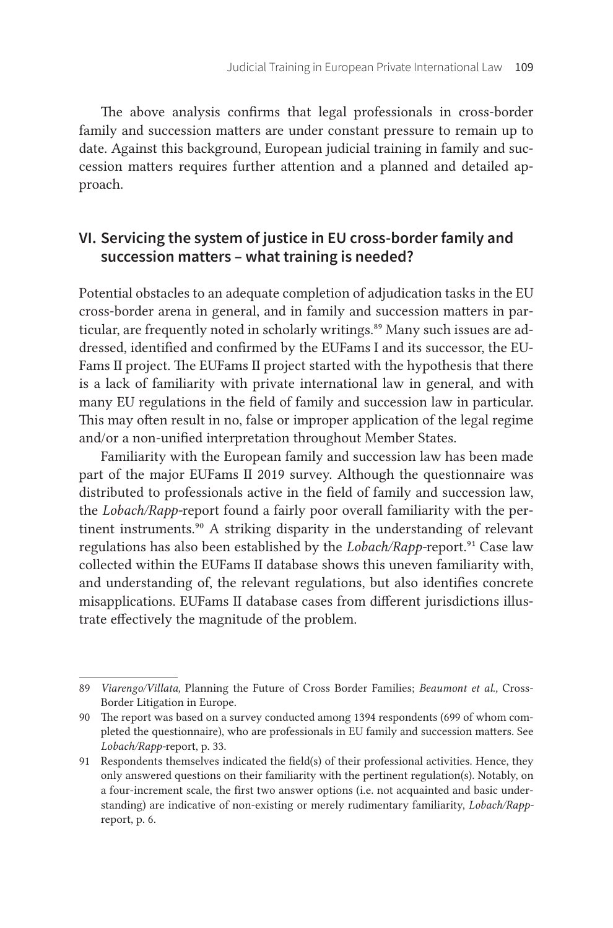The above analysis confirms that legal professionals in cross-border family and succession matters are under constant pressure to remain up to date. Against this background, European judicial training in family and succession matters requires further attention and a planned and detailed approach.

# **VI. Servicing the system of justice in EU cross-border family and succession matters – what training is needed?**

Potential obstacles to an adequate completion of adjudication tasks in the EU cross-border arena in general, and in family and succession matters in particular, are frequently noted in scholarly writings.<sup>89</sup> Many such issues are addressed, identified and confirmed by the EUFams I and its successor, the EU-Fams II project. The EUFams II project started with the hypothesis that there is a lack of familiarity with private international law in general, and with many EU regulations in the field of family and succession law in particular. This may often result in no, false or improper application of the legal regime and/or a non-unified interpretation throughout Member States.

Familiarity with the European family and succession law has been made part of the major EUFams II 2019 survey. Although the questionnaire was distributed to professionals active in the field of family and succession law, the *Lobach/Rapp-*report found a fairly poor overall familiarity with the pertinent instruments.<sup>90</sup> A striking disparity in the understanding of relevant regulations has also been established by the *Lobach/Rapp-*report.91 Case law collected within the EUFams II database shows this uneven familiarity with, and understanding of, the relevant regulations, but also identifies concrete misapplications. EUFams II database cases from different jurisdictions illustrate effectively the magnitude of the problem.

<sup>89</sup> *Viarengo/Villata,* Planning the Future of Cross Border Families; *Beaumont et al.,* Cross-Border Litigation in Europe.

<sup>90</sup> The report was based on a survey conducted among 1394 respondents (699 of whom completed the questionnaire), who are professionals in EU family and succession matters. See Lobach/Rapp-report, p. 33.

<sup>91</sup> Respondents themselves indicated the field(s) of their professional activities. Hence, they only answered questions on their familiarity with the pertinent regulation(s). Notably, on a four-increment scale, the first two answer options (i. e. not acquainted and basic understanding) are indicative of non-existing or merely rudimentary familiarity, *Lobach/Rapp*report, p. 6.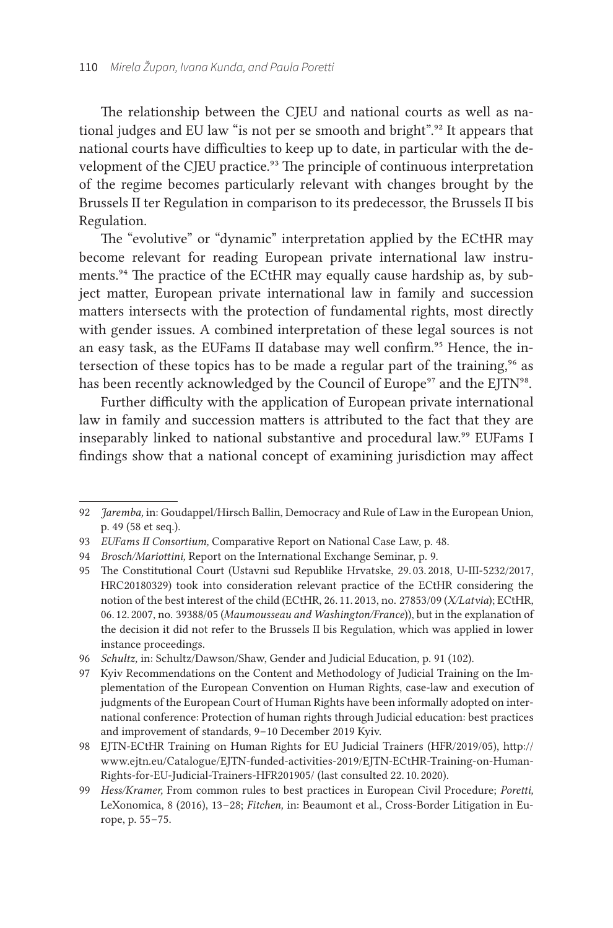The relationship between the CJEU and national courts as well as national judges and EU law "is not per se smooth and bright".<sup>92</sup> It appears that national courts have difficulties to keep up to date, in particular with the development of the CJEU practice.<sup>93</sup> The principle of continuous interpretation of the regime becomes particularly relevant with changes brought by the Brussels II ter Regulation in comparison to its predecessor, the Brussels II bis Regulation.

The "evolutive" or "dynamic" interpretation applied by the ECtHR may become relevant for reading European private international law instruments.<sup>94</sup> The practice of the ECtHR may equally cause hardship as, by subject matter, European private international law in family and succession matters intersects with the protection of fundamental rights, most directly with gender issues. A combined interpretation of these legal sources is not an easy task, as the EUFams II database may well confirm.<sup>95</sup> Hence, the intersection of these topics has to be made a regular part of the training,<sup>96</sup> as has been recently acknowledged by the Council of Europe<sup>97</sup> and the EJTN<sup>98</sup>.

Further difficulty with the application of European private international law in family and succession matters is attributed to the fact that they are inseparably linked to national substantive and procedural law.<sup>99</sup> EUFams I findings show that a national concept of examining jurisdiction may affect

<sup>92</sup> *Jaremba,* in: Goudappel/Hirsch Ballin, Democracy and Rule of Law in the European Union, p. 49 (58 et seq.).

<sup>93</sup> *EUFams II Consortium, Comparative Report on National Case Law, p. 48.* 

<sup>94</sup> *Brosch/Mariottini,* Report on the International Exchange Seminar, p. 9.

<sup>95</sup> The Constitutional Court (Ustavni sud Republike Hrvatske, 29. 03. 2018, U-III-5232/2017, HRC20180329) took into consideration relevant practice of the ECtHR considering the notion of the best interest of the child (ECtHR, 26. 11. 2013, no. 27853/09 (*X/Latvia*); ECtHR, 06. 12. 2007, no. 39388/05 (*Maumousseau and Washington/France*)), but in the explanation of the decision it did not refer to the Brussels II bis Regulation, which was applied in lower instance proceedings.

<sup>96</sup> *Schultz,* in: Schultz/Dawson/Shaw, Gender and Judicial Education, p. 91 (102).

<sup>97</sup> Kyiv Recommendations on the Content and Methodology of Judicial Training on the Implementation of the European Convention on Human Rights, case-law and execution of judgments of the European Court of Human Rights have been informally adopted on international conference: Protection of human rights through Judicial education: best practices and improvement of standards, 9-10 December 2019 Kyiv.

<sup>98</sup> EJTN-ECtHR Training on Human Rights for EU Judicial Trainers (HFR/2019/05), [http://](http://www.ejtn.eu/Catalogue/EJTN-funded-activities-2019/EJTN-ECtHR-Training-on-Human-Rights-for-EU-Judicial-Trainers-HFR201905/) [www.ejtn.eu/Catalogue/EJTN-funded-activities-2019/EJTN-ECtHR-Training-on-Human-](http://www.ejtn.eu/Catalogue/EJTN-funded-activities-2019/EJTN-ECtHR-Training-on-Human-Rights-for-EU-Judicial-Trainers-HFR201905/)[Rights-for-EU-Judicial-Trainers-HFR201905/](http://www.ejtn.eu/Catalogue/EJTN-funded-activities-2019/EJTN-ECtHR-Training-on-Human-Rights-for-EU-Judicial-Trainers-HFR201905/) (last consulted 22. 10. 2020).

<sup>99</sup> *Hess/Kramer,* From common rules to best practices in European Civil Procedure; *Poretti,* LeXonomica, 8 (2016), 13 – 28; *Fitchen,* in: Beaumont et al., Cross-Border Litigation in Europe, p. 55 – 75.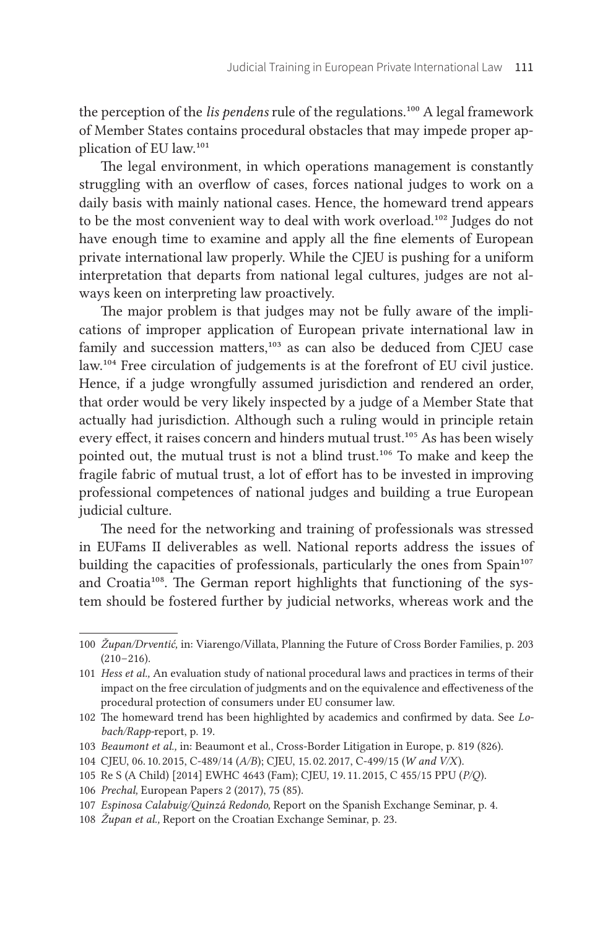the perception of the *lis pendens* rule of the regulations.<sup>100</sup> A legal framework of Member States contains procedural obstacles that may impede proper application of EU law.101

The legal environment, in which operations management is constantly struggling with an overflow of cases, forces national judges to work on a daily basis with mainly national cases. Hence, the homeward trend appears to be the most convenient way to deal with work overload.102 Judges do not have enough time to examine and apply all the fine elements of European private international law properly. While the CJEU is pushing for a uniform interpretation that departs from national legal cultures, judges are not always keen on interpreting law proactively.

The major problem is that judges may not be fully aware of the implications of improper application of European private international law in family and succession matters,<sup>103</sup> as can also be deduced from CJEU case law.104 Free circulation of judgements is at the forefront of EU civil justice. Hence, if a judge wrongfully assumed jurisdiction and rendered an order, that order would be very likely inspected by a judge of a Member State that actually had jurisdiction. Although such a ruling would in principle retain every effect, it raises concern and hinders mutual trust.<sup>105</sup> As has been wisely pointed out, the mutual trust is not a blind trust.106 To make and keep the fragile fabric of mutual trust, a lot of effort has to be invested in improving professional competences of national judges and building a true European judicial culture.

The need for the networking and training of professionals was stressed in EUFams II deliverables as well. National reports address the issues of building the capacities of professionals, particularly the ones from Spain<sup>107</sup> and Croatia<sup>108</sup>. The German report highlights that functioning of the system should be fostered further by judicial networks, whereas work and the

<sup>100</sup> *Župan/Drventić*, in: Viarengo/Villata, Planning the Future of Cross Border Families, p. 203  $(210 - 216).$ 

<sup>101</sup> *Hess et al.,* An evaluation study of national procedural laws and practices in terms of their impact on the free circulation of judgments and on the equivalence and effectiveness of the procedural protection of consumers under EU consumer law.

<sup>102</sup> The homeward trend has been highlighted by academics and confirmed by data. See *Lo*bach/Rapp-report, p. 19.

<sup>103</sup> *Beaumont et al.,* in: Beaumont et al., Cross-Border Litigation in Europe, p. 819 (826).

<sup>104</sup> CJEU, 06. 10. 2015, C-489/14 (*A/B*); CJEU, 15. 02. 2017, C-499/15 (*W and V/X*).

<sup>105</sup> Re S (A Child) [2014] EWHC 4643 (Fam); CJEU, 19. 11. 2015, C 455/15 PPU (*P/Q*).

<sup>106</sup> *Prechal,* European Papers 2 (2017), 75 (85).

<sup>107</sup> *Espinosa Calabuig/Quinzá Redondo,* Report on the Spanish Exchange Seminar, p. 4.

<sup>108</sup> *Župan et al.*, Report on the Croatian Exchange Seminar, p. 23.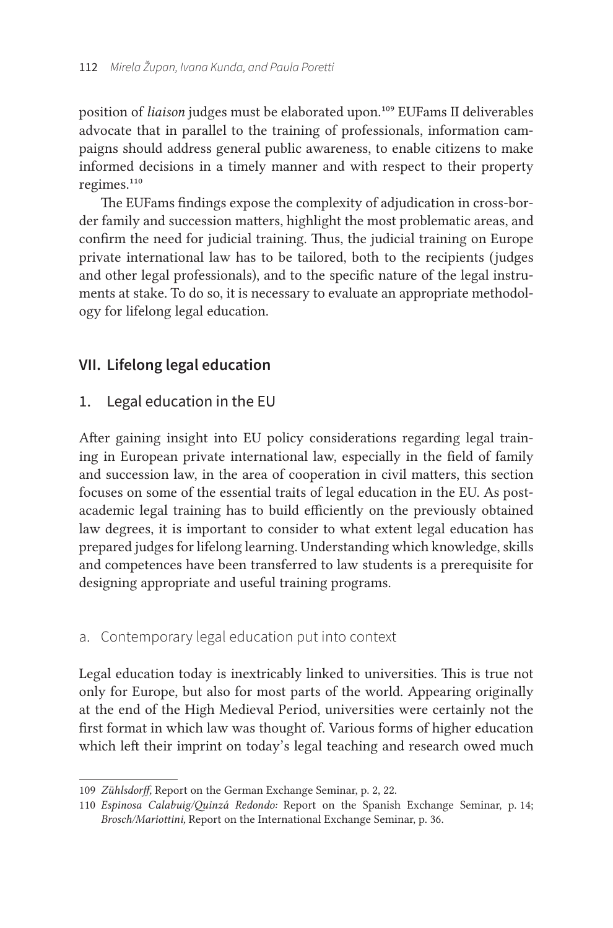position of *liaison* judges must be elaborated upon.109 EUFams II deliverables advocate that in parallel to the training of professionals, information campaigns should address general public awareness, to enable citizens to make informed decisions in a timely manner and with respect to their property regimes.<sup>110</sup>

The EUFams findings expose the complexity of adjudication in cross-border family and succession matters, highlight the most problematic areas, and confirm the need for judicial training. Thus, the judicial training on Europe private international law has to be tailored, both to the recipients (judges and other legal professionals), and to the specific nature of the legal instruments at stake. To do so, it is necessary to evaluate an appropriate methodology for lifelong legal education.

# **VII. Lifelong legal education**

## 1. Legal education in the EU

After gaining insight into EU policy considerations regarding legal training in European private international law, especially in the field of family and succession law, in the area of cooperation in civil matters, this section focuses on some of the essential traits of legal education in the EU. As postacademic legal training has to build efficiently on the previously obtained law degrees, it is important to consider to what extent legal education has prepared judges for lifelong learning. Understanding which knowledge, skills and competences have been transferred to law students is a prerequisite for designing appropriate and useful training programs.

## a. Contemporary legal education put into context

Legal education today is inextricably linked to universities. This is true not only for Europe, but also for most parts of the world. Appearing originally at the end of the High Medieval Period, universities were certainly not the first format in which law was thought of. Various forms of higher education which left their imprint on today's legal teaching and research owed much

<sup>109</sup> *Zühlsdorff*, Report on the German Exchange Seminar, p. 2, 22.

<sup>110</sup> *Espinosa Calabuig/Quinzá Redondo: Report on the Spanish Exchange Seminar*, p. 14; *Brosch/Mariottini,* Report on the International Exchange Seminar, p. 36.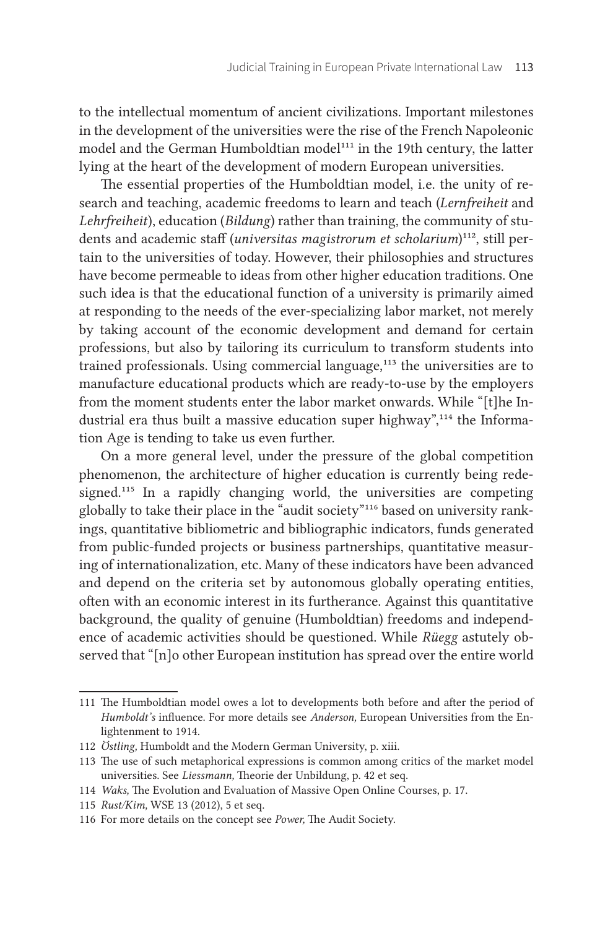to the intellectual momentum of ancient civilizations. Important milestones in the development of the universities were the rise of the French Napoleonic model and the German Humboldtian model<sup>111</sup> in the 19th century, the latter lying at the heart of the development of modern European universities.

The essential properties of the Humboldtian model, i.e. the unity of research and teaching, academic freedoms to learn and teach (*Lernfreiheit* and *Lehrfreiheit*), education (*Bildung*) rather than training, the community of students and academic staff (*universitas magistrorum et scholarium*)<sup>112</sup>, still pertain to the universities of today. However, their philosophies and structures have become permeable to ideas from other higher education traditions. One such idea is that the educational function of a university is primarily aimed at responding to the needs of the ever-specializing labor market, not merely by taking account of the economic development and demand for certain professions, but also by tailoring its curriculum to transform students into trained professionals. Using commercial language,<sup>113</sup> the universities are to manufacture educational products which are ready-to-use by the employers from the moment students enter the labor market onwards. While "[t]he Industrial era thus built a massive education super highway",<sup>114</sup> the Information Age is tending to take us even further.

On a more general level, under the pressure of the global competition phenomenon, the architecture of higher education is currently being redesigned.115 In a rapidly changing world, the universities are competing globally to take their place in the "audit society"<sup>116</sup> based on university rankings, quantitative bibliometric and bibliographic indicators, funds generated from public-funded projects or business partnerships, quantitative measuring of internationalization, etc. Many of these indicators have been advanced and depend on the criteria set by autonomous globally operating entities, often with an economic interest in its furtherance. Against this quantitative background, the quality of genuine (Humboldtian) freedoms and independence of academic activities should be questioned. While *Rüegg* astutely observed that "[n]o other European institution has spread over the entire world

<sup>111</sup> The Humboldtian model owes a lot to developments both before and after the period of *Humboldt's* influence. For more details see *Anderson,* European Universities from the Enlightenment to 1914.

<sup>112</sup> *Östling,* Humboldt and the Modern German University, p. xiii.

<sup>113</sup> The use of such metaphorical expressions is common among critics of the market model universities. See *Liessmann*, Theorie der Unbildung, p. 42 et seq.

<sup>114</sup> *Waks*, The Evolution and Evaluation of Massive Open Online Courses, p. 17.

<sup>115</sup> *Rust/Kim,* WSE 13 (2012), 5 et seq.

<sup>116</sup> For more details on the concept see *Power,* The Audit Society.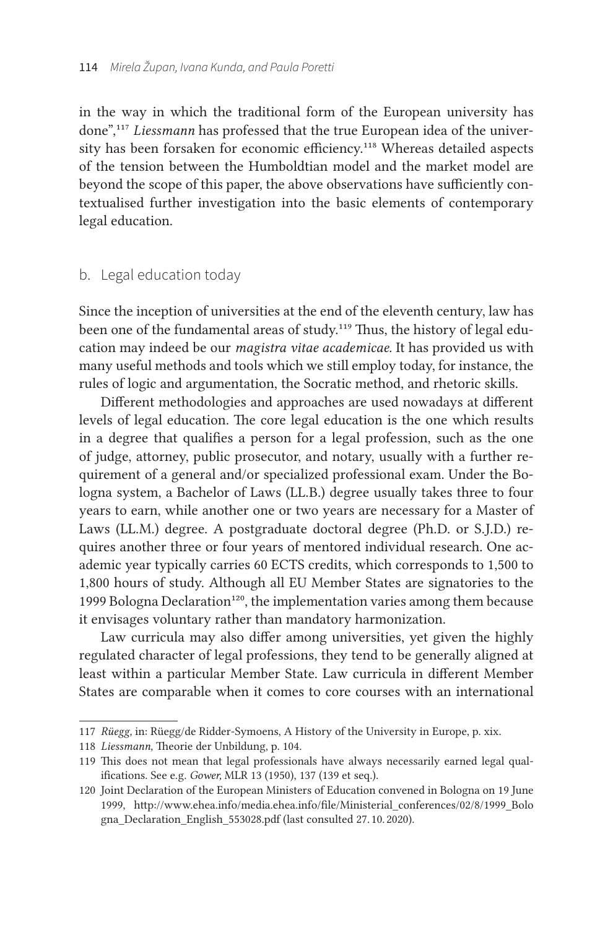in the way in which the traditional form of the European university has done",117 *Liessmann* has professed that the true European idea of the university has been forsaken for economic efficiency.<sup>118</sup> Whereas detailed aspects of the tension between the Humboldtian model and the market model are beyond the scope of this paper, the above observations have sufficiently contextualised further investigation into the basic elements of contemporary legal education.

#### b. Legal education today

Since the inception of universities at the end of the eleventh century, law has been one of the fundamental areas of study.<sup>119</sup> Thus, the history of legal education may indeed be our *magistra vitae academicae.* It has provided us with many useful methods and tools which we still employ today, for instance, the rules of logic and argumentation, the Socratic method, and rhetoric skills.

Different methodologies and approaches are used nowadays at different levels of legal education. The core legal education is the one which results in a degree that qualifies a person for a legal profession, such as the one of judge, attorney, public prosecutor, and notary, usually with a further requirement of a general and/or specialized professional exam. Under the Bologna system, a Bachelor of Laws (LL. B.) degree usually takes three to four years to earn, while another one or two years are necessary for a Master of Laws (LL.M.) degree. A postgraduate doctoral degree (Ph.D. or S.J.D.) requires another three or four years of mentored individual research. One academic year typically carries 60 ECTS credits, which corresponds to 1,500 to 1,800 hours of study. Although all EU Member States are signatories to the 1999 Bologna Declaration<sup>120</sup>, the implementation varies among them because it envisages voluntary rather than mandatory harmonization.

Law curricula may also differ among universities, yet given the highly regulated character of legal professions, they tend to be generally aligned at least within a particular Member State. Law curricula in different Member States are comparable when it comes to core courses with an international

<sup>117</sup> *Rüegg,* in: Rüegg/de Ridder-Symoens, A History of the University in Europe, p. xix.

<sup>118</sup> Liessmann, Theorie der Unbildung, p. 104.

<sup>119</sup> This does not mean that legal professionals have always necessarily earned legal qualifications. See e. g. *Gower,* MLR 13 (1950), 137 (139 et seq.).

<sup>120</sup> Joint Declaration of the European Ministers of Education convened in Bologna on 19 June 1999, [http://www.ehea.info/media.ehea.info/file/Ministerial\\_conferences/02/8/1999\\_Bolo](http://www.ehea.info/media.ehea.info/file/Ministerial_conferences/02/8/1999_Bologna_Declaration_English_553028.pdf) [gna\\_Declaration\\_English\\_553028.pdf](http://www.ehea.info/media.ehea.info/file/Ministerial_conferences/02/8/1999_Bologna_Declaration_English_553028.pdf) (last consulted 27. 10. 2020).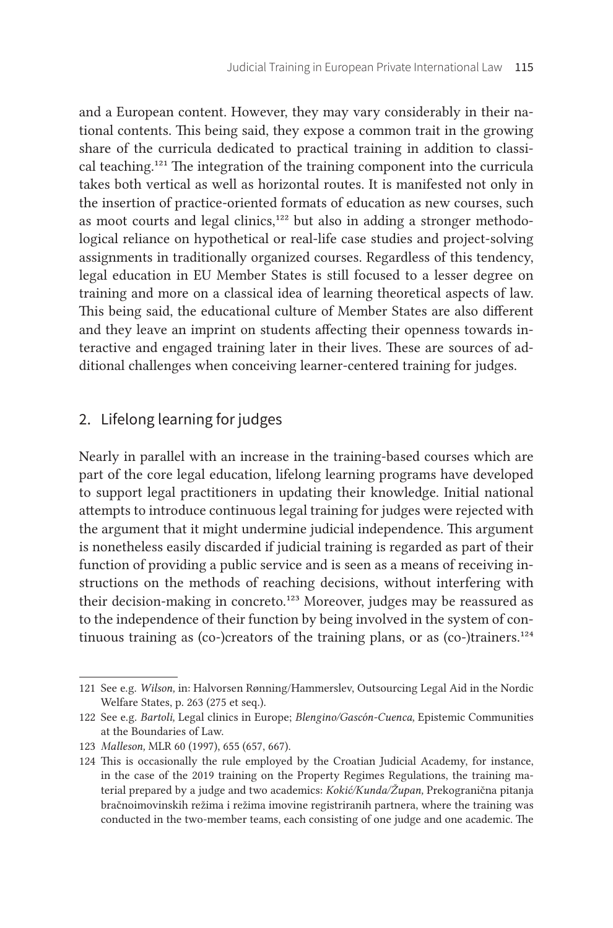and a European content. However, they may vary considerably in their national contents. This being said, they expose a common trait in the growing share of the curricula dedicated to practical training in addition to classical teaching.121 The integration of the training component into the curricula takes both vertical as well as horizontal routes. It is manifested not only in the insertion of practice-oriented formats of education as new courses, such as moot courts and legal clinics,<sup>122</sup> but also in adding a stronger methodological reliance on hypothetical or real-life case studies and project-solving assignments in traditionally organized courses. Regardless of this tendency, legal education in EU Member States is still focused to a lesser degree on training and more on a classical idea of learning theoretical aspects of law. This being said, the educational culture of Member States are also different and they leave an imprint on students affecting their openness towards interactive and engaged training later in their lives. These are sources of additional challenges when conceiving learner-centered training for judges.

## 2. Lifelong learning for judges

Nearly in parallel with an increase in the training-based courses which are part of the core legal education, lifelong learning programs have developed to support legal practitioners in updating their knowledge. Initial national attempts to introduce continuous legal training for judges were rejected with the argument that it might undermine judicial independence. This argument is nonetheless easily discarded if judicial training is regarded as part of their function of providing a public service and is seen as a means of receiving instructions on the methods of reaching decisions, without interfering with their decision-making in concreto.<sup>123</sup> Moreover, judges may be reassured as to the independence of their function by being involved in the system of continuous training as (co-)creators of the training plans, or as (co-)trainers.<sup>124</sup>

<sup>121</sup> See e. g. *Wilson,* in: Halvorsen Rønning/Hammerslev, Outsourcing Legal Aid in the Nordic Welfare States, p. 263 (275 et seq.).

<sup>122</sup> See e. g. *Bartoli,* Legal clinics in Europe; *Blengino/Gascón-Cuenca,* Epistemic Communities at the Boundaries of Law.

<sup>123</sup> *Malleson,* MLR 60 (1997), 655 (657, 667).

<sup>124</sup> This is occasionally the rule employed by the Croatian Judicial Academy, for instance, in the case of the 2019 training on the Property Regimes Regulations, the training material prepared by a judge and two academics: *Kokić/Kunda/Župan,* Prekogranična pitanja bračnoimovinskih režima i režima imovine registriranih partnera, where the training was conducted in the two-member teams, each consisting of one judge and one academic. The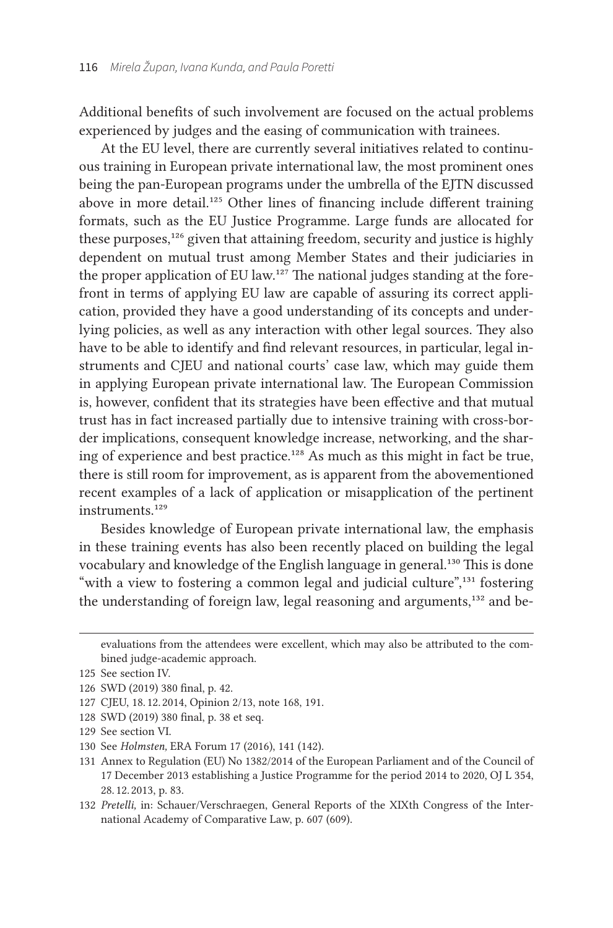Additional benefits of such involvement are focused on the actual problems experienced by judges and the easing of communication with trainees.

At the EU level, there are currently several initiatives related to continuous training in European private international law, the most prominent ones being the pan-European programs under the umbrella of the EJTN discussed above in more detail.<sup>125</sup> Other lines of financing include different training formats, such as the EU Justice Programme. Large funds are allocated for these purposes,<sup>126</sup> given that attaining freedom, security and justice is highly dependent on mutual trust among Member States and their judiciaries in the proper application of EU law.<sup>127</sup> The national judges standing at the forefront in terms of applying EU law are capable of assuring its correct application, provided they have a good understanding of its concepts and underlying policies, as well as any interaction with other legal sources. They also have to be able to identify and find relevant resources, in particular, legal instruments and CJEU and national courts' case law, which may guide them in applying European private international law. The European Commission is, however, confident that its strategies have been effective and that mutual trust has in fact increased partially due to intensive training with cross-border implications, consequent knowledge increase, networking, and the sharing of experience and best practice.<sup>128</sup> As much as this might in fact be true, there is still room for improvement, as is apparent from the abovementioned recent examples of a lack of application or misapplication of the pertinent instruments.<sup>129</sup>

Besides knowledge of European private international law, the emphasis in these training events has also been recently placed on building the legal vocabulary and knowledge of the English language in general.130 This is done "with a view to fostering a common legal and judicial culture",<sup>331</sup> fostering the understanding of foreign law, legal reasoning and arguments,<sup>132</sup> and be-

132 *Pretelli,* in: Schauer/Verschraegen, General Reports of the XIXth Congress of the International Academy of Comparative Law, p. 607 (609).

evaluations from the attendees were excellent, which may also be attributed to the combined judge-academic approach.

<sup>125</sup> See section IV.

<sup>126</sup> SWD (2019) 380 final, p. 42.

<sup>127</sup> CJEU, 18. 12. 2014, Opinion 2/13, note 168, 191.

<sup>128</sup> SWD (2019) 380 final, p. 38 et seq.

<sup>129</sup> See section VI.

<sup>130</sup> See *Holmsten,* ERA Forum 17 (2016), 141 (142).

<sup>131</sup> Annex to Regulation (EU) No 1382/2014 of the European Parliament and of the Council of 17 December 2013 establishing a Justice Programme for the period 2014 to 2020, OJ L 354, 28. 12. 2013, p. 83.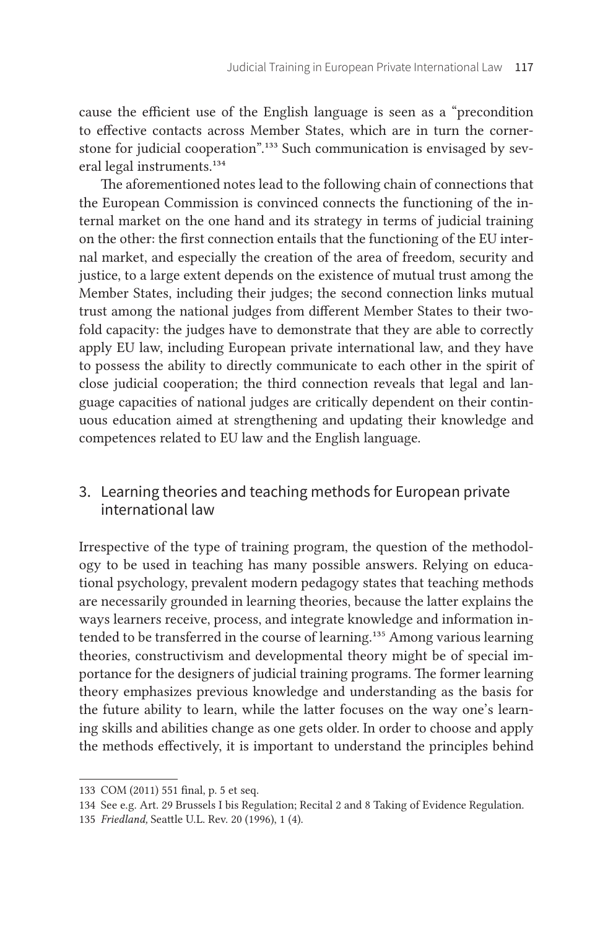cause the efficient use of the English language is seen as a "precondition to effective contacts across Member States, which are in turn the cornerstone for judicial cooperation".133 Such communication is envisaged by several legal instruments.134

The aforementioned notes lead to the following chain of connections that the European Commission is convinced connects the functioning of the internal market on the one hand and its strategy in terms of judicial training on the other: the first connection entails that the functioning of the EU internal market, and especially the creation of the area of freedom, security and justice, to a large extent depends on the existence of mutual trust among the Member States, including their judges; the second connection links mutual trust among the national judges from different Member States to their twofold capacity: the judges have to demonstrate that they are able to correctly apply EU law, including European private international law, and they have to possess the ability to directly communicate to each other in the spirit of close judicial cooperation; the third connection reveals that legal and language capacities of national judges are critically dependent on their continuous education aimed at strengthening and updating their knowledge and competences related to EU law and the English language.

# 3. Learning theories and teaching methods for European private international law

Irrespective of the type of training program, the question of the methodology to be used in teaching has many possible answers. Relying on educational psychology, prevalent modern pedagogy states that teaching methods are necessarily grounded in learning theories, because the latter explains the ways learners receive, process, and integrate knowledge and information intended to be transferred in the course of learning.<sup>135</sup> Among various learning theories, constructivism and developmental theory might be of special importance for the designers of judicial training programs. The former learning theory emphasizes previous knowledge and understanding as the basis for the future ability to learn, while the latter focuses on the way one's learning skills and abilities change as one gets older. In order to choose and apply the methods effectively, it is important to understand the principles behind

<sup>133</sup> COM (2011) 551 final, p. 5 et seq.

<sup>134</sup> See e.g. Art. 29 Brussels I bis Regulation; Recital 2 and 8 Taking of Evidence Regulation.

<sup>135</sup> *Friedland,* Seattle U. L. Rev. 20 (1996), 1 (4).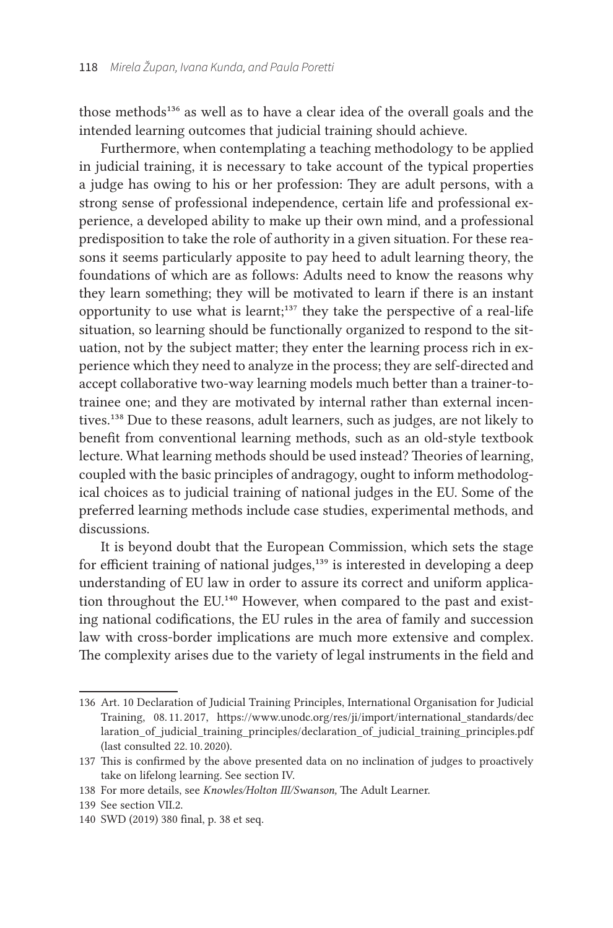those methods<sup>136</sup> as well as to have a clear idea of the overall goals and the intended learning outcomes that judicial training should achieve.

Furthermore, when contemplating a teaching methodology to be applied in judicial training, it is necessary to take account of the typical properties a judge has owing to his or her profession: They are adult persons, with a strong sense of professional independence, certain life and professional experience, a developed ability to make up their own mind, and a professional predisposition to take the role of authority in a given situation. For these reasons it seems particularly apposite to pay heed to adult learning theory, the foundations of which are as follows: Adults need to know the reasons why they learn something; they will be motivated to learn if there is an instant opportunity to use what is learnt;<sup>137</sup> they take the perspective of a real-life situation, so learning should be functionally organized to respond to the situation, not by the subject matter; they enter the learning process rich in experience which they need to analyze in the process; they are self-directed and accept collaborative two-way learning models much better than a trainer-totrainee one; and they are motivated by internal rather than external incentives.138 Due to these reasons, adult learners, such as judges, are not likely to benefit from conventional learning methods, such as an old-style textbook lecture. What learning methods should be used instead? Theories of learning, coupled with the basic principles of andragogy, ought to inform methodological choices as to judicial training of national judges in the EU. Some of the preferred learning methods include case studies, experimental methods, and discussions.

It is beyond doubt that the European Commission, which sets the stage for efficient training of national judges,<sup>139</sup> is interested in developing a deep understanding of EU law in order to assure its correct and uniform application throughout the EU.<sup>140</sup> However, when compared to the past and existing national codifications, the EU rules in the area of family and succession law with cross-border implications are much more extensive and complex. The complexity arises due to the variety of legal instruments in the field and

<sup>136</sup> Art. 10 Declaration of Judicial Training Principles, International Organisation for Judicial Training, 08. 11. 2017, [https://www.unodc.org/res/ji/import/international\\_standards/dec](https://www.unodc.org/res/ji/import/international_standards/declaration_of_judicial_training_principles/declaration_of_judicial_training_principles.pdf) laration of judicial training principles/declaration of judicial training principles.pdf (last consulted 22. 10. 2020).

<sup>137</sup> This is confirmed by the above presented data on no inclination of judges to proactively take on lifelong learning. See section IV.

<sup>138</sup> For more details, see *Knowles/Holton III/Swanson,* The Adult Learner.

<sup>139</sup> See section VII.2.

<sup>140</sup> SWD (2019) 380 final, p. 38 et seq.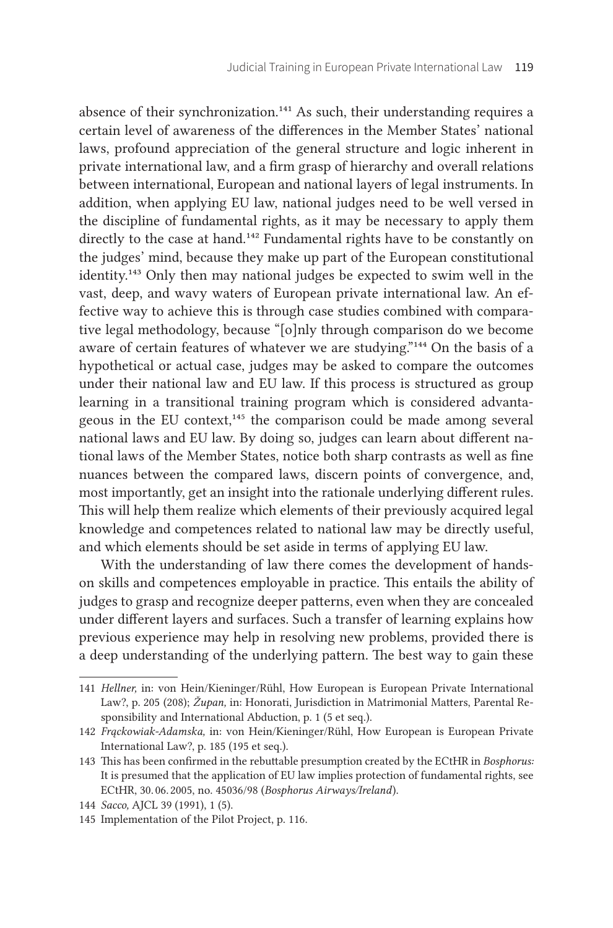absence of their synchronization.141 As such, their understanding requires a certain level of awareness of the differences in the Member States' national laws, profound appreciation of the general structure and logic inherent in private international law, and a firm grasp of hierarchy and overall relations between international, European and national layers of legal instruments. In addition, when applying EU law, national judges need to be well versed in the discipline of fundamental rights, as it may be necessary to apply them directly to the case at hand.<sup>142</sup> Fundamental rights have to be constantly on the judges' mind, because they make up part of the European constitutional identity.143 Only then may national judges be expected to swim well in the vast, deep, and wavy waters of European private international law. An effective way to achieve this is through case studies combined with comparative legal methodology, because "[o]nly through comparison do we become aware of certain features of whatever we are studying."144 On the basis of a hypothetical or actual case, judges may be asked to compare the outcomes under their national law and EU law. If this process is structured as group learning in a transitional training program which is considered advantageous in the EU context,<sup>145</sup> the comparison could be made among several national laws and EU law. By doing so, judges can learn about different national laws of the Member States, notice both sharp contrasts as well as fine nuances between the compared laws, discern points of convergence, and, most importantly, get an insight into the rationale underlying different rules. This will help them realize which elements of their previously acquired legal knowledge and competences related to national law may be directly useful, and which elements should be set aside in terms of applying EU law.

With the understanding of law there comes the development of handson skills and competences employable in practice. This entails the ability of judges to grasp and recognize deeper patterns, even when they are concealed under different layers and surfaces. Such a transfer of learning explains how previous experience may help in resolving new problems, provided there is a deep understanding of the underlying pattern. The best way to gain these

<sup>141</sup> *Hellner,* in: von Hein/Kieninger/Rühl, How European is European Private International Law?, p. 205 (208); Župan, in: Honorati, Jurisdiction in Matrimonial Matters, Parental Responsibility and International Abduction, p. 1 (5 et seq.).

<sup>142</sup> *Frąckowiak-Adamska,* in: von Hein/Kieninger/Rühl, How European is European Private International Law?, p. 185 (195 et seq.).

<sup>143</sup> This has been confirmed in the rebuttable presumption created by the ECtHR in *Bosphorus:* It is presumed that the application of EU law implies protection of fundamental rights, see ECtHR, 30. 06. 2005, no. 45036/98 (*Bosphorus Airways/Ireland*).

<sup>144</sup> *Sacco,* AJCL 39 (1991), 1 (5).

<sup>145</sup> Implementation of the Pilot Project, p. 116.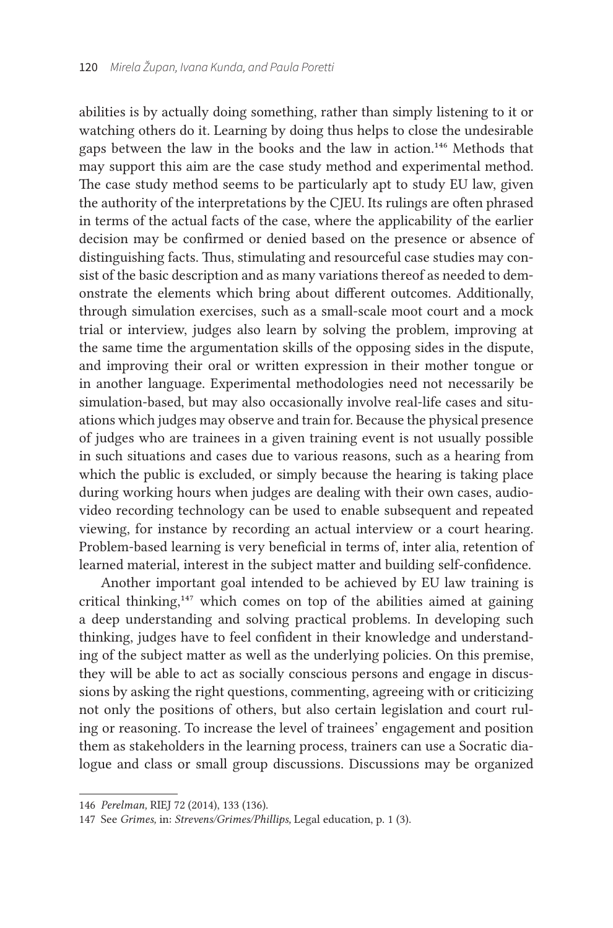abilities is by actually doing something, rather than simply listening to it or watching others do it. Learning by doing thus helps to close the undesirable gaps between the law in the books and the law in action.146 Methods that may support this aim are the case study method and experimental method. The case study method seems to be particularly apt to study EU law, given the authority of the interpretations by the CJEU. Its rulings are often phrased in terms of the actual facts of the case, where the applicability of the earlier decision may be confirmed or denied based on the presence or absence of distinguishing facts. Thus, stimulating and resourceful case studies may consist of the basic description and as many variations thereof as needed to demonstrate the elements which bring about different outcomes. Additionally, through simulation exercises, such as a small-scale moot court and a mock trial or interview, judges also learn by solving the problem, improving at the same time the argumentation skills of the opposing sides in the dispute, and improving their oral or written expression in their mother tongue or in another language. Experimental methodologies need not necessarily be simulation-based, but may also occasionally involve real-life cases and situations which judges may observe and train for. Because the physical presence of judges who are trainees in a given training event is not usually possible in such situations and cases due to various reasons, such as a hearing from which the public is excluded, or simply because the hearing is taking place during working hours when judges are dealing with their own cases, audiovideo recording technology can be used to enable subsequent and repeated viewing, for instance by recording an actual interview or a court hearing. Problem-based learning is very beneficial in terms of, inter alia, retention of learned material, interest in the subject matter and building self-confidence.

Another important goal intended to be achieved by EU law training is critical thinking,147 which comes on top of the abilities aimed at gaining a deep understanding and solving practical problems. In developing such thinking, judges have to feel confident in their knowledge and understanding of the subject matter as well as the underlying policies. On this premise, they will be able to act as socially conscious persons and engage in discussions by asking the right questions, commenting, agreeing with or criticizing not only the positions of others, but also certain legislation and court ruling or reasoning. To increase the level of trainees' engagement and position them as stakeholders in the learning process, trainers can use a Socratic dialogue and class or small group discussions. Discussions may be organized

<sup>146</sup> *Perelman,* RIEJ 72 (2014), 133 (136).

<sup>147</sup> See *Grimes,* in: *Strevens/Grimes/Phillips,* Legal education, p. 1 (3).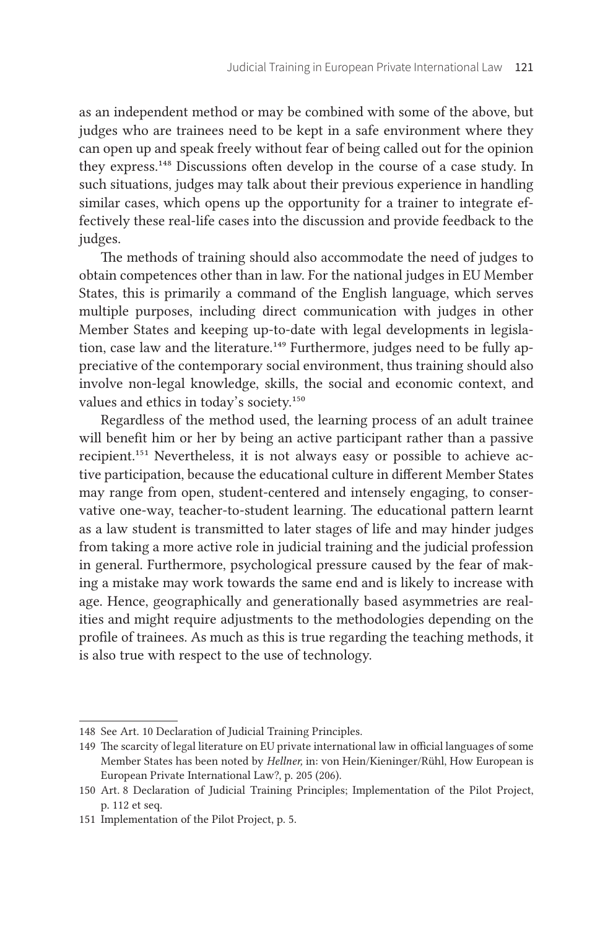as an independent method or may be combined with some of the above, but judges who are trainees need to be kept in a safe environment where they can open up and speak freely without fear of being called out for the opinion they express.148 Discussions often develop in the course of a case study. In such situations, judges may talk about their previous experience in handling similar cases, which opens up the opportunity for a trainer to integrate effectively these real-life cases into the discussion and provide feedback to the judges.

The methods of training should also accommodate the need of judges to obtain competences other than in law. For the national judges in EU Member States, this is primarily a command of the English language, which serves multiple purposes, including direct communication with judges in other Member States and keeping up-to-date with legal developments in legislation, case law and the literature.<sup>149</sup> Furthermore, judges need to be fully appreciative of the contemporary social environment, thus training should also involve non-legal knowledge, skills, the social and economic context, and values and ethics in today's society.<sup>150</sup>

Regardless of the method used, the learning process of an adult trainee will benefit him or her by being an active participant rather than a passive recipient.151 Nevertheless, it is not always easy or possible to achieve active participation, because the educational culture in different Member States may range from open, student-centered and intensely engaging, to conservative one-way, teacher-to-student learning. The educational pattern learnt as a law student is transmitted to later stages of life and may hinder judges from taking a more active role in judicial training and the judicial profession in general. Furthermore, psychological pressure caused by the fear of making a mistake may work towards the same end and is likely to increase with age. Hence, geographically and generationally based asymmetries are realities and might require adjustments to the methodologies depending on the profile of trainees. As much as this is true regarding the teaching methods, it is also true with respect to the use of technology.

<sup>148</sup> See Art. 10 Declaration of Judicial Training Principles.

<sup>149</sup> The scarcity of legal literature on EU private international law in official languages of some Member States has been noted by *Hellner,* in: von Hein/Kieninger/Rühl, How European is European Private International Law?, p. 205 (206).

<sup>150</sup> Art. 8 Declaration of Judicial Training Principles; Implementation of the Pilot Project, p. 112 et seq.

<sup>151</sup> Implementation of the Pilot Project, p. 5.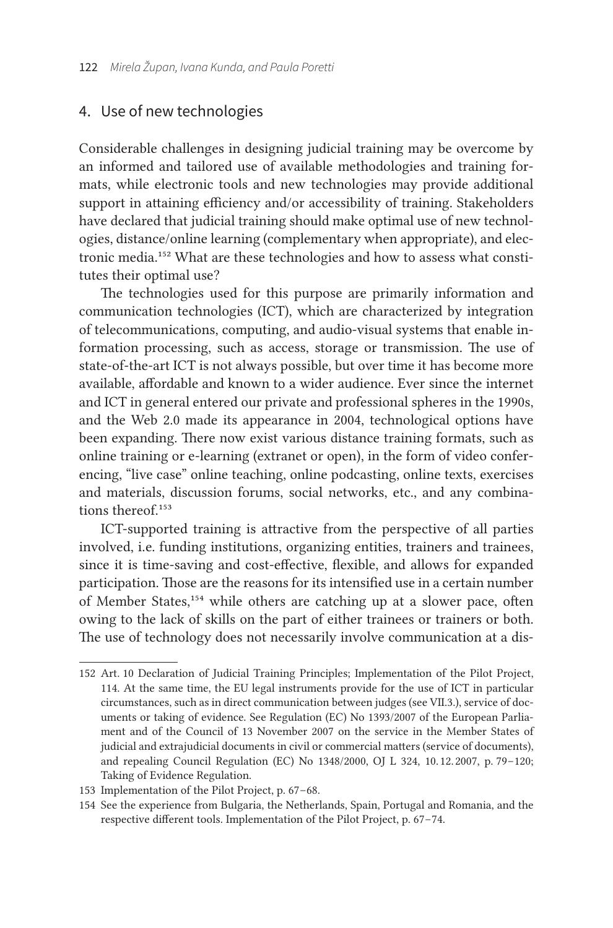#### 4. Use of new technologies

Considerable challenges in designing judicial training may be overcome by an informed and tailored use of available methodologies and training formats, while electronic tools and new technologies may provide additional support in attaining efficiency and/or accessibility of training. Stakeholders have declared that judicial training should make optimal use of new technologies, distance/online learning (complementary when appropriate), and electronic media.152 What are these technologies and how to assess what constitutes their optimal use?

The technologies used for this purpose are primarily information and communication technologies (ICT), which are characterized by integration of telecommunications, computing, and audio-visual systems that enable information processing, such as access, storage or transmission. The use of state-of-the-art ICT is not always possible, but over time it has become more available, affordable and known to a wider audience. Ever since the internet and ICT in general entered our private and professional spheres in the 1990s, and the Web 2.0 made its appearance in 2004, technological options have been expanding. There now exist various distance training formats, such as online training or e-learning (extranet or open), in the form of video conferencing, "live case" online teaching, online podcasting, online texts, exercises and materials, discussion forums, social networks, etc., and any combinations thereof.<sup>153</sup>

ICT-supported training is attractive from the perspective of all parties involved, i.e. funding institutions, organizing entities, trainers and trainees, since it is time-saving and cost-effective, flexible, and allows for expanded participation. Those are the reasons for its intensified use in a certain number of Member States,154 while others are catching up at a slower pace, often owing to the lack of skills on the part of either trainees or trainers or both. The use of technology does not necessarily involve communication at a dis-

<sup>152</sup> Art. 10 Declaration of Judicial Training Principles; Implementation of the Pilot Project, 114. At the same time, the EU legal instruments provide for the use of ICT in particular circumstances, such as in direct communication between judges (see VII.3.), service of documents or taking of evidence. See Regulation (EC) No 1393/2007 of the European Parliament and of the Council of 13 November 2007 on the service in the Member States of judicial and extrajudicial documents in civil or commercial matters (service of documents), and repealing Council Regulation (EC) No 1348/2000, OJ L 324, 10.12.2007, p. 79-120; Taking of Evidence Regulation.

<sup>153</sup> Implementation of the Pilot Project, p. 67-68.

<sup>154</sup> See the experience from Bulgaria, the Netherlands, Spain, Portugal and Romania, and the respective different tools. Implementation of the Pilot Project, p. 67-74.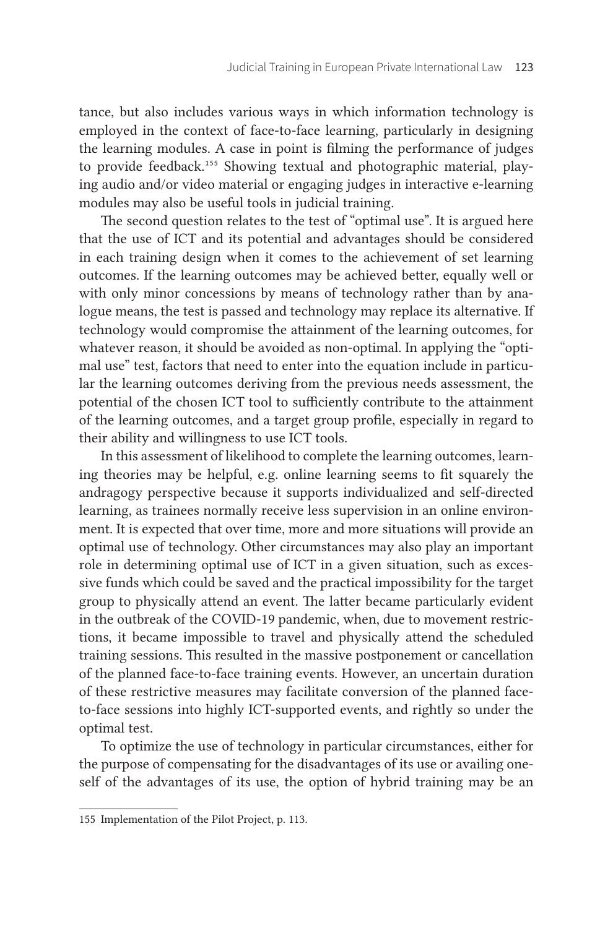tance, but also includes various ways in which information technology is employed in the context of face-to-face learning, particularly in designing the learning modules. A case in point is filming the performance of judges to provide feedback.155 Showing textual and photographic material, playing audio and/or video material or engaging judges in interactive e-learning modules may also be useful tools in judicial training.

The second question relates to the test of "optimal use". It is argued here that the use of ICT and its potential and advantages should be considered in each training design when it comes to the achievement of set learning outcomes. If the learning outcomes may be achieved better, equally well or with only minor concessions by means of technology rather than by analogue means, the test is passed and technology may replace its alternative. If technology would compromise the attainment of the learning outcomes, for whatever reason, it should be avoided as non-optimal. In applying the "optimal use" test, factors that need to enter into the equation include in particular the learning outcomes deriving from the previous needs assessment, the potential of the chosen ICT tool to sufficiently contribute to the attainment of the learning outcomes, and a target group profile, especially in regard to their ability and willingness to use ICT tools.

In this assessment of likelihood to complete the learning outcomes, learning theories may be helpful, e. g. online learning seems to fit squarely the andragogy perspective because it supports individualized and self-directed learning, as trainees normally receive less supervision in an online environment. It is expected that over time, more and more situations will provide an optimal use of technology. Other circumstances may also play an important role in determining optimal use of ICT in a given situation, such as excessive funds which could be saved and the practical impossibility for the target group to physically attend an event. The latter became particularly evident in the outbreak of the COVID-19 pandemic, when, due to movement restrictions, it became impossible to travel and physically attend the scheduled training sessions. This resulted in the massive postponement or cancellation of the planned face-to-face training events. However, an uncertain duration of these restrictive measures may facilitate conversion of the planned faceto-face sessions into highly ICT-supported events, and rightly so under the optimal test.

To optimize the use of technology in particular circumstances, either for the purpose of compensating for the disadvantages of its use or availing oneself of the advantages of its use, the option of hybrid training may be an

<sup>155</sup> Implementation of the Pilot Project, p. 113.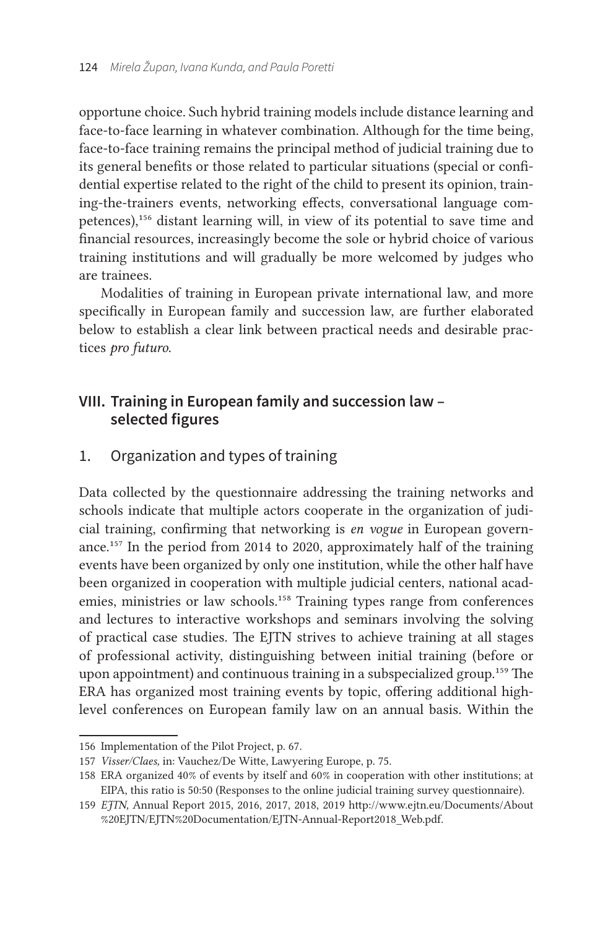opportune choice. Such hybrid training models include distance learning and face-to-face learning in whatever combination. Although for the time being, face-to-face training remains the principal method of judicial training due to its general benefits or those related to particular situations (special or confidential expertise related to the right of the child to present its opinion, training-the-trainers events, networking effects, conversational language competences),156 distant learning will, in view of its potential to save time and financial resources, increasingly become the sole or hybrid choice of various training institutions and will gradually be more welcomed by judges who are trainees.

Modalities of training in European private international law, and more specifically in European family and succession law, are further elaborated below to establish a clear link between practical needs and desirable practices *pro futuro.*

## **VIII. Training in European family and succession law – selected figures**

# 1. Organization and types of training

Data collected by the questionnaire addressing the training networks and schools indicate that multiple actors cooperate in the organization of judicial training, confirming that networking is *en vogue* in European governance.157 In the period from 2014 to 2020, approximately half of the training events have been organized by only one institution, while the other half have been organized in cooperation with multiple judicial centers, national academies, ministries or law schools.<sup>158</sup> Training types range from conferences and lectures to interactive workshops and seminars involving the solving of practical case studies. The EJTN strives to achieve training at all stages of professional activity, distinguishing between initial training (before or upon appointment) and continuous training in a subspecialized group.<sup>159</sup> The ERA has organized most training events by topic, offering additional highlevel conferences on European family law on an annual basis. Within the

<sup>156</sup> Implementation of the Pilot Project, p. 67.

<sup>157</sup> *Visser/Claes, in: Vauchez/De Witte, Lawyering Europe, p. 75.* 

<sup>158</sup> ERA organized 40 % of events by itself and 60 % in cooperation with other institutions; at EIPA, this ratio is 50:50 (Responses to the online judicial training survey questionnaire).

<sup>159</sup> *EJTN,* Annual Report 2015, 2016, 2017, 2018, 2019 [http://www.ejtn.eu/Documents/About](http://www.ejtn.eu/Documents/About%20EJTN/EJTN%20Documentation/EJTN-Annual-Report2018_Web.pdf) [%20EJTN/EJTN%20Documentation/EJTN-Annual-Report2018\\_Web.pdf](http://www.ejtn.eu/Documents/About%20EJTN/EJTN%20Documentation/EJTN-Annual-Report2018_Web.pdf).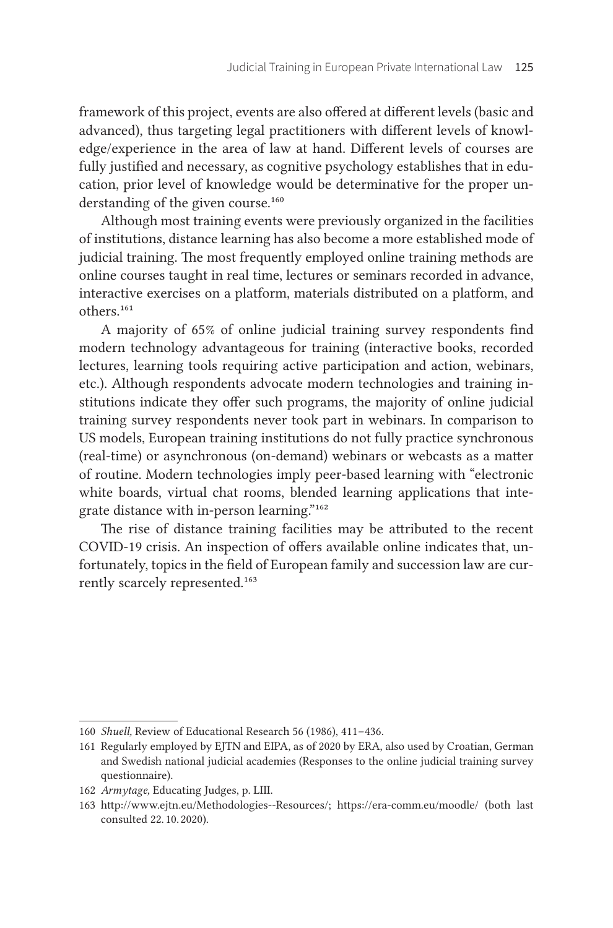framework of this project, events are also offered at different levels (basic and advanced), thus targeting legal practitioners with different levels of knowledge/experience in the area of law at hand. Different levels of courses are fully justified and necessary, as cognitive psychology establishes that in education, prior level of knowledge would be determinative for the proper understanding of the given course.<sup>160</sup>

Although most training events were previously organized in the facilities of institutions, distance learning has also become a more established mode of judicial training. The most frequently employed online training methods are online courses taught in real time, lectures or seminars recorded in advance, interactive exercises on a platform, materials distributed on a platform, and others.161

A majority of 65 % of online judicial training survey respondents find modern technology advantageous for training (interactive books, recorded lectures, learning tools requiring active participation and action, webinars, etc.). Although respondents advocate modern technologies and training institutions indicate they offer such programs, the majority of online judicial training survey respondents never took part in webinars. In comparison to US models, European training institutions do not fully practice synchronous (real-time) or asynchronous (on-demand) webinars or webcasts as a matter of routine. Modern technologies imply peer-based learning with "electronic white boards, virtual chat rooms, blended learning applications that integrate distance with in-person learning."162

The rise of distance training facilities may be attributed to the recent COVID-19 crisis. An inspection of offers available online indicates that, unfortunately, topics in the field of European family and succession law are currently scarcely represented.163

<sup>160</sup> *Shuell*, Review of Educational Research 56 (1986), 411-436.

<sup>161</sup> Regularly employed by EJTN and EIPA, as of 2020 by ERA, also used by Croatian, German and Swedish national judicial academies (Responses to the online judicial training survey questionnaire).

<sup>162</sup> *Armytage,* Educating Judges, p. LIII.

<sup>163</sup> <http://www.ejtn.eu/Methodologies--Resources/>; https://era-comm.eu/moodle/ (both last consulted 22. 10. 2020).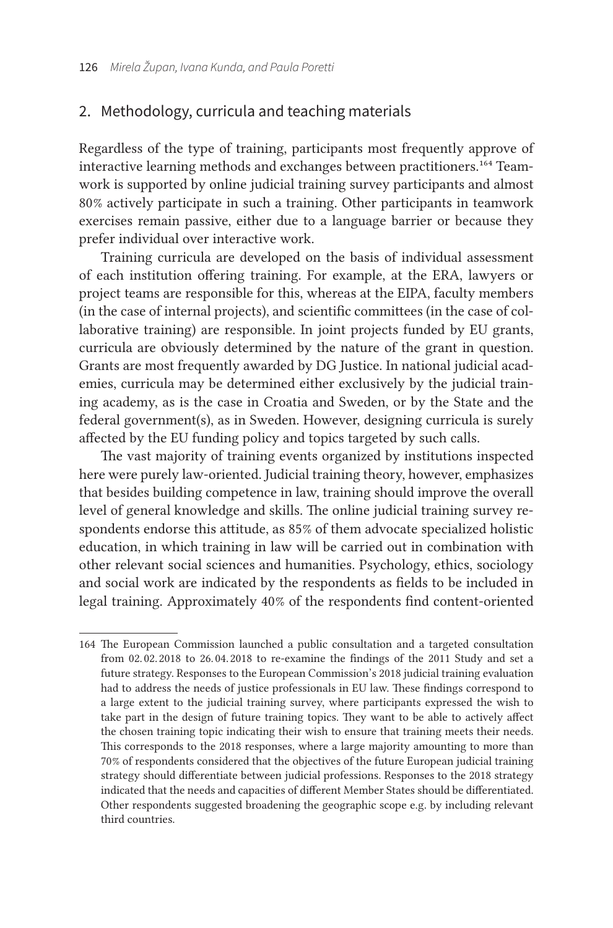#### 2. Methodology, curricula and teaching materials

Regardless of the type of training, participants most frequently approve of interactive learning methods and exchanges between practitioners.164 Teamwork is supported by online judicial training survey participants and almost 80 % actively participate in such a training. Other participants in teamwork exercises remain passive, either due to a language barrier or because they prefer individual over interactive work.

Training curricula are developed on the basis of individual assessment of each institution offering training. For example, at the ERA, lawyers or project teams are responsible for this, whereas at the EIPA, faculty members (in the case of internal projects), and scientific committees (in the case of collaborative training) are responsible. In joint projects funded by EU grants, curricula are obviously determined by the nature of the grant in question. Grants are most frequently awarded by DG Justice. In national judicial academies, curricula may be determined either exclusively by the judicial training academy, as is the case in Croatia and Sweden, or by the State and the federal government(s), as in Sweden. However, designing curricula is surely affected by the EU funding policy and topics targeted by such calls.

The vast majority of training events organized by institutions inspected here were purely law-oriented. Judicial training theory, however, emphasizes that besides building competence in law, training should improve the overall level of general knowledge and skills. The online judicial training survey respondents endorse this attitude, as 85 % of them advocate specialized holistic education, in which training in law will be carried out in combination with other relevant social sciences and humanities. Psychology, ethics, sociology and social work are indicated by the respondents as fields to be included in legal training. Approximately 40 % of the respondents find content-oriented

<sup>164</sup> The European Commission launched a public consultation and a targeted consultation from 02. 02. 2018 to 26. 04. 2018 to re-examine the findings of the 2011 Study and set a future strategy. Responses to the European Commission's 2018 judicial training evaluation had to address the needs of justice professionals in EU law. These findings correspond to a large extent to the judicial training survey, where participants expressed the wish to take part in the design of future training topics. They want to be able to actively affect the chosen training topic indicating their wish to ensure that training meets their needs. This corresponds to the 2018 responses, where a large majority amounting to more than 70 % of respondents considered that the objectives of the future European judicial training strategy should differentiate between judicial professions. Responses to the 2018 strategy indicated that the needs and capacities of different Member States should be differentiated. Other respondents suggested broadening the geographic scope e. g. by including relevant third countries.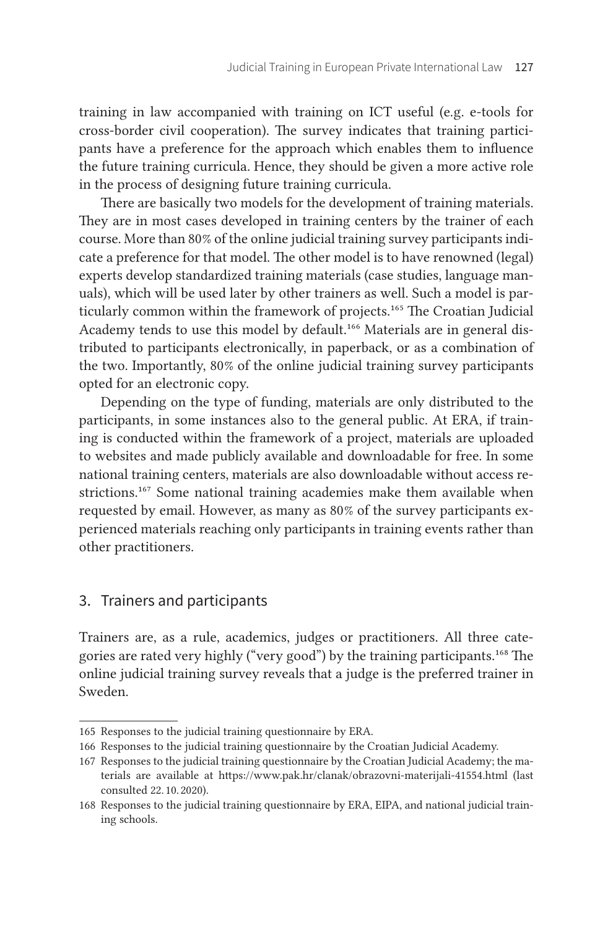training in law accompanied with training on ICT useful (e. g. e-tools for cross-border civil cooperation). The survey indicates that training participants have a preference for the approach which enables them to influence the future training curricula. Hence, they should be given a more active role in the process of designing future training curricula.

There are basically two models for the development of training materials. They are in most cases developed in training centers by the trainer of each course. More than 80 % of the online judicial training survey participants indicate a preference for that model. The other model is to have renowned (legal) experts develop standardized training materials (case studies, language manuals), which will be used later by other trainers as well. Such a model is particularly common within the framework of projects.<sup>165</sup> The Croatian Judicial Academy tends to use this model by default.<sup>166</sup> Materials are in general distributed to participants electronically, in paperback, or as a combination of the two. Importantly, 80% of the online judicial training survey participants opted for an electronic copy.

Depending on the type of funding, materials are only distributed to the participants, in some instances also to the general public. At ERA, if training is conducted within the framework of a project, materials are uploaded to websites and made publicly available and downloadable for free. In some national training centers, materials are also downloadable without access restrictions.<sup>167</sup> Some national training academies make them available when requested by email. However, as many as 80% of the survey participants experienced materials reaching only participants in training events rather than other practitioners.

#### 3. Trainers and participants

Trainers are, as a rule, academics, judges or practitioners. All three categories are rated very highly ("very good") by the training participants.168 The online judicial training survey reveals that a judge is the preferred trainer in Sweden.

<sup>165</sup> Responses to the judicial training questionnaire by ERA.

<sup>166</sup> Responses to the judicial training questionnaire by the Croatian Judicial Academy.

<sup>167</sup> Responses to the judicial training questionnaire by the Croatian Judicial Academy; the materials are available at https://www.pak.hr/clanak/obrazovni-materijali-41554.html (last consulted 22. 10. 2020).

<sup>168</sup> Responses to the judicial training questionnaire by ERA, EIPA, and national judicial training schools.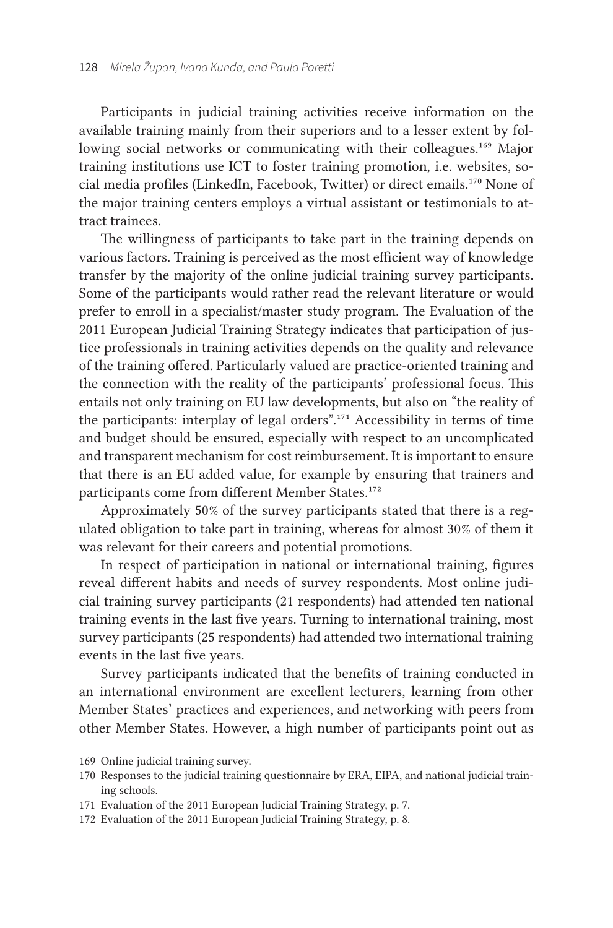Participants in judicial training activities receive information on the available training mainly from their superiors and to a lesser extent by following social networks or communicating with their colleagues.<sup>169</sup> Major training institutions use ICT to foster training promotion, *i.e.* websites, social media profiles (LinkedIn, Facebook, Twitter) or direct emails.170 None of the major training centers employs a virtual assistant or testimonials to attract trainees.

The willingness of participants to take part in the training depends on various factors. Training is perceived as the most efficient way of knowledge transfer by the majority of the online judicial training survey participants. Some of the participants would rather read the relevant literature or would prefer to enroll in a specialist/master study program. The Evaluation of the 2011 European Judicial Training Strategy indicates that participation of justice professionals in training activities depends on the quality and relevance of the training offered. Particularly valued are practice-oriented training and the connection with the reality of the participants' professional focus. This entails not only training on EU law developments, but also on "the reality of the participants: interplay of legal orders".171 Accessibility in terms of time and budget should be ensured, especially with respect to an uncomplicated and transparent mechanism for cost reimbursement. It is important to ensure that there is an EU added value, for example by ensuring that trainers and participants come from different Member States.<sup>172</sup>

Approximately 50% of the survey participants stated that there is a regulated obligation to take part in training, whereas for almost 30 % of them it was relevant for their careers and potential promotions.

In respect of participation in national or international training, figures reveal different habits and needs of survey respondents. Most online judicial training survey participants (21 respondents) had attended ten national training events in the last five years. Turning to international training, most survey participants (25 respondents) had attended two international training events in the last five years.

Survey participants indicated that the benefits of training conducted in an international environment are excellent lecturers, learning from other Member States' practices and experiences, and networking with peers from other Member States. However, a high number of participants point out as

<sup>169</sup> Online judicial training survey.

<sup>170</sup> Responses to the judicial training questionnaire by ERA, EIPA, and national judicial training schools.

<sup>171</sup> Evaluation of the 2011 European Judicial Training Strategy, p. 7.

<sup>172</sup> Evaluation of the 2011 European Judicial Training Strategy, p. 8.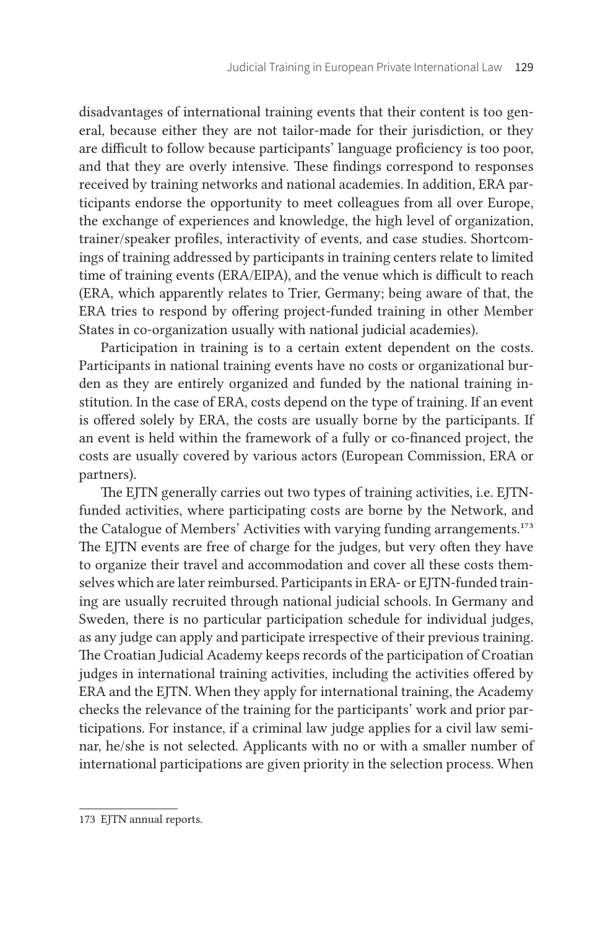disadvantages of international training events that their content is too general, because either they are not tailor-made for their jurisdiction, or they are difficult to follow because participants' language proficiency is too poor, and that they are overly intensive. These findings correspond to responses received by training networks and national academies. In addition, ERA participants endorse the opportunity to meet colleagues from all over Europe, the exchange of experiences and knowledge, the high level of organization, trainer/speaker profiles, interactivity of events, and case studies. Shortcomings of training addressed by participants in training centers relate to limited time of training events (ERA/EIPA), and the venue which is difficult to reach (ERA, which apparently relates to Trier, Germany; being aware of that, the ERA tries to respond by offering project-funded training in other Member States in co-organization usually with national judicial academies).

Participation in training is to a certain extent dependent on the costs. Participants in national training events have no costs or organizational burden as they are entirely organized and funded by the national training institution. In the case of ERA, costs depend on the type of training. If an event is offered solely by ERA, the costs are usually borne by the participants. If an event is held within the framework of a fully or co-financed project, the costs are usually covered by various actors (European Commission, ERA or partners).

The EJTN generally carries out two types of training activities, i. e. EJTNfunded activities, where participating costs are borne by the Network, and the Catalogue of Members' Activities with varying funding arrangements.<sup>173</sup> The EJTN events are free of charge for the judges, but very often they have to organize their travel and accommodation and cover all these costs themselves which are later reimbursed. Participants in ERA- or EJTN-funded training are usually recruited through national judicial schools. In Germany and Sweden, there is no particular participation schedule for individual judges, as any judge can apply and participate irrespective of their previous training. The Croatian Judicial Academy keeps records of the participation of Croatian judges in international training activities, including the activities offered by ERA and the EJTN. When they apply for international training, the Academy checks the relevance of the training for the participants' work and prior participations. For instance, if a criminal law judge applies for a civil law seminar, he/she is not selected. Applicants with no or with a smaller number of international participations are given priority in the selection process. When

<sup>173</sup> EJTN annual reports.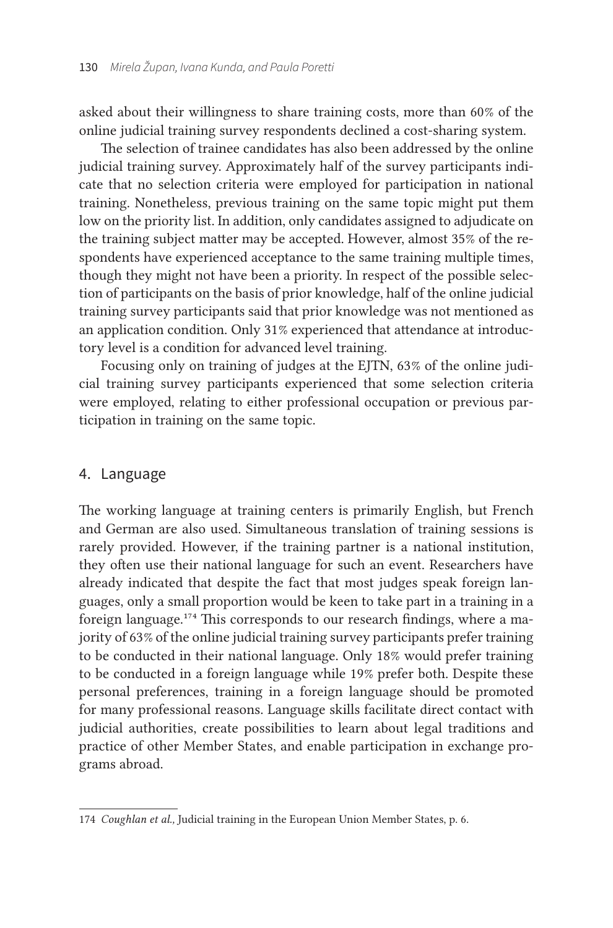asked about their willingness to share training costs, more than 60% of the online judicial training survey respondents declined a cost-sharing system.

The selection of trainee candidates has also been addressed by the online judicial training survey. Approximately half of the survey participants indicate that no selection criteria were employed for participation in national training. Nonetheless, previous training on the same topic might put them low on the priority list. In addition, only candidates assigned to adjudicate on the training subject matter may be accepted. However, almost 35 % of the respondents have experienced acceptance to the same training multiple times, though they might not have been a priority. In respect of the possible selection of participants on the basis of prior knowledge, half of the online judicial training survey participants said that prior knowledge was not mentioned as an application condition. Only 31% experienced that attendance at introductory level is a condition for advanced level training.

Focusing only on training of judges at the EJTN, 63% of the online judicial training survey participants experienced that some selection criteria were employed, relating to either professional occupation or previous participation in training on the same topic.

#### 4. Language

The working language at training centers is primarily English, but French and German are also used. Simultaneous translation of training sessions is rarely provided. However, if the training partner is a national institution, they often use their national language for such an event. Researchers have already indicated that despite the fact that most judges speak foreign languages, only a small proportion would be keen to take part in a training in a foreign language.174 This corresponds to our research findings, where a majority of 63% of the online judicial training survey participants prefer training to be conducted in their national language. Only 18 % would prefer training to be conducted in a foreign language while 19 % prefer both. Despite these personal preferences, training in a foreign language should be promoted for many professional reasons. Language skills facilitate direct contact with judicial authorities, create possibilities to learn about legal traditions and practice of other Member States, and enable participation in exchange programs abroad.

<sup>174</sup> *Coughlan et al.,* Judicial training in the European Union Member States, p. 6.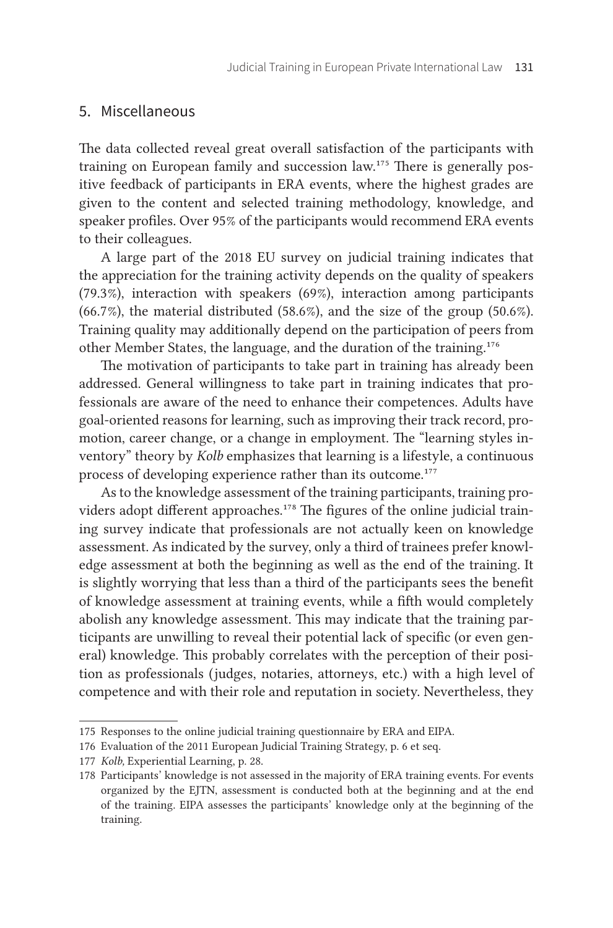#### 5. Miscellaneous

The data collected reveal great overall satisfaction of the participants with training on European family and succession law.175 There is generally positive feedback of participants in ERA events, where the highest grades are given to the content and selected training methodology, knowledge, and speaker profiles. Over 95% of the participants would recommend ERA events to their colleagues.

A large part of the 2018 EU survey on judicial training indicates that the appreciation for the training activity depends on the quality of speakers (79.3 %), interaction with speakers (69 %), interaction among participants (66.7 $%$ ), the material distributed (58.6 $%$ ), and the size of the group (50.6 $%$ ). Training quality may additionally depend on the participation of peers from other Member States, the language, and the duration of the training.176

The motivation of participants to take part in training has already been addressed. General willingness to take part in training indicates that professionals are aware of the need to enhance their competences. Adults have goal-oriented reasons for learning, such as improving their track record, promotion, career change, or a change in employment. The "learning styles inventory" theory by *Kolb* emphasizes that learning is a lifestyle, a continuous process of developing experience rather than its outcome.<sup>177</sup>

As to the knowledge assessment of the training participants, training providers adopt different approaches.<sup>178</sup> The figures of the online judicial training survey indicate that professionals are not actually keen on knowledge assessment. As indicated by the survey, only a third of trainees prefer knowledge assessment at both the beginning as well as the end of the training. It is slightly worrying that less than a third of the participants sees the benefit of knowledge assessment at training events, while a fifth would completely abolish any knowledge assessment. This may indicate that the training participants are unwilling to reveal their potential lack of specific (or even general) knowledge. This probably correlates with the perception of their position as professionals (judges, notaries, attorneys, etc.) with a high level of competence and with their role and reputation in society. Nevertheless, they

<sup>175</sup> Responses to the online judicial training questionnaire by ERA and EIPA.

<sup>176</sup> Evaluation of the 2011 European Judicial Training Strategy, p. 6 et seq.

<sup>177</sup> *Kolb*, Experiential Learning, p. 28.

<sup>178</sup> Participants' knowledge is not assessed in the majority of ERA training events. For events organized by the EJTN, assessment is conducted both at the beginning and at the end of the training. EIPA assesses the participants' knowledge only at the beginning of the training.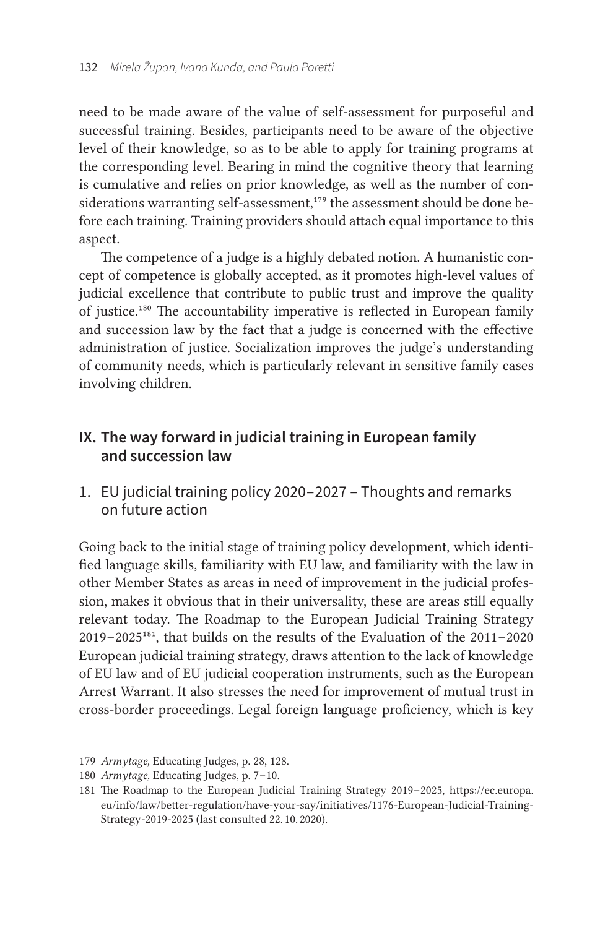need to be made aware of the value of self-assessment for purposeful and successful training. Besides, participants need to be aware of the objective level of their knowledge, so as to be able to apply for training programs at the corresponding level. Bearing in mind the cognitive theory that learning is cumulative and relies on prior knowledge, as well as the number of considerations warranting self-assessment,<sup>179</sup> the assessment should be done before each training. Training providers should attach equal importance to this aspect.

The competence of a judge is a highly debated notion. A humanistic concept of competence is globally accepted, as it promotes high-level values of judicial excellence that contribute to public trust and improve the quality of justice.180 The accountability imperative is reflected in European family and succession law by the fact that a judge is concerned with the effective administration of justice. Socialization improves the judge's understanding of community needs, which is particularly relevant in sensitive family cases involving children.

# **IX. The way forward in judicial training in European family and succession law**

1. EU judicial training policy 2020– 2027 – Thoughts and remarks on future action

Going back to the initial stage of training policy development, which identified language skills, familiarity with EU law, and familiarity with the law in other Member States as areas in need of improvement in the judicial profession, makes it obvious that in their universality, these are areas still equally relevant today. The Roadmap to the European Judicial Training Strategy  $2019 - 2025^{181}$ , that builds on the results of the Evaluation of the  $2011 - 2020$ European judicial training strategy, draws attention to the lack of knowledge of EU law and of EU judicial cooperation instruments, such as the European Arrest Warrant. It also stresses the need for improvement of mutual trust in cross-border proceedings. Legal foreign language proficiency, which is key

<sup>179</sup> Armytage, Educating Judges, p. 28, 128.

<sup>180</sup> *Armytage*, Educating Judges, p. 7–10.

<sup>181</sup> The Roadmap to the European Judicial Training Strategy 2019-2025, [https://ec.europa.](https://ec.europa.eu/info/law/better-regulation/have-your-say/initiatives/1176-European-Judicial-Training-Strategy-2019-2025) [eu/info/law/better-regulation/have-your-say/initiatives/1176-European-Judicial-Training-](https://ec.europa.eu/info/law/better-regulation/have-your-say/initiatives/1176-European-Judicial-Training-Strategy-2019-2025)[Strategy-2019-2025](https://ec.europa.eu/info/law/better-regulation/have-your-say/initiatives/1176-European-Judicial-Training-Strategy-2019-2025) (last consulted 22. 10. 2020).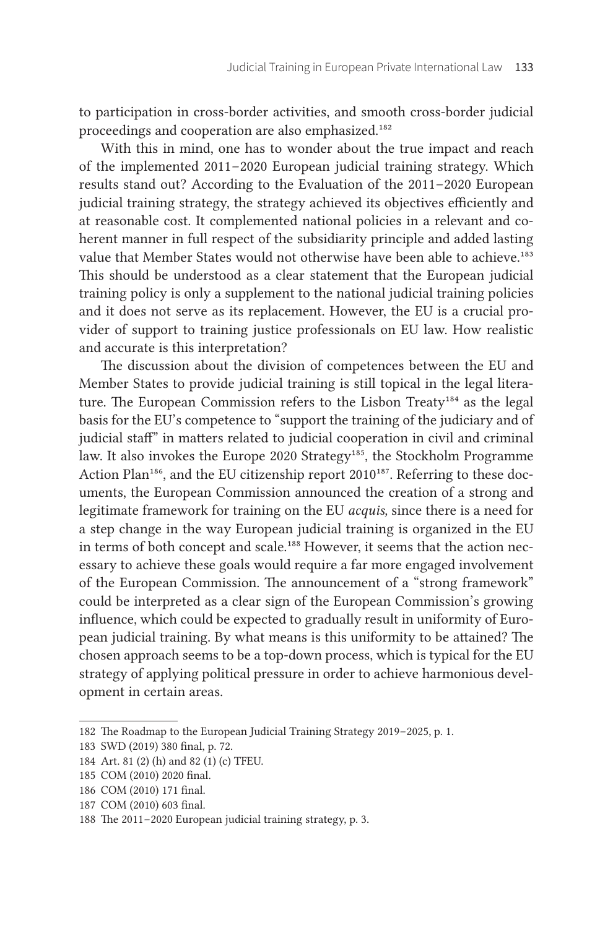to participation in cross-border activities, and smooth cross-border judicial proceedings and cooperation are also emphasized.182

With this in mind, one has to wonder about the true impact and reach of the implemented 2011 – 2020 European judicial training strategy. Which results stand out? According to the Evaluation of the 2011 – 2020 European judicial training strategy, the strategy achieved its objectives efficiently and at reasonable cost. It complemented national policies in a relevant and coherent manner in full respect of the subsidiarity principle and added lasting value that Member States would not otherwise have been able to achieve.<sup>183</sup> This should be understood as a clear statement that the European judicial training policy is only a supplement to the national judicial training policies and it does not serve as its replacement. However, the EU is a crucial provider of support to training justice professionals on EU law. How realistic and accurate is this interpretation?

The discussion about the division of competences between the EU and Member States to provide judicial training is still topical in the legal literature. The European Commission refers to the Lisbon Treaty<sup>184</sup> as the legal basis for the EU's competence to "support the training of the judiciary and of judicial staff" in matters related to judicial cooperation in civil and criminal law. It also invokes the Europe 2020 Strategy<sup>185</sup>, the Stockholm Programme Action Plan<sup>186</sup>, and the EU citizenship report 2010<sup>187</sup>. Referring to these documents, the European Commission announced the creation of a strong and legitimate framework for training on the EU *acquis,* since there is a need for a step change in the way European judicial training is organized in the EU in terms of both concept and scale.<sup>188</sup> However, it seems that the action necessary to achieve these goals would require a far more engaged involvement of the European Commission. The announcement of a "strong framework" could be interpreted as a clear sign of the European Commission's growing influence, which could be expected to gradually result in uniformity of European judicial training. By what means is this uniformity to be attained? The chosen approach seems to be a top-down process, which is typical for the EU strategy of applying political pressure in order to achieve harmonious development in certain areas.

<sup>182</sup> The Roadmap to the European Judicial Training Strategy 2019-2025, p. 1.

<sup>183</sup> SWD (2019) 380 final, p. 72.

<sup>184</sup> Art. 81 (2) (h) and 82 (1) (c) TFEU.

<sup>185</sup> COM (2010) 2020 final.

<sup>186</sup> COM (2010) 171 final.

<sup>187</sup> COM (2010) 603 final.

<sup>188</sup> The 2011-2020 European judicial training strategy, p. 3.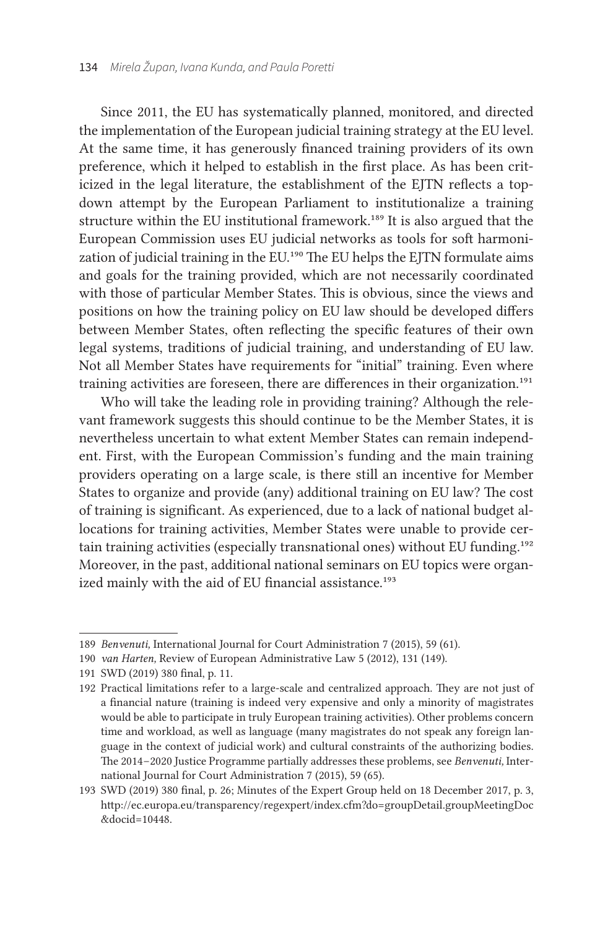Since 2011, the EU has systematically planned, monitored, and directed the implementation of the European judicial training strategy at the EU level. At the same time, it has generously financed training providers of its own preference, which it helped to establish in the first place. As has been criticized in the legal literature, the establishment of the EJTN reflects a topdown attempt by the European Parliament to institutionalize a training structure within the EU institutional framework.189 It is also argued that the European Commission uses EU judicial networks as tools for soft harmonization of judicial training in the EU.<sup>190</sup> The EU helps the EJTN formulate aims and goals for the training provided, which are not necessarily coordinated with those of particular Member States. This is obvious, since the views and positions on how the training policy on EU law should be developed differs between Member States, often reflecting the specific features of their own legal systems, traditions of judicial training, and understanding of EU law. Not all Member States have requirements for "initial" training. Even where training activities are foreseen, there are differences in their organization.<sup>191</sup>

Who will take the leading role in providing training? Although the relevant framework suggests this should continue to be the Member States, it is nevertheless uncertain to what extent Member States can remain independent. First, with the European Commission's funding and the main training providers operating on a large scale, is there still an incentive for Member States to organize and provide (any) additional training on EU law? The cost of training is significant. As experienced, due to a lack of national budget allocations for training activities, Member States were unable to provide certain training activities (especially transnational ones) without EU funding.<sup>192</sup> Moreover, in the past, additional national seminars on EU topics were organized mainly with the aid of EU financial assistance.<sup>193</sup>

<sup>189</sup> *Benvenuti,* International Journal for Court Administration 7 (2015), 59 (61).

<sup>190</sup> *van Harten,* Review of European Administrative Law 5 (2012), 131 (149).

<sup>191</sup> SWD (2019) 380 final, p. 11.

<sup>192</sup> Practical limitations refer to a large-scale and centralized approach. They are not just of a financial nature (training is indeed very expensive and only a minority of magistrates would be able to participate in truly European training activities). Other problems concern time and workload, as well as language (many magistrates do not speak any foreign language in the context of judicial work) and cultural constraints of the authorizing bodies. The 2014 – 2020 Justice Programme partially addresses these problems, see *Benvenuti,* International Journal for Court Administration 7 (2015), 59 (65).

<sup>193</sup> SWD (2019) 380 final, p. 26; Minutes of the Expert Group held on 18 December 2017, p. 3, [http://ec.europa.eu/transparency/regexpert/index.cfm?do=groupDetail.groupMeetingDoc](http://ec.europa.eu/transparency/regexpert/index.cfm?do=groupDetail.groupMeetingDoc&docid=10448.) [&docid=10448.](http://ec.europa.eu/transparency/regexpert/index.cfm?do=groupDetail.groupMeetingDoc&docid=10448.)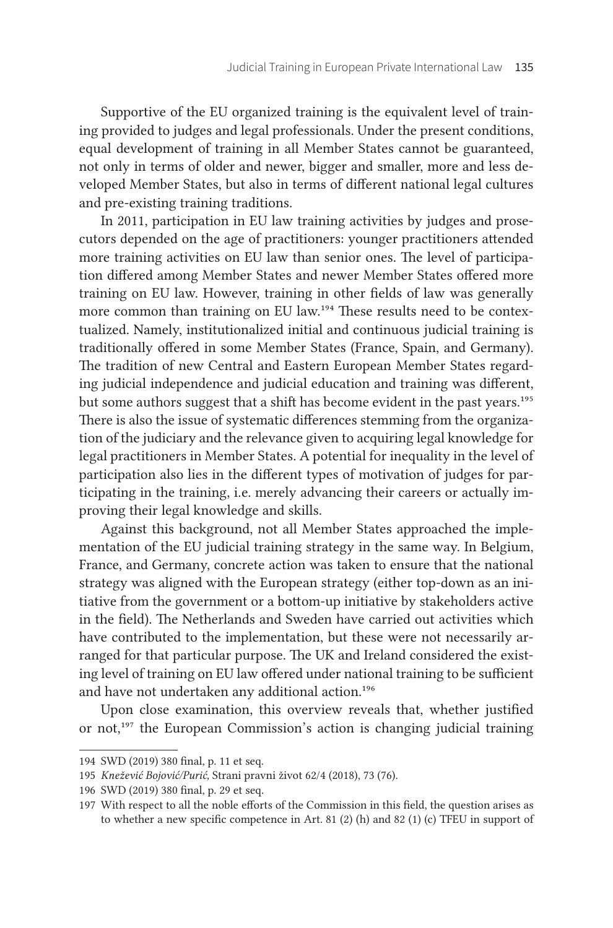Supportive of the EU organized training is the equivalent level of training provided to judges and legal professionals. Under the present conditions, equal development of training in all Member States cannot be guaranteed, not only in terms of older and newer, bigger and smaller, more and less developed Member States, but also in terms of different national legal cultures and pre-existing training traditions.

In 2011, participation in EU law training activities by judges and prosecutors depended on the age of practitioners: younger practitioners attended more training activities on EU law than senior ones. The level of participation differed among Member States and newer Member States offered more training on EU law. However, training in other fields of law was generally more common than training on EU law.194 These results need to be contextualized. Namely, institutionalized initial and continuous judicial training is traditionally offered in some Member States (France, Spain, and Germany). The tradition of new Central and Eastern European Member States regarding judicial independence and judicial education and training was different, but some authors suggest that a shift has become evident in the past years.<sup>195</sup> There is also the issue of systematic differences stemming from the organization of the judiciary and the relevance given to acquiring legal knowledge for legal practitioners in Member States. A potential for inequality in the level of participation also lies in the different types of motivation of judges for participating in the training, i.e. merely advancing their careers or actually improving their legal knowledge and skills.

Against this background, not all Member States approached the implementation of the EU judicial training strategy in the same way. In Belgium, France, and Germany, concrete action was taken to ensure that the national strategy was aligned with the European strategy (either top-down as an initiative from the government or a bottom-up initiative by stakeholders active in the field). The Netherlands and Sweden have carried out activities which have contributed to the implementation, but these were not necessarily arranged for that particular purpose. The UK and Ireland considered the existing level of training on EU law offered under national training to be sufficient and have not undertaken any additional action.<sup>196</sup>

Upon close examination, this overview reveals that, whether justified or not,<sup>197</sup> the European Commission's action is changing judicial training

<sup>194</sup> SWD (2019) 380 final, p. 11 et seq.

<sup>195</sup> *Knežević Bojović/Purić,* Strani pravni život 62/4 (2018), 73 (76).

<sup>196</sup> SWD (2019) 380 final, p. 29 et seq.

<sup>197</sup> With respect to all the noble efforts of the Commission in this field, the question arises as to whether a new specific competence in Art. 81 (2) (h) and 82 (1) (c) TFEU in support of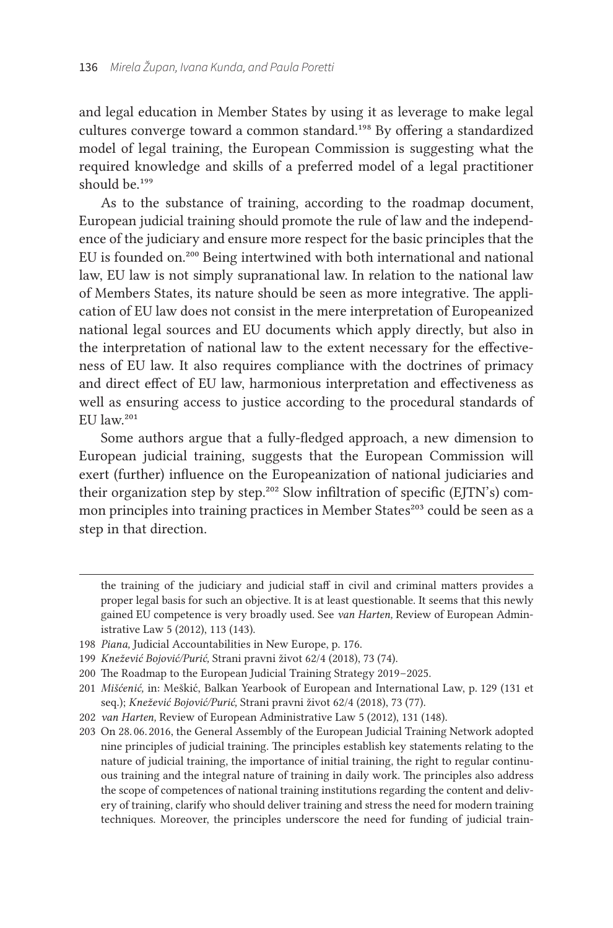and legal education in Member States by using it as leverage to make legal cultures converge toward a common standard.198 By offering a standardized model of legal training, the European Commission is suggesting what the required knowledge and skills of a preferred model of a legal practitioner should be.<sup>199</sup>

As to the substance of training, according to the roadmap document, European judicial training should promote the rule of law and the independence of the judiciary and ensure more respect for the basic principles that the EU is founded on.200 Being intertwined with both international and national law, EU law is not simply supranational law. In relation to the national law of Members States, its nature should be seen as more integrative. The application of EU law does not consist in the mere interpretation of Europeanized national legal sources and EU documents which apply directly, but also in the interpretation of national law to the extent necessary for the effectiveness of EU law. It also requires compliance with the doctrines of primacy and direct effect of EU law, harmonious interpretation and effectiveness as well as ensuring access to justice according to the procedural standards of EU law.<sup>201</sup>

Some authors argue that a fully-fledged approach, a new dimension to European judicial training, suggests that the European Commission will exert (further) influence on the Europeanization of national judiciaries and their organization step by step.<sup>202</sup> Slow infiltration of specific (EJTN's) common principles into training practices in Member States<sup>203</sup> could be seen as a step in that direction.

- 198 *Piana,* Judicial Accountabilities in New Europe, p. 176.
- 199 *Knežević Bojović/Purić,* Strani pravni život 62/4 (2018), 73 (74).
- 200 The Roadmap to the European Judicial Training Strategy 2019-2025.
- 201 *Mišćenić,* in: Meškić, Balkan Yearbook of European and International Law, p. 129 (131 et seq.); *Knežević Bojović/Purić,* Strani pravni život 62/4 (2018), 73 (77).
- 202 *van Harten,* Review of European Administrative Law 5 (2012), 131 (148).
- 203 On 28. 06. 2016, the General Assembly of the European Judicial Training Network adopted nine principles of judicial training. The principles establish key statements relating to the nature of judicial training, the importance of initial training, the right to regular continuous training and the integral nature of training in daily work. The principles also address the scope of competences of national training institutions regarding the content and delivery of training, clarify who should deliver training and stress the need for modern training techniques. Moreover, the principles underscore the need for funding of judicial train-

the training of the judiciary and judicial staff in civil and criminal matters provides a proper legal basis for such an objective. It is at least questionable. It seems that this newly gained EU competence is very broadly used. See *van Harten,* Review of European Administrative Law 5 (2012), 113 (143).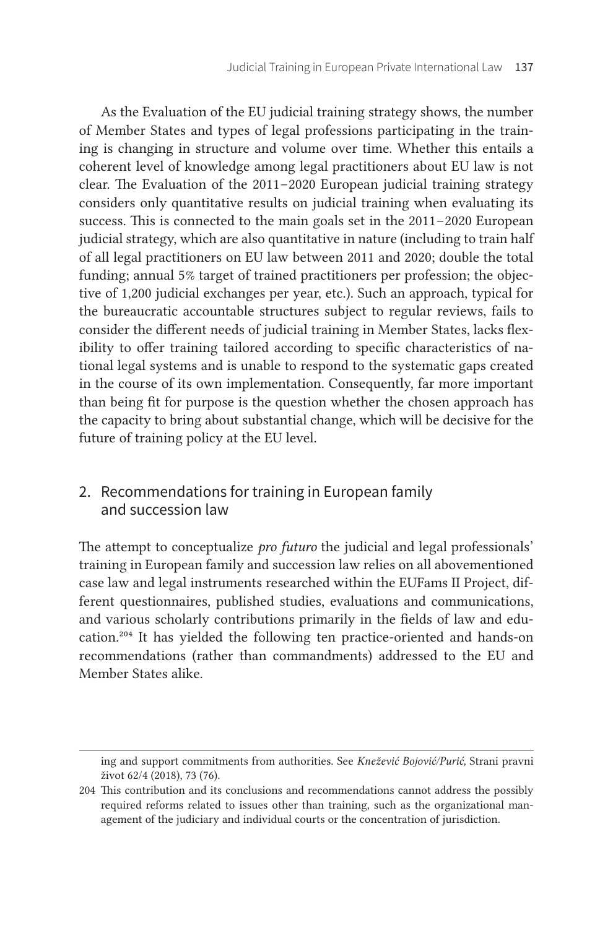As the Evaluation of the EU judicial training strategy shows, the number of Member States and types of legal professions participating in the training is changing in structure and volume over time. Whether this entails a coherent level of knowledge among legal practitioners about EU law is not clear. The Evaluation of the 2011 – 2020 European judicial training strategy considers only quantitative results on judicial training when evaluating its success. This is connected to the main goals set in the 2011–2020 European judicial strategy, which are also quantitative in nature (including to train half of all legal practitioners on EU law between 2011 and 2020; double the total funding; annual 5% target of trained practitioners per profession; the objective of 1,200 judicial exchanges per year, etc.). Such an approach, typical for the bureaucratic accountable structures subject to regular reviews, fails to consider the different needs of judicial training in Member States, lacks flexibility to offer training tailored according to specific characteristics of national legal systems and is unable to respond to the systematic gaps created in the course of its own implementation. Consequently, far more important than being fit for purpose is the question whether the chosen approach has the capacity to bring about substantial change, which will be decisive for the future of training policy at the EU level.

# 2. Recommendations for training in European family and succession law

The attempt to conceptualize *pro futuro* the judicial and legal professionals' training in European family and succession law relies on all abovementioned case law and legal instruments researched within the EUFams II Project, different questionnaires, published studies, evaluations and communications, and various scholarly contributions primarily in the fields of law and education.204 It has yielded the following ten practice-oriented and hands-on recommendations (rather than commandments) addressed to the EU and Member States alike.

ing and support commitments from authorities. See *Knežević Bojović/Purić,* Strani pravni život 62/4 (2018), 73 (76).

<sup>204</sup> This contribution and its conclusions and recommendations cannot address the possibly required reforms related to issues other than training, such as the organizational management of the judiciary and individual courts or the concentration of jurisdiction.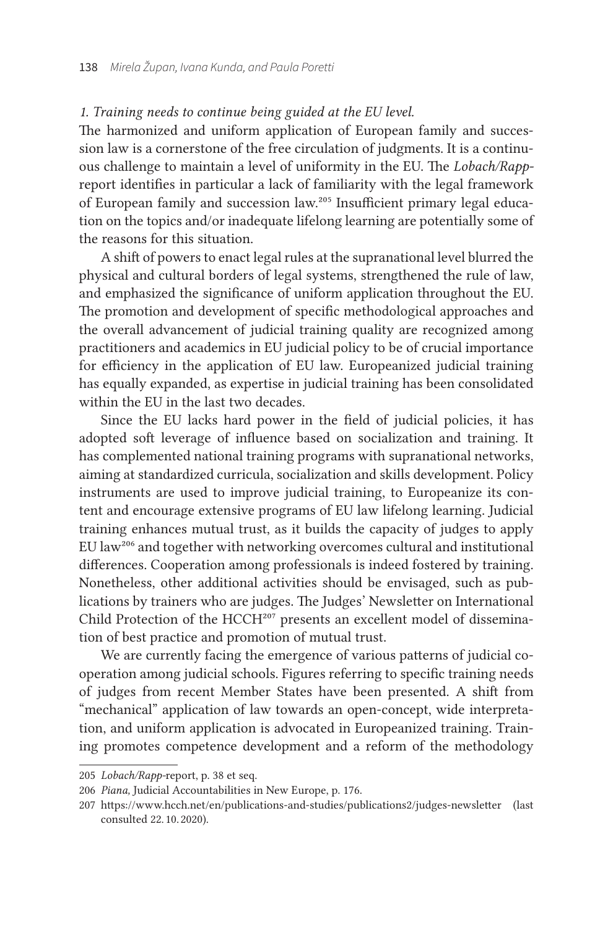#### *1. Training needs to continue being guided at the EU level.*

The harmonized and uniform application of European family and succession law is a cornerstone of the free circulation of judgments. It is a continuous challenge to maintain a level of uniformity in the EU. The *Lobach/Rapp*report identifies in particular a lack of familiarity with the legal framework of European family and succession law.205 Insufficient primary legal education on the topics and/or inadequate lifelong learning are potentially some of the reasons for this situation.

A shift of powers to enact legal rules at the supranational level blurred the physical and cultural borders of legal systems, strengthened the rule of law, and emphasized the significance of uniform application throughout the EU. The promotion and development of specific methodological approaches and the overall advancement of judicial training quality are recognized among practitioners and academics in EU judicial policy to be of crucial importance for efficiency in the application of EU law. Europeanized judicial training has equally expanded, as expertise in judicial training has been consolidated within the EU in the last two decades.

Since the EU lacks hard power in the field of judicial policies, it has adopted soft leverage of influence based on socialization and training. It has complemented national training programs with supranational networks, aiming at standardized curricula, socialization and skills development. Policy instruments are used to improve judicial training, to Europeanize its content and encourage extensive programs of EU law lifelong learning. Judicial training enhances mutual trust, as it builds the capacity of judges to apply EU law206 and together with networking overcomes cultural and institutional differences. Cooperation among professionals is indeed fostered by training. Nonetheless, other additional activities should be envisaged, such as publications by trainers who are judges. The Judges' Newsletter on International Child Protection of the HCCH<sup>207</sup> presents an excellent model of dissemination of best practice and promotion of mutual trust.

We are currently facing the emergence of various patterns of judicial cooperation among judicial schools. Figures referring to specific training needs of judges from recent Member States have been presented. A shift from "mechanical" application of law towards an open-concept, wide interpretation, and uniform application is advocated in Europeanized training. Training promotes competence development and a reform of the methodology

<sup>205</sup> *Lobach/Rapp-report*, p. 38 et seq.

<sup>206</sup> *Piana,* Judicial Accountabilities in New Europe, p. 176.

<sup>207</sup> https://www.hcch.net/en/publications-and-studies/publications2/judges-newsletter (last consulted 22. 10. 2020).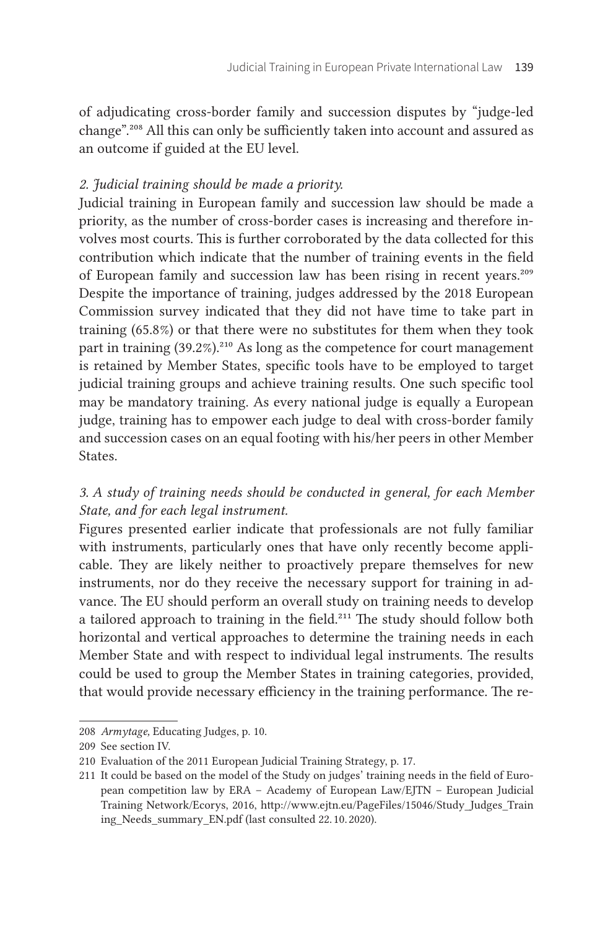of adjudicating cross-border family and succession disputes by "judge-led change".208 All this can only be sufficiently taken into account and assured as an outcome if guided at the EU level.

#### *2. Judicial training should be made a priority.*

Judicial training in European family and succession law should be made a priority, as the number of cross-border cases is increasing and therefore involves most courts. This is further corroborated by the data collected for this contribution which indicate that the number of training events in the field of European family and succession law has been rising in recent years.<sup>209</sup> Despite the importance of training, judges addressed by the 2018 European Commission survey indicated that they did not have time to take part in training (65.8 %) or that there were no substitutes for them when they took part in training  $(39.2%)$ <sup>210</sup> As long as the competence for court management is retained by Member States, specific tools have to be employed to target judicial training groups and achieve training results. One such specific tool may be mandatory training. As every national judge is equally a European judge, training has to empower each judge to deal with cross-border family and succession cases on an equal footing with his/her peers in other Member States.

# *3. A study of training needs should be conducted in general, for each Member State, and for each legal instrument.*

Figures presented earlier indicate that professionals are not fully familiar with instruments, particularly ones that have only recently become applicable. They are likely neither to proactively prepare themselves for new instruments, nor do they receive the necessary support for training in advance. The EU should perform an overall study on training needs to develop a tailored approach to training in the field.<sup>211</sup> The study should follow both horizontal and vertical approaches to determine the training needs in each Member State and with respect to individual legal instruments. The results could be used to group the Member States in training categories, provided, that would provide necessary efficiency in the training performance. The re-

<sup>208</sup> Armytage, Educating Judges, p. 10.

<sup>209</sup> See section IV.

<sup>210</sup> Evaluation of the 2011 European Judicial Training Strategy, p. 17.

<sup>211</sup> It could be based on the model of the Study on judges' training needs in the field of European competition law by ERA – Academy of European Law/EJTN – European Judicial Training Network/Ecorys, 2016, [http://www.ejtn.eu/PageFiles/15046/Study\\_Judges\\_Train](http://www.ejtn.eu/PageFiles/15046/Study_Judges_Training_Needs_summary_EN.pdf) [ing\\_Needs\\_summary\\_EN.pdf](http://www.ejtn.eu/PageFiles/15046/Study_Judges_Training_Needs_summary_EN.pdf) (last consulted 22. 10. 2020).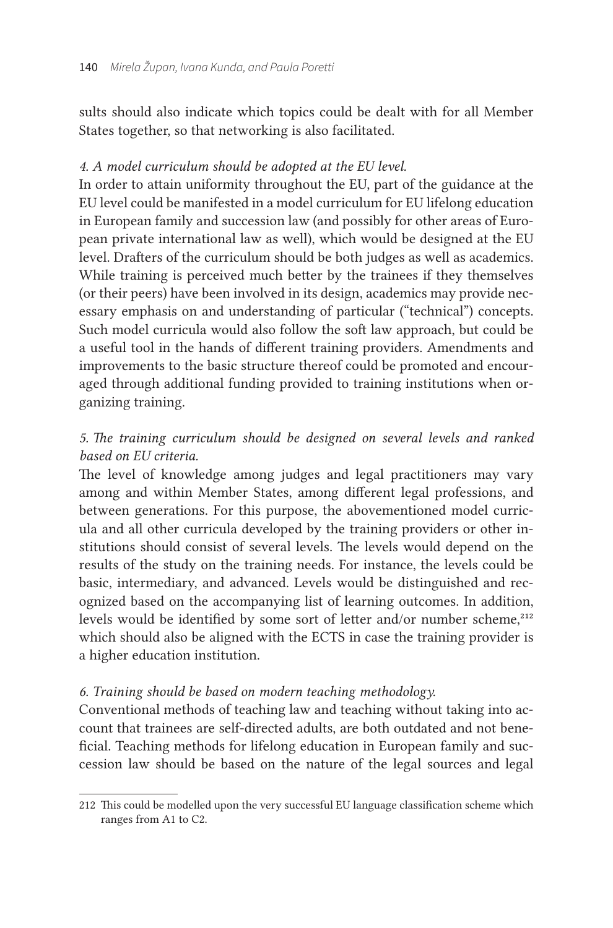sults should also indicate which topics could be dealt with for all Member States together, so that networking is also facilitated.

## *4. A model curriculum should be adopted at the EU level.*

In order to attain uniformity throughout the EU, part of the guidance at the EU level could be manifested in a model curriculum for EU lifelong education in European family and succession law (and possibly for other areas of European private international law as well), which would be designed at the EU level. Drafters of the curriculum should be both judges as well as academics. While training is perceived much better by the trainees if they themselves (or their peers) have been involved in its design, academics may provide necessary emphasis on and understanding of particular ("technical") concepts. Such model curricula would also follow the soft law approach, but could be a useful tool in the hands of different training providers. Amendments and improvements to the basic structure thereof could be promoted and encouraged through additional funding provided to training institutions when organizing training.

# *5. The training curriculum should be designed on several levels and ranked based on EU criteria.*

The level of knowledge among judges and legal practitioners may vary among and within Member States, among different legal professions, and between generations. For this purpose, the abovementioned model curricula and all other curricula developed by the training providers or other institutions should consist of several levels. The levels would depend on the results of the study on the training needs. For instance, the levels could be basic, intermediary, and advanced. Levels would be distinguished and recognized based on the accompanying list of learning outcomes. In addition, levels would be identified by some sort of letter and/or number scheme,<sup>212</sup> which should also be aligned with the ECTS in case the training provider is a higher education institution.

## *6. Training should be based on modern teaching methodology.*

Conventional methods of teaching law and teaching without taking into account that trainees are self-directed adults, are both outdated and not beneficial. Teaching methods for lifelong education in European family and succession law should be based on the nature of the legal sources and legal

<sup>212</sup> This could be modelled upon the very successful EU language classification scheme which ranges from A1 to C2.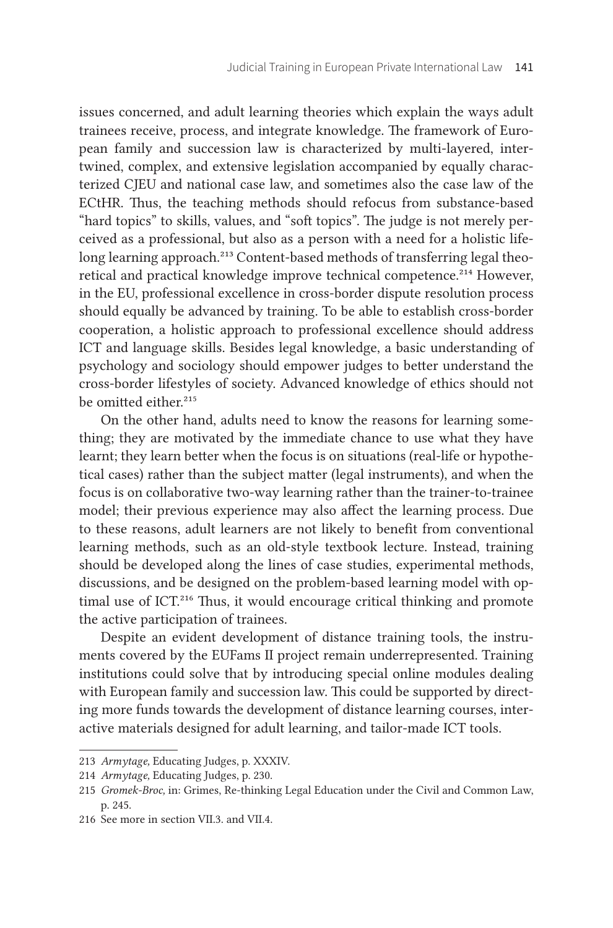issues concerned, and adult learning theories which explain the ways adult trainees receive, process, and integrate knowledge. The framework of European family and succession law is characterized by multi-layered, intertwined, complex, and extensive legislation accompanied by equally characterized CJEU and national case law, and sometimes also the case law of the ECtHR. Thus, the teaching methods should refocus from substance-based "hard topics" to skills, values, and "soft topics". The judge is not merely perceived as a professional, but also as a person with a need for a holistic lifelong learning approach.<sup>213</sup> Content-based methods of transferring legal theoretical and practical knowledge improve technical competence.<sup>214</sup> However, in the EU, professional excellence in cross-border dispute resolution process should equally be advanced by training. To be able to establish cross-border cooperation, a holistic approach to professional excellence should address ICT and language skills. Besides legal knowledge, a basic understanding of psychology and sociology should empower judges to better understand the cross-border lifestyles of society. Advanced knowledge of ethics should not be omitted either<sup>215</sup>

On the other hand, adults need to know the reasons for learning something; they are motivated by the immediate chance to use what they have learnt; they learn better when the focus is on situations (real-life or hypothetical cases) rather than the subject matter (legal instruments), and when the focus is on collaborative two-way learning rather than the trainer-to-trainee model; their previous experience may also affect the learning process. Due to these reasons, adult learners are not likely to benefit from conventional learning methods, such as an old-style textbook lecture. Instead, training should be developed along the lines of case studies, experimental methods, discussions, and be designed on the problem-based learning model with optimal use of ICT.<sup>216</sup> Thus, it would encourage critical thinking and promote the active participation of trainees.

Despite an evident development of distance training tools, the instruments covered by the EUFams II project remain underrepresented. Training institutions could solve that by introducing special online modules dealing with European family and succession law. This could be supported by directing more funds towards the development of distance learning courses, interactive materials designed for adult learning, and tailor-made ICT tools.

<sup>213</sup> *Armytage,* Educating Judges, p. XXXIV.

<sup>214</sup> *Armytage,* Educating Judges, p. 230.

<sup>215</sup> *Gromek-Broc,* in: Grimes, Re-thinking Legal Education under the Civil and Common Law, p. 245.

<sup>216</sup> See more in section VII.3. and VII.4.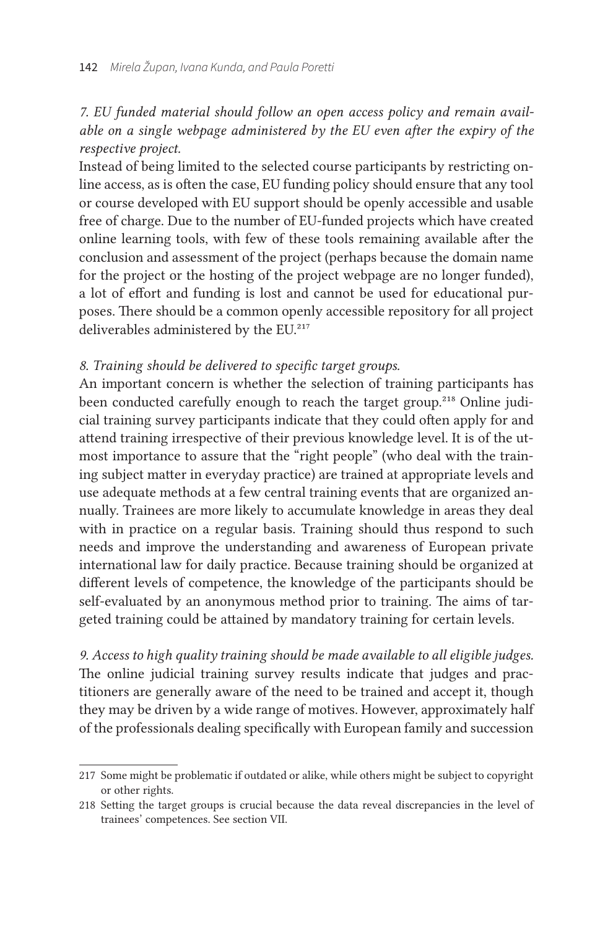## *7. EU funded material should follow an open access policy and remain available on a single webpage administered by the EU even after the expiry of the respective project.*

Instead of being limited to the selected course participants by restricting online access, as is often the case, EU funding policy should ensure that any tool or course developed with EU support should be openly accessible and usable free of charge. Due to the number of EU-funded projects which have created online learning tools, with few of these tools remaining available after the conclusion and assessment of the project (perhaps because the domain name for the project or the hosting of the project webpage are no longer funded), a lot of effort and funding is lost and cannot be used for educational purposes. There should be a common openly accessible repository for all project deliverables administered by the EU.<sup>217</sup>

#### *8. Training should be delivered to specific target groups.*

An important concern is whether the selection of training participants has been conducted carefully enough to reach the target group.<sup>218</sup> Online judicial training survey participants indicate that they could often apply for and attend training irrespective of their previous knowledge level. It is of the utmost importance to assure that the "right people" (who deal with the training subject matter in everyday practice) are trained at appropriate levels and use adequate methods at a few central training events that are organized annually. Trainees are more likely to accumulate knowledge in areas they deal with in practice on a regular basis. Training should thus respond to such needs and improve the understanding and awareness of European private international law for daily practice. Because training should be organized at different levels of competence, the knowledge of the participants should be self-evaluated by an anonymous method prior to training. The aims of targeted training could be attained by mandatory training for certain levels.

*9. Access to high quality training should be made available to all eligible judges.* The online judicial training survey results indicate that judges and practitioners are generally aware of the need to be trained and accept it, though they may be driven by a wide range of motives. However, approximately half of the professionals dealing specifically with European family and succession

<sup>217</sup> Some might be problematic if outdated or alike, while others might be subject to copyright or other rights.

<sup>218</sup> Setting the target groups is crucial because the data reveal discrepancies in the level of trainees' competences. See section VII.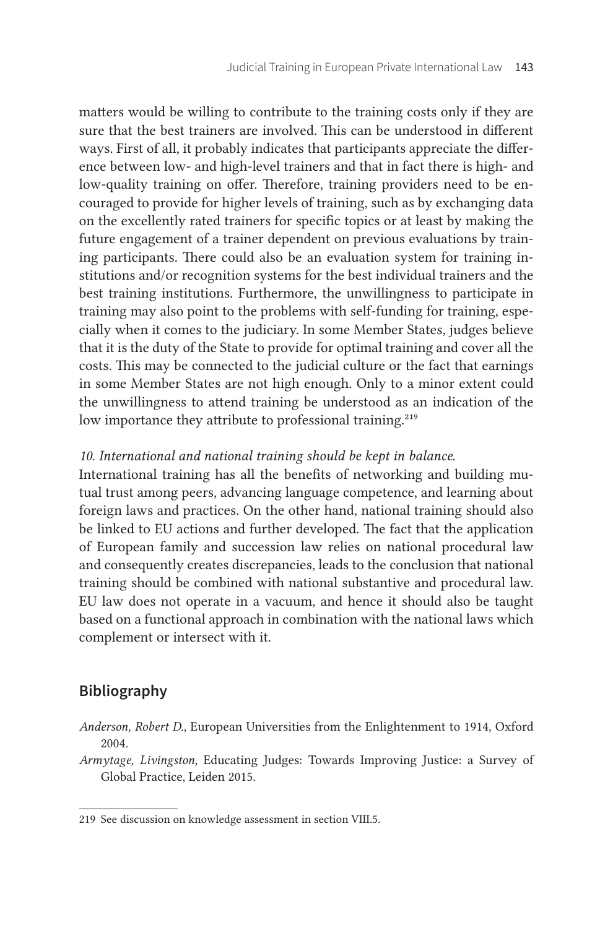matters would be willing to contribute to the training costs only if they are sure that the best trainers are involved. This can be understood in different ways. First of all, it probably indicates that participants appreciate the difference between low- and high-level trainers and that in fact there is high- and low-quality training on offer. Therefore, training providers need to be encouraged to provide for higher levels of training, such as by exchanging data on the excellently rated trainers for specific topics or at least by making the future engagement of a trainer dependent on previous evaluations by training participants. There could also be an evaluation system for training institutions and/or recognition systems for the best individual trainers and the best training institutions. Furthermore, the unwillingness to participate in training may also point to the problems with self-funding for training, especially when it comes to the judiciary. In some Member States, judges believe that it is the duty of the State to provide for optimal training and cover all the costs. This may be connected to the judicial culture or the fact that earnings in some Member States are not high enough. Only to a minor extent could the unwillingness to attend training be understood as an indication of the low importance they attribute to professional training.<sup>219</sup>

#### *10. International and national training should be kept in balance.*

International training has all the benefits of networking and building mutual trust among peers, advancing language competence, and learning about foreign laws and practices. On the other hand, national training should also be linked to EU actions and further developed. The fact that the application of European family and succession law relies on national procedural law and consequently creates discrepancies, leads to the conclusion that national training should be combined with national substantive and procedural law. EU law does not operate in a vacuum, and hence it should also be taught based on a functional approach in combination with the national laws which complement or intersect with it.

## **Bibliography**

- *Anderson, Robert D.,* European Universities from the Enlightenment to 1914, Oxford 2004.
- *Armytage, Livingston,* Educating Judges: Towards Improving Justice: a Survey of Global Practice, Leiden 2015.

<sup>219</sup> See discussion on knowledge assessment in section VIII.5.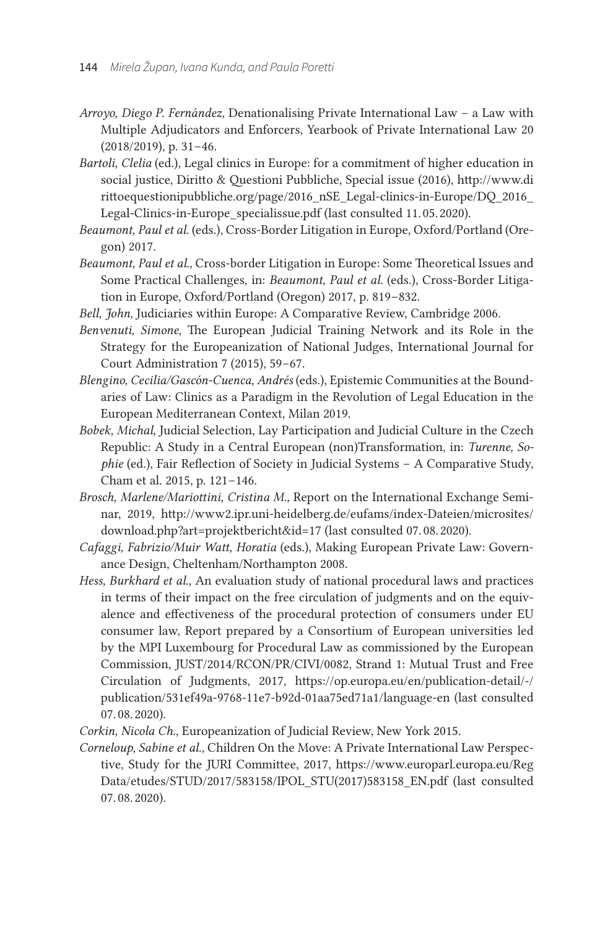- *Arroyo, Diego P. Fernández,* Denationalising Private International Law a Law with Multiple Adjudicators and Enforcers, Yearbook of Private International Law 20  $(2018/2019)$ , p. 31–46.
- *Bartoli, Clelia* (ed.), Legal clinics in Europe: for a commitment of higher education in social justice, Diritto & Questioni Pubbliche, Special issue (2016), [http://www.di](http://www.dirittoequestionipubbliche.org/page/2016_nSE_Legal-clinics-in-Europe/DQ_2016_Legal-Clinics-in-Europe_specialissue.pdf) [rittoequestionipubbliche.org/page/2016\\_nSE\\_Legal-clinics-in-Europe/DQ\\_2016\\_](http://www.dirittoequestionipubbliche.org/page/2016_nSE_Legal-clinics-in-Europe/DQ_2016_Legal-Clinics-in-Europe_specialissue.pdf) [Legal-Clinics-in-Europe\\_specialissue.pdf](http://www.dirittoequestionipubbliche.org/page/2016_nSE_Legal-clinics-in-Europe/DQ_2016_Legal-Clinics-in-Europe_specialissue.pdf) (last consulted 11. 05. 2020).
- *Beaumont, Paul et al.* (eds.), Cross-Border Litigation in Europe, Oxford/Portland (Oregon) 2017.
- *Beaumont, Paul et al.,* Cross-border Litigation in Europe: Some Theoretical Issues and Some Practical Challenges, in: *Beaumont, Paul et al.* (eds.), Cross-Border Litigation in Europe, Oxford/Portland (Oregon) 2017, p. 819-832.
- *Bell, John,* Judiciaries within Europe: A Comparative Review, Cambridge 2006.
- *Benvenuti, Simone,* The European Judicial Training Network and its Role in the Strategy for the Europeanization of National Judges, International Journal for Court Administration 7 (2015), 59-67.
- *Blengino, Cecilia/Gascón-Cuenca, Andrés* (eds.), Epistemic Communities at the Boundaries of Law: Clinics as a Paradigm in the Revolution of Legal Education in the European Mediterranean Context, Milan 2019.
- *Bobek, Michal,* Judicial Selection, Lay Participation and Judicial Culture in the Czech Republic: A Study in a Central European (non)Transformation, in: *Turenne, Sophie* (ed.), Fair Reflection of Society in Judicial Systems – A Comparative Study, Cham et al. 2015, p. 121-146.
- *Brosch, Marlene/Mariottini, Cristina M.,* Report on the International Exchange Seminar, 2019, [http://www2.ipr.uni-heidelberg.de/eufams/index-Dateien/microsites/](http://www2.ipr.uni-heidelberg.de/eufams/index-Dateien/microsites/download.php?art=projektbericht&id=20) [download.php?art=projektbericht&id=17](http://www2.ipr.uni-heidelberg.de/eufams/index-Dateien/microsites/download.php?art=projektbericht&id=20) (last consulted 07. 08. 2020).
- *Cafaggi, Fabrizio/Muir Watt, Horatia* (eds.), Making European Private Law: Governance Design, Cheltenham/Northampton 2008.
- *Hess, Burkhard et al.,* An evaluation study of national procedural laws and practices in terms of their impact on the free circulation of judgments and on the equivalence and effectiveness of the procedural protection of consumers under EU consumer law, Report prepared by a Consortium of European universities led by the MPI Luxembourg for Procedural Law as commissioned by the European Commission, JUST/2014/RCON/PR/CIVI/0082, Strand 1: Mutual Trust and Free Circulation of Judgments, 2017, [https://op.europa.eu/en/publication-detail/-/](https://op.europa.eu/en/publication-detail/-/publication/531ef49a-9768-11e7-b92d-01aa75ed71a1/language-en) [publication/531ef49a-9768-11e7-b92d-01aa75ed71a1/language-en](https://op.europa.eu/en/publication-detail/-/publication/531ef49a-9768-11e7-b92d-01aa75ed71a1/language-en) (last consulted 07. 08. 2020).
- *Corkin, Nicola Ch.,* Europeanization of Judicial Review, New York 2015.
- *Corneloup, Sabine et al.,* Children On the Move: A Private International Law Perspective, Study for the JURI Committee, 2017, [https://www.europarl.europa.eu/Reg](https://www.europarl.europa.eu/RegData/etudes/STUD/2017/583158/IPOL_STU(2017)583158_EN.pdf) [Data/etudes/STUD/2017/583158/IPOL\\_STU\(2017\)583158\\_EN.pdf](https://www.europarl.europa.eu/RegData/etudes/STUD/2017/583158/IPOL_STU(2017)583158_EN.pdf) (last consulted 07. 08. 2020).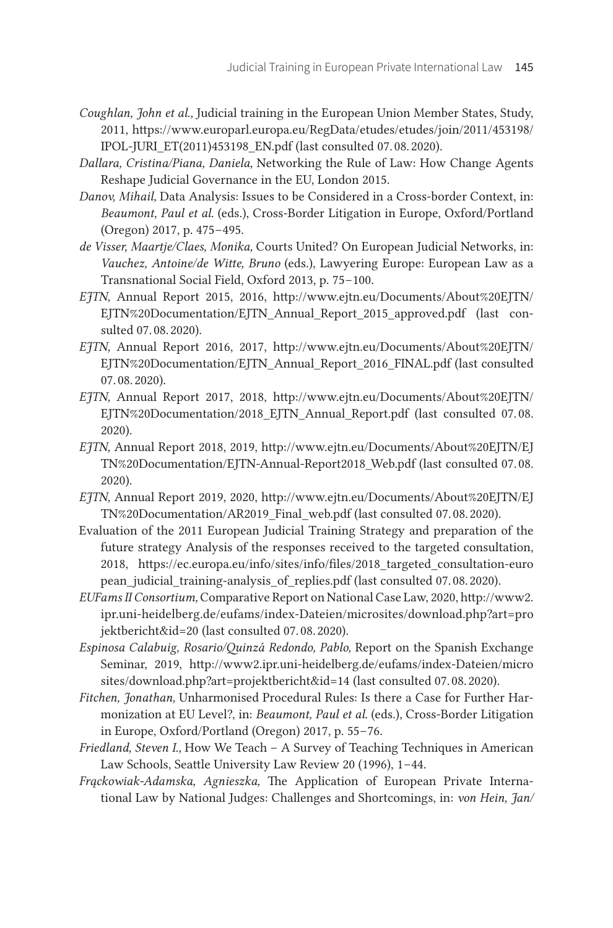- *Coughlan, John et al.,* Judicial training in the European Union Member States, Study, 2011, [https://www.europarl.europa.eu/RegData/etudes/etudes/join/2011/453198/](https://www.europarl.europa.eu/RegData/etudes/etudes/join/2011/453198/IPOL-JURI_ET(2011)453198_EN.pdf) [IPOL-JURI\\_ET\(2011\)453198\\_EN.pdf](https://www.europarl.europa.eu/RegData/etudes/etudes/join/2011/453198/IPOL-JURI_ET(2011)453198_EN.pdf) (last consulted 07. 08. 2020).
- *Dallara, Cristina/Piana, Daniela,* Networking the Rule of Law: How Change Agents Reshape Judicial Governance in the EU, London 2015.
- *Danov, Mihail,* Data Analysis: Issues to be Considered in a Cross-border Context, in: *Beaumont, Paul et al.* (eds.), Cross-Border Litigation in Europe, Oxford/Portland (Oregon) 2017, p. 475–495.
- *de Visser, Maartje/Claes, Monika,* Courts United? On European Judicial Networks, in: *Vauchez, Antoine/de Witte, Bruno* (eds.), Lawyering Europe: European Law as a Transnational Social Field, Oxford 2013, p. 75-100.
- *EJTN,* Annual Report 2015, 2016, [http://www.ejtn.eu/Documents/About%20EJTN/](http://www.ejtn.eu/Documents/About%20EJTN/EJTN%20Documentation/EJTN_Annual_Report_2015_approved.pdf) [EJTN%20Documentation/EJTN\\_Annual\\_Report\\_2015\\_approved.pdf](http://www.ejtn.eu/Documents/About%20EJTN/EJTN%20Documentation/EJTN_Annual_Report_2015_approved.pdf) (last consulted 07. 08. 2020).
- *EJTN,* Annual Report 2016, 2017, [http://www.ejtn.eu/Documents/About%20EJTN/](http://www.ejtn.eu/Documents/About%20EJTN/EJTN%20Documentation/EJTN_Annual_Report_2016_FINAL.pdf) [EJTN%20Documentation/EJTN\\_Annual\\_Report\\_2016\\_FINAL.pdf](http://www.ejtn.eu/Documents/About%20EJTN/EJTN%20Documentation/EJTN_Annual_Report_2016_FINAL.pdf) (last consulted 07. 08. 2020).
- *EJTN,* Annual Report 2017, 2018, [http://www.ejtn.eu/Documents/About%20EJTN/](http://www.ejtn.eu/Documents/About%20EJTN/EJTN%20Documentation/2018_EJTN_Annual_Report.pdf) [EJTN%20Documentation/2018\\_EJTN\\_Annual\\_Report.pdf](http://www.ejtn.eu/Documents/About%20EJTN/EJTN%20Documentation/2018_EJTN_Annual_Report.pdf) (last consulted 07. 08.  2020).
- *EJTN,* Annual Report 2018, 2019, [http://www.ejtn.eu/Documents/About%20EJTN/EJ](http://www.ejtn.eu/Documents/About%20EJTN/EJTN%20Documentation/EJTN-Annual-Report2018_Web.pdf) [TN%20Documentation/EJTN-Annual-Report2018\\_Web.pdf](http://www.ejtn.eu/Documents/About%20EJTN/EJTN%20Documentation/EJTN-Annual-Report2018_Web.pdf) (last consulted 07. 08.  2020).
- *EJTN,* Annual Report 2019, 2020, [http://www.ejtn.eu/Documents/About%20EJTN/EJ](http://www.ejtn.eu/Documents/About%20EJTN/EJTN%20Documentation/AR2019_Final_web.pdf) [TN%20Documentation/AR2019\\_Final\\_web.pdf](http://www.ejtn.eu/Documents/About%20EJTN/EJTN%20Documentation/AR2019_Final_web.pdf) (last consulted 07. 08. 2020).
- Evaluation of the 2011 European Judicial Training Strategy and preparation of the future strategy Analysis of the responses received to the targeted consultation, 2018, [https://ec.europa.eu/info/sites/info/files/2018\\_targeted\\_consultation-euro](https://ec.europa.eu/info/sites/info/files/2018_targeted_consultation-european_judicial_training-analysis_of_replies.pdf) [pean\\_judicial\\_training-analysis\\_of\\_replies.pdf](https://ec.europa.eu/info/sites/info/files/2018_targeted_consultation-european_judicial_training-analysis_of_replies.pdf) (last consulted 07. 08. 2020).
- *EUFams II Consortium,* Comparative Report on National Case Law, 2020, [http://www2.](http://www2.ipr.uni-heidelberg.de/eufams/index-Dateien/microsites/download.php?art=projektbericht&id=20) [ipr.uni-heidelberg.de/eufams/index-Dateien/microsites/download.php?art=pro](http://www2.ipr.uni-heidelberg.de/eufams/index-Dateien/microsites/download.php?art=projektbericht&id=20) [jektbericht&id=20](http://www2.ipr.uni-heidelberg.de/eufams/index-Dateien/microsites/download.php?art=projektbericht&id=20) (last consulted 07. 08. 2020).
- *Espinosa Calabuig, Rosario/Quinzá Redondo, Pablo,* Report on the Spanish Exchange Seminar, 2019, [http://www2.ipr.uni-heidelberg.de/eufams/index-Dateien/micro](http://www2.ipr.uni-heidelberg.de/eufams/index-Dateien/microsites/download.php?art=projektbericht&id=20) [sites/download.php?art=projektbericht&id=14](http://www2.ipr.uni-heidelberg.de/eufams/index-Dateien/microsites/download.php?art=projektbericht&id=20) (last consulted 07. 08. 2020).
- *Fitchen, Jonathan,* Unharmonised Procedural Rules: Is there a Case for Further Harmonization at EU Level?, in: *Beaumont, Paul et al.* (eds.), Cross-Border Litigation in Europe, Oxford/Portland (Oregon) 2017, p. 55 – 76.
- *Friedland, Steven I.,* How We Teach A Survey of Teaching Techniques in American Law Schools, Seattle University Law Review 20 (1996), 1-44.
- *Frąckowiak-Adamska, Agnieszka,* The Application of European Private International Law by National Judges: Challenges and Shortcomings, in: *von Hein, Jan/*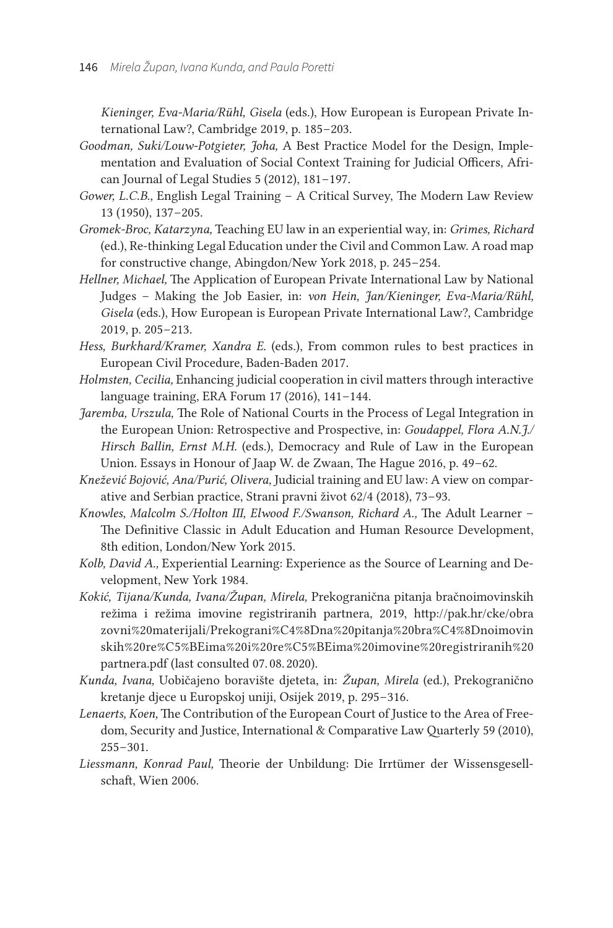*Kieninger, Eva-Maria/Rühl, Gisela* (eds.), How European is European Private International Law?, Cambridge 2019, p. 185-203.

- *Goodman, Suki/Louw-Potgieter, Joha,* A Best Practice Model for the Design, Implementation and Evaluation of Social Context Training for Judicial Officers, African Journal of Legal Studies 5 (2012), 181-197.
- *Gower, L. C. B.,* English Legal Training A Critical Survey, The Modern Law Review 13 (1950), 137-205.
- *Gromek-Broc, Katarzyna,* Teaching EU law in an experiential way, in: *Grimes, Richard* (ed.), Re-thinking Legal Education under the Civil and Common Law. A road map for constructive change, Abingdon/New York 2018, p. 245-254.
- *Hellner, Michael,* The Application of European Private International Law by National Judges – Making the Job Easier, in: *von Hein, Jan/Kieninger, Eva-Maria/Rühl, Gisela* (eds.), How European is European Private International Law?, Cambridge 2019, p. 205-213.
- *Hess, Burkhard/Kramer, Xandra E.* (eds.), From common rules to best practices in European Civil Procedure, Baden-Baden 2017.
- *Holmsten, Cecilia,* Enhancing judicial cooperation in civil matters through interactive language training, ERA Forum 17 (2016),  $141-144$ .
- *Jaremba, Urszula,* The Role of National Courts in the Process of Legal Integration in the European Union: Retrospective and Prospective, in: *Goudappel, Flora A. N. J./ Hirsch Ballin, Ernst M. H.* (eds.), Democracy and Rule of Law in the European Union. Essays in Honour of Jaap W. de Zwaan, The Hague 2016, p. 49-62.
- *Knežević Bojović, Ana/Purić, Olivera,* Judicial training and EU law: A view on comparative and Serbian practice, Strani pravni život 62/4 (2018), 73 – 93.
- *Knowles, Malcolm S./Holton III, Elwood F./Swanson, Richard A.,* The Adult Learner The Definitive Classic in Adult Education and Human Resource Development, 8th edition, London/New York 2015.
- *Kolb, David A.,* Experiential Learning: Experience as the Source of Learning and Development, New York 1984.
- *Kokić, Tijana/Kunda, Ivana/Župan, Mirela,* Prekogranična pitanja bračnoimovinskih režima i režima imovine registriranih partnera, 2019, [http://pak.hr/cke/obra](http://pak.hr/cke/obrazovni%20materijali/Prekograni%C4%8Dna%20pitanja%20bra%C4%8Dnoimovinskih%20re%C5%BEima%20i%20re%C5%BEima%20imovine%20registriranih%20partnera.pdf) [zovni%20materijali/Prekograni%C4%8Dna%20pitanja%20bra%C4%8Dnoimovin](http://pak.hr/cke/obrazovni%20materijali/Prekograni%C4%8Dna%20pitanja%20bra%C4%8Dnoimovinskih%20re%C5%BEima%20i%20re%C5%BEima%20imovine%20registriranih%20partnera.pdf) [skih%20re%C5%BEima%20i%20re%C5%BEima%20imovine%20registriranih%20](http://pak.hr/cke/obrazovni%20materijali/Prekograni%C4%8Dna%20pitanja%20bra%C4%8Dnoimovinskih%20re%C5%BEima%20i%20re%C5%BEima%20imovine%20registriranih%20partnera.pdf) [partnera.pdf](http://pak.hr/cke/obrazovni%20materijali/Prekograni%C4%8Dna%20pitanja%20bra%C4%8Dnoimovinskih%20re%C5%BEima%20i%20re%C5%BEima%20imovine%20registriranih%20partnera.pdf) (last consulted 07. 08. 2020).
- *Kunda, Ivana,* Uobičajeno boravište djeteta, in: *Župan, Mirela* (ed.), Prekogranično kretanje djece u Europskoj uniji, Osijek 2019, p. 295 – 316.
- *Lenaerts, Koen,* The Contribution of the European Court of Justice to the Area of Freedom, Security and Justice, International & Comparative Law Quarterly 59 (2010),  $255 - 301.$
- *Liessmann, Konrad Paul,* Theorie der Unbildung: Die Irrtümer der Wissensgesellschaft, Wien 2006.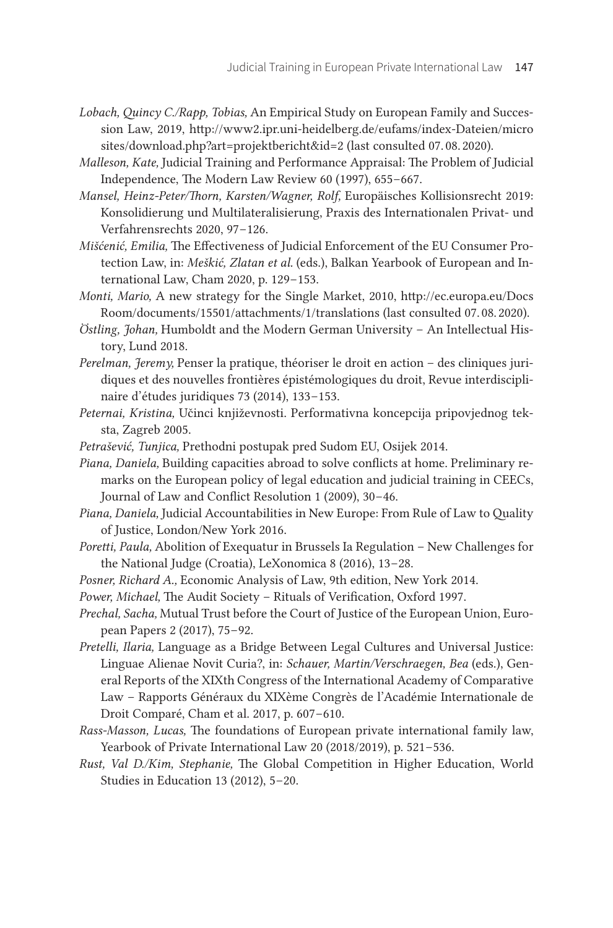- *Lobach, Quincy C./Rapp, Tobias,* An Empirical Study on European Family and Succession Law, 2019, [http://www2.ipr.uni-heidelberg.de/eufams/index-Dateien/micro](http://www2.ipr.uni-heidelberg.de/eufams/index-Dateien/microsites/download.php?art=projektbericht&id=20) [sites/download.php?art=projektbericht&id=2](http://www2.ipr.uni-heidelberg.de/eufams/index-Dateien/microsites/download.php?art=projektbericht&id=20) (last consulted 07. 08. 2020).
- *Malleson, Kate,* Judicial Training and Performance Appraisal: The Problem of Judicial Independence, The Modern Law Review 60 (1997), 655 – 667.
- *Mansel, Heinz-Peter/Thorn, Karsten/Wagner, Rolf,* Europäisches Kollisionsrecht 2019: Konsolidierung und Multilateralisierung, Praxis des Internationalen Privat- und Verfahrensrechts 2020, 97-126.
- *Mišćenić, Emilia,* The Effectiveness of Judicial Enforcement of the EU Consumer Protection Law, in: *Meškić, Zlatan et al.* (eds.), Balkan Yearbook of European and International Law, Cham 2020, p. 129-153.
- *Monti, Mario,* A new strategy for the Single Market, 2010, [http://ec.europa.eu/Docs](http://ec.europa.eu/DocsRoom/documents/15501/attachments/1/translations) [Room/documents/15501/attachments/1/translations](http://ec.europa.eu/DocsRoom/documents/15501/attachments/1/translations) (last consulted 07. 08. 2020).
- *Östling, Johan,* Humboldt and the Modern German University An Intellectual History, Lund 2018.
- *Perelman, Jeremy,* Penser la pratique, théoriser le droit en action des cliniques juridiques et des nouvelles frontières épistémologiques du droit, Revue interdisciplinaire d'études juridiques 73 (2014), 133-153.
- *Peternai, Kristina,* Učinci književnosti. Performativna koncepcija pripovjednog teksta, Zagreb 2005.
- *Petrašević, Tunjica,* Prethodni postupak pred Sudom EU, Osijek 2014.
- *Piana, Daniela,* Building capacities abroad to solve conflicts at home. Preliminary remarks on the European policy of legal education and judicial training in CEECs, Journal of Law and Conflict Resolution 1 (2009), 30-46.
- *Piana, Daniela,* Judicial Accountabilities in New Europe: From Rule of Law to Quality of Justice, London/New York 2016.
- *Poretti, Paula,* Abolition of Exequatur in Brussels Ia Regulation New Challenges for the National Judge (Croatia), LeXonomica 8 (2016), 13 – 28.
- *Posner, Richard A.,* Economic Analysis of Law, 9th edition, New York 2014.
- *Power, Michael,* The Audit Society Rituals of Verification, Oxford 1997.
- *Prechal, Sacha,* Mutual Trust before the Court of Justice of the European Union, European Papers 2 (2017), 75 – 92.
- *Pretelli, Ilaria,* Language as a Bridge Between Legal Cultures and Universal Justice: Linguae Alienae Novit Curia?, in: *Schauer, Martin/Verschraegen, Bea* (eds.), General Reports of the XIXth Congress of the International Academy of Comparative Law – Rapports Généraux du XIXème Congrès de l'Académie Internationale de Droit Comparé, Cham et al. 2017, p. 607-610.
- *Rass-Masson, Lucas,* The foundations of European private international family law, Yearbook of Private International Law 20 (2018/2019), p. 521-536.
- *Rust, Val D./Kim, Stephanie,* The Global Competition in Higher Education, World Studies in Education 13 (2012), 5 – 20.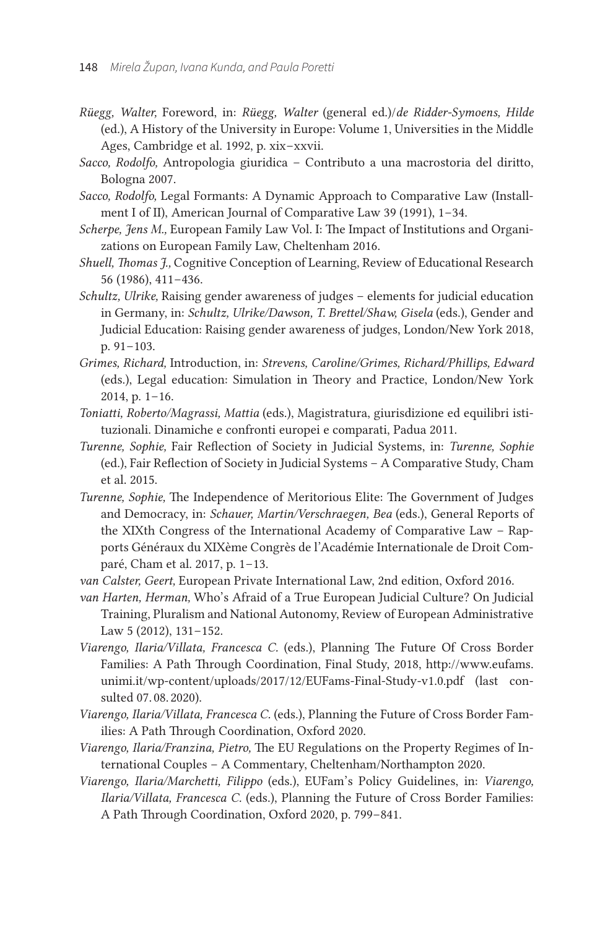- *Rüegg, Walter,* Foreword, in: *Rüegg, Walter* (general ed.)/*de Ridder-Symoens, Hilde* (ed.), A History of the University in Europe: Volume 1, Universities in the Middle Ages, Cambridge et al. 1992, p. xix-xxvii.
- *Sacco, Rodolfo,* Antropologia giuridica Contributo a una macrostoria del diritto, Bologna 2007.
- *Sacco, Rodolfo,* Legal Formants: A Dynamic Approach to Comparative Law (Installment I of II), American Journal of Comparative Law 39 (1991), 1-34.
- *Scherpe, Jens M.,* European Family Law Vol. I: The Impact of Institutions and Organizations on European Family Law, Cheltenham 2016.
- *Shuell, Thomas J.,* Cognitive Conception of Learning, Review of Educational Research 56 (1986), 411 – 436.
- *Schultz, Ulrike,* Raising gender awareness of judges elements for judicial education in Germany, in: *Schultz, Ulrike/Dawson, T. Brettel/Shaw, Gisela* (eds.), Gender and Judicial Education: Raising gender awareness of judges, London/New York 2018, p. 91–103.
- *Grimes, Richard,* Introduction, in: *Strevens, Caroline/Grimes, Richard/Phillips, Edward* (eds.), Legal education: Simulation in Theory and Practice, London/New York  $2014$ , p.  $1-16$ .
- *Toniatti, Roberto/Magrassi, Mattia* (eds.), Magistratura, giurisdizione ed equilibri istituzionali. Dinamiche e confronti europei e comparati, Padua 2011.
- *Turenne, Sophie,* Fair Reflection of Society in Judicial Systems, in: *Turenne, Sophie* (ed.), Fair Reflection of Society in Judicial Systems – A Comparative Study, Cham et al. 2015.
- *Turenne, Sophie,* The Independence of Meritorious Elite: The Government of Judges and Democracy, in: *Schauer, Martin/Verschraegen, Bea* (eds.), General Reports of the XIXth Congress of the International Academy of Comparative Law – Rapports Généraux du XIXème Congrès de l'Académie Internationale de Droit Comparé, Cham et al. 2017, p. 1-13.
- *van Calster, Geert,* European Private International Law, 2nd edition, Oxford 2016.
- *van Harten, Herman,* Who's Afraid of a True European Judicial Culture? On Judicial Training, Pluralism and National Autonomy, Review of European Administrative Law  $5(2012)$ ,  $131-152$ .
- *Viarengo, Ilaria/Villata, Francesca C.* (eds.), Planning The Future Of Cross Border Families: A Path Through Coordination, Final Study, 2018, [http://www.eufams.](http://www.eufams.unimi.it/wp-content/uploads/2017/12/EUFams-Final-Study-v1.0.pdf) [unimi.it/wp-content/uploads/2017/12/EUFams-Final-Study-v1.0.pdf](http://www.eufams.unimi.it/wp-content/uploads/2017/12/EUFams-Final-Study-v1.0.pdf) (last consulted 07. 08. 2020).
- *Viarengo, Ilaria/Villata, Francesca C.* (eds.), Planning the Future of Cross Border Families: A Path Through Coordination, Oxford 2020.
- *Viarengo, Ilaria/Franzina, Pietro,* The EU Regulations on the Property Regimes of International Couples – A Commentary, Cheltenham/Northampton 2020.
- *Viarengo, Ilaria/Marchetti, Filippo* (eds.), EUFam's Policy Guidelines, in: *Viarengo, Ilaria/Villata, Francesca C.* (eds.), Planning the Future of Cross Border Families: A Path Through Coordination, Oxford 2020, p. 799-841.